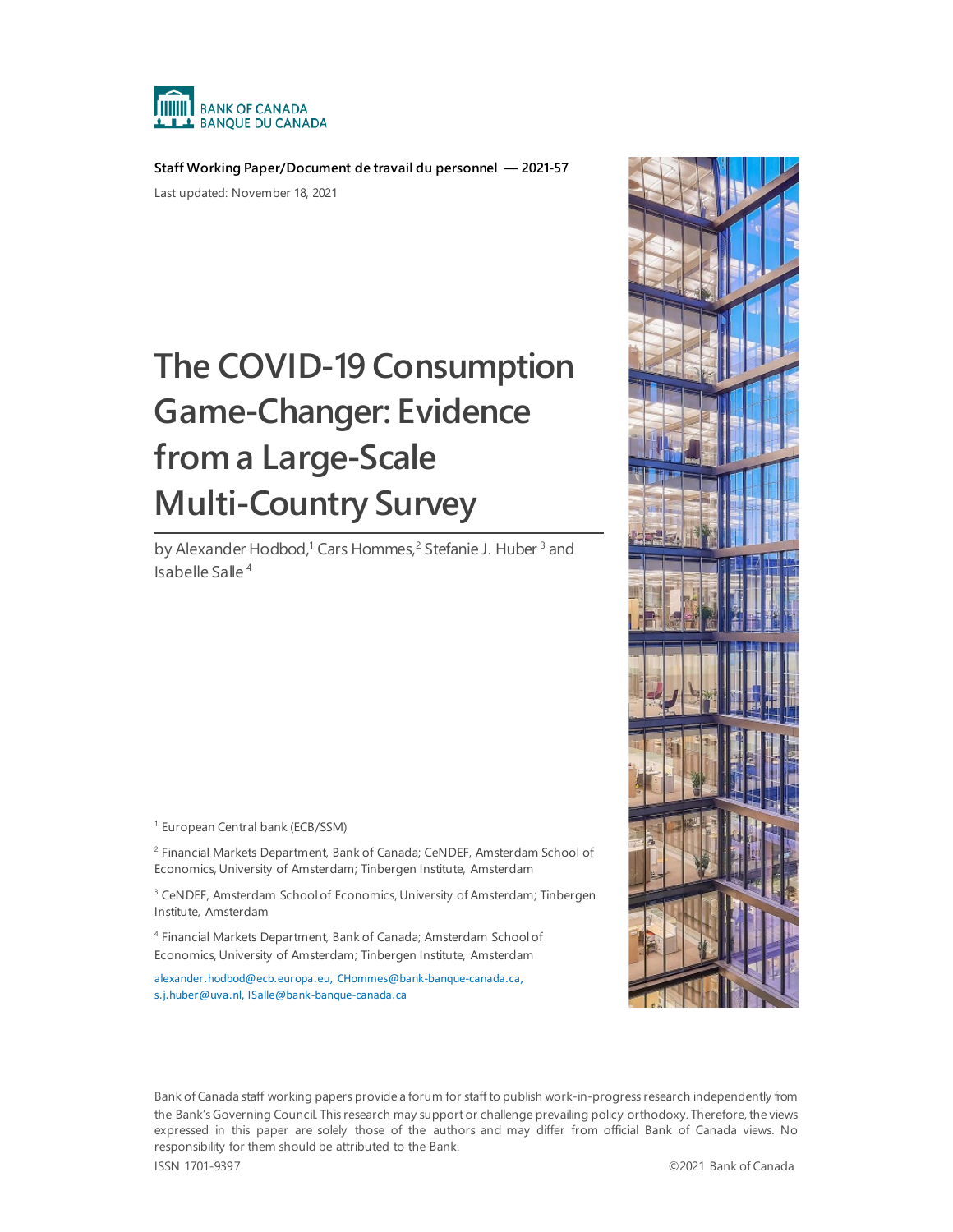

**Staff Working Paper/Document de travail du personnel — 2021-57**

Last updated: November 18, 2021

# **The COVID-19 Consumption Game-Changer: Evidence from a Large-Scale Multi-Country Survey**

by Alexander Hodbod,<sup>1</sup> Cars Hommes,<sup>2</sup> Stefanie J. Huber<sup>3</sup> and Isabelle Salle <sup>4</sup>

<sup>1</sup> European Central bank (ECB/SSM)

<sup>2</sup> Financial Markets Department, Bank of Canada; CeNDEF, Amsterdam School of Economics, University of Amsterdam; Tinbergen Institute, Amsterdam

<sup>3</sup> CeNDEF, Amsterdam School of Economics, University of Amsterdam; Tinbergen Institute, Amsterdam

<sup>4</sup> Financial Markets Department, Bank of Canada; Amsterdam School of Economics, University of Amsterdam; Tinbergen Institute, Amsterdam

[alexander.hodbod@ecb.europa.eu,](mailto:alexander.hodbod@ecb.europa.eu) [CHommes@bank-banque-canada.ca,](mailto:CHommes@bank-banque-canada.ca) s.j.huber@uva.nl, ISalle@bank-banque-canada.ca



Bank of Canada staff working papers provide a forum for staff to publish work-in-progress research independently from the Bank's Governing Council. This research may support or challenge prevailing policy orthodoxy. Therefore, the views expressed in this paper are solely those of the authors and may differ from official Bank of Canada views. No responsibility for them should be attributed to the Bank.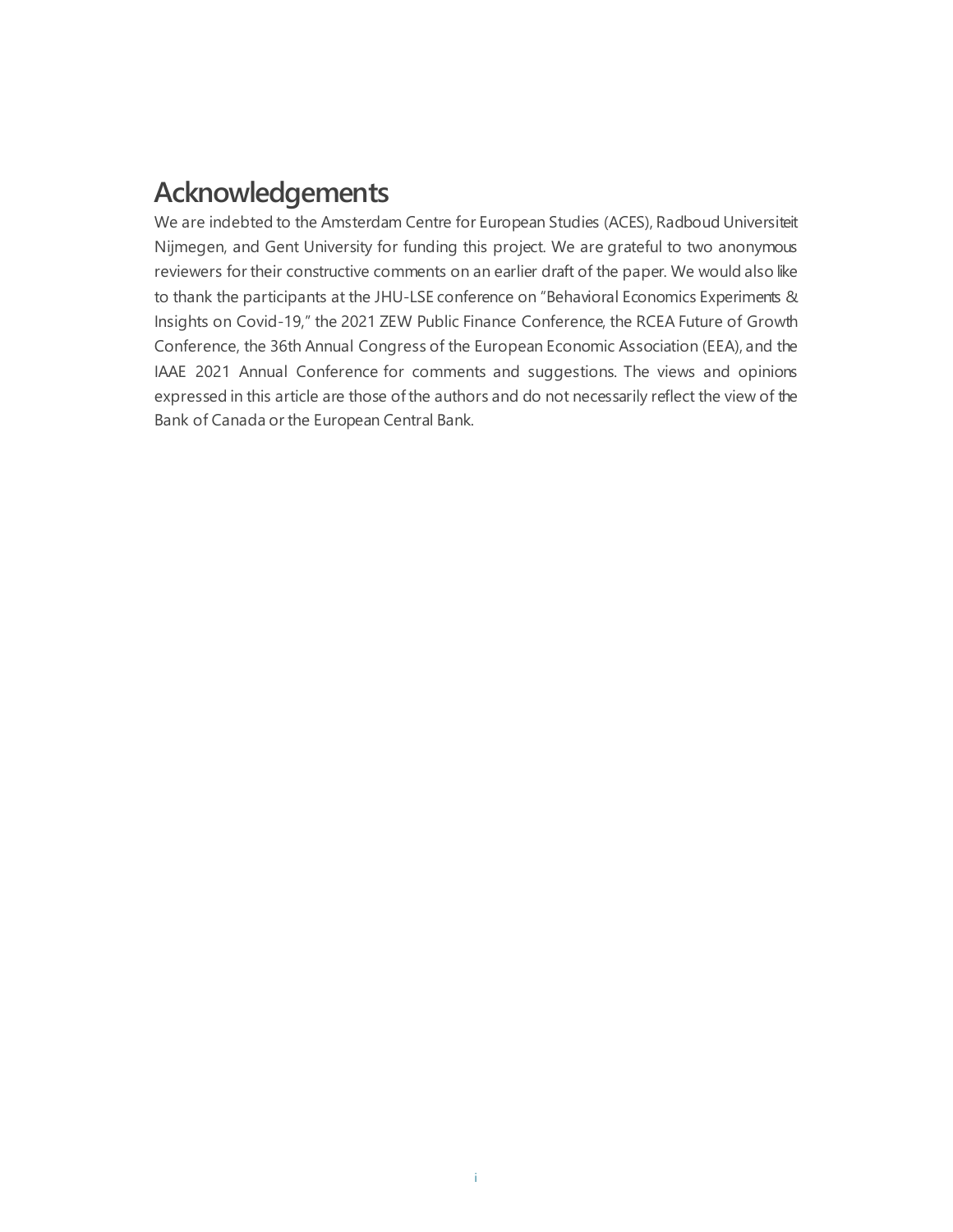## **Acknowledgements**

We are indebted to the Amsterdam Centre for European Studies (ACES), Radboud Universiteit Nijmegen, and Gent University for funding this project. We are grateful to two anonymous reviewers for their constructive comments on an earlier draft of the paper. We would also like to thank the participants at the JHU-LSE conference on "Behavioral Economics Experiments & Insights on Covid-19," the 2021 ZEW Public Finance Conference, the RCEA Future of Growth Conference, the 36th Annual Congress of the European Economic Association (EEA), and the IAAE 2021 Annual Conference for comments and suggestions. The views and opinions expressed in this article are those of the authors and do not necessarily reflect the view of the Bank of Canada or the European Central Bank.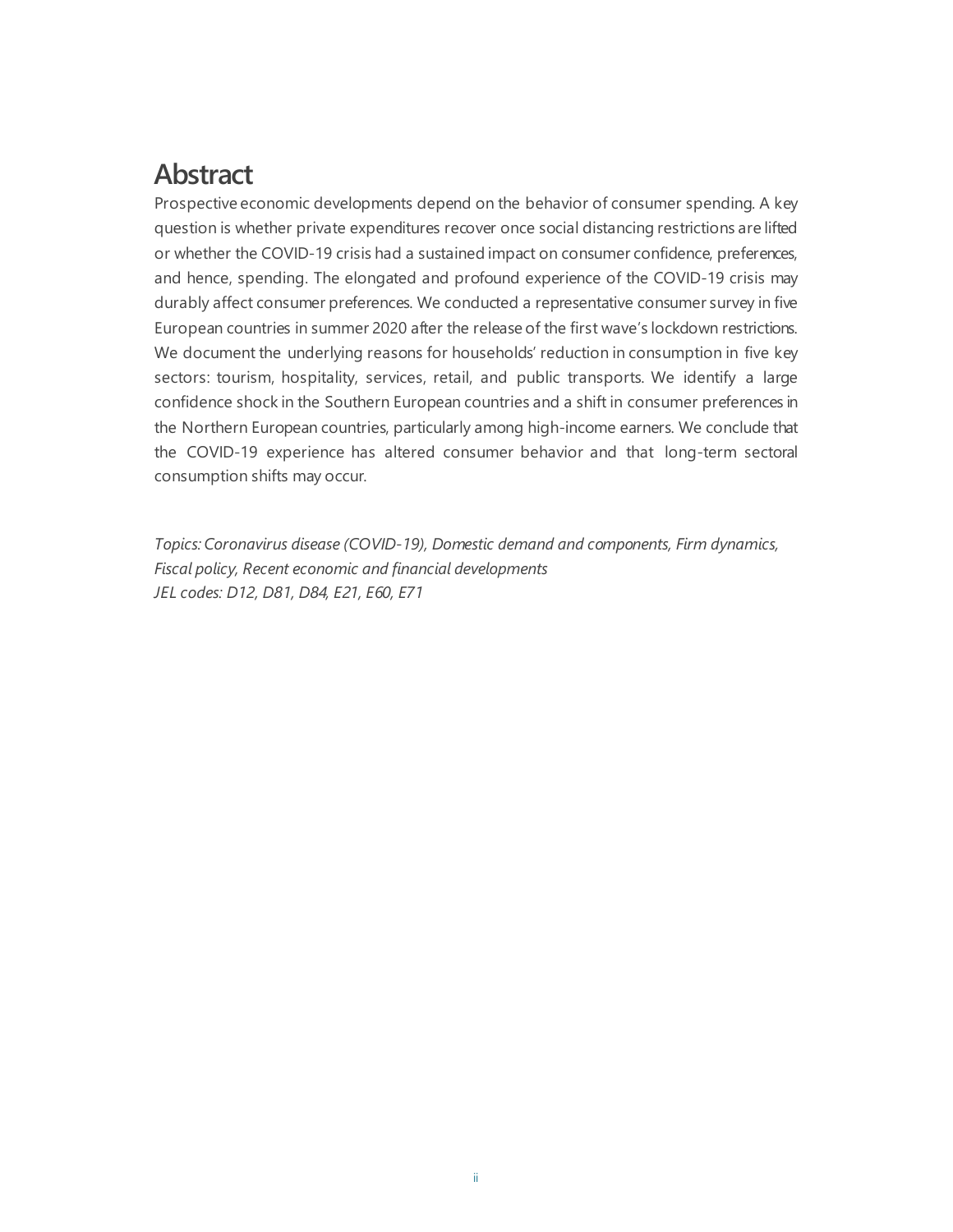## **Abstract**

Prospective economic developments depend on the behavior of consumer spending. A key question is whether private expenditures recover once social distancing restrictions are lifted or whether the COVID-19 crisis had a sustained impact on consumer confidence, preferences, and hence, spending. The elongated and profound experience of the COVID-19 crisis may durably affect consumer preferences. We conducted a representative consumer survey in five European countries in summer 2020 after the release of the first wave's lockdown restrictions. We document the underlying reasons for households' reduction in consumption in five key sectors: tourism, hospitality, services, retail, and public transports. We identify a large confidence shock in the Southern European countries and a shift in consumer preferences in the Northern European countries, particularly among high-income earners. We conclude that the COVID-19 experience has altered consumer behavior and that long-term sectoral consumption shifts may occur.

*Topics: Coronavirus disease (COVID-19), Domestic demand and components, Firm dynamics, Fiscal policy, Recent economic and financial developments JEL codes: D12, D81, D84, E21, E60, E71*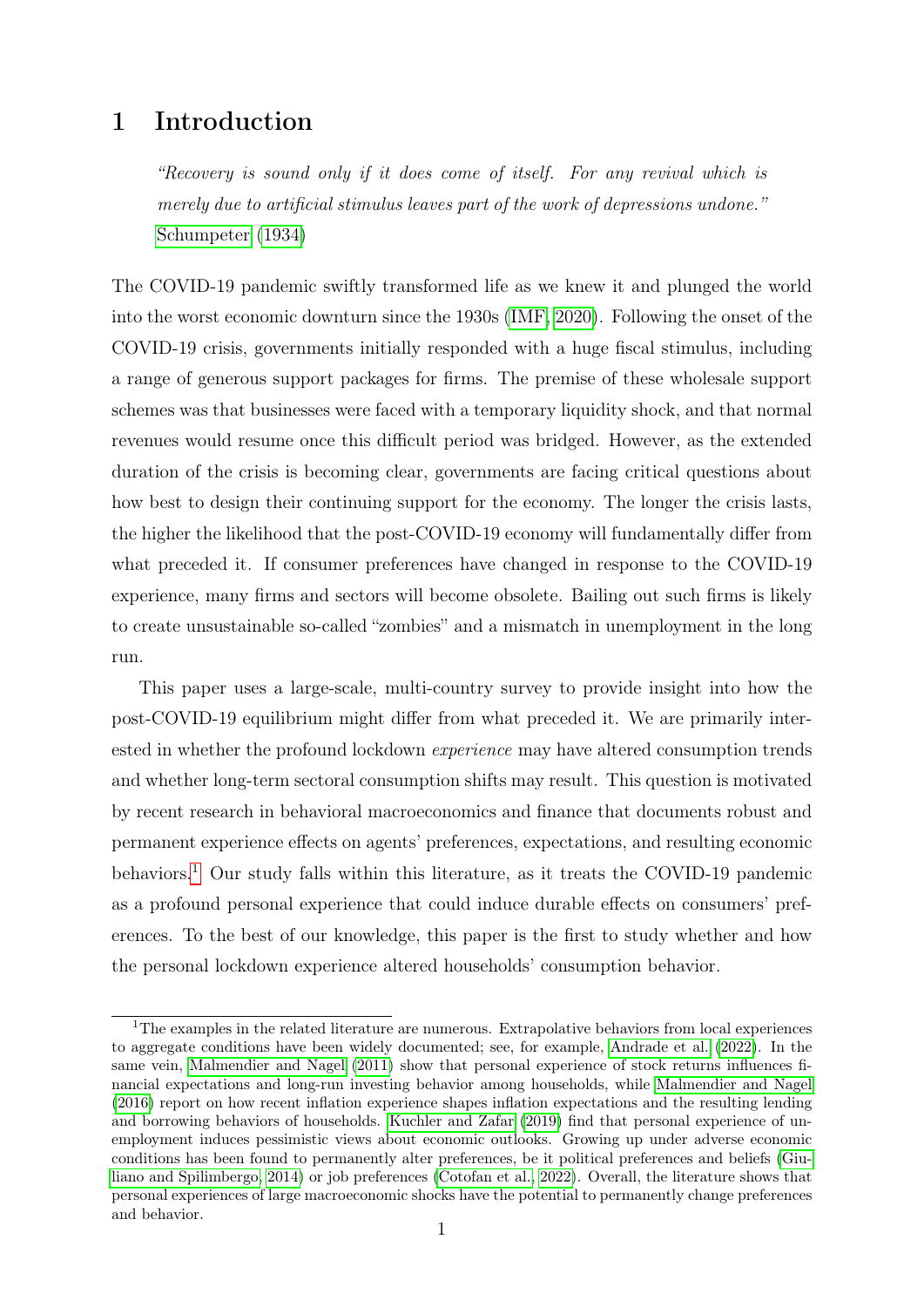### 1 Introduction

"Recovery is sound only if it does come of itself. For any revival which is merely due to artificial stimulus leaves part of the work of depressions undone." [Schumpeter](#page-44-0) [\(1934\)](#page-44-0)

The COVID-19 pandemic swiftly transformed life as we knew it and plunged the world into the worst economic downturn since the 1930s [\(IMF, 2020\)](#page-43-0). Following the onset of the COVID-19 crisis, governments initially responded with a huge fiscal stimulus, including a range of generous support packages for firms. The premise of these wholesale support schemes was that businesses were faced with a temporary liquidity shock, and that normal revenues would resume once this difficult period was bridged. However, as the extended duration of the crisis is becoming clear, governments are facing critical questions about how best to design their continuing support for the economy. The longer the crisis lasts, the higher the likelihood that the post-COVID-19 economy will fundamentally differ from what preceded it. If consumer preferences have changed in response to the COVID-19 experience, many firms and sectors will become obsolete. Bailing out such firms is likely to create unsustainable so-called "zombies" and a mismatch in unemployment in the long run.

This paper uses a large-scale, multi-country survey to provide insight into how the post-COVID-19 equilibrium might differ from what preceded it. We are primarily interested in whether the profound lockdown experience may have altered consumption trends and whether long-term sectoral consumption shifts may result. This question is motivated by recent research in behavioral macroeconomics and finance that documents robust and permanent experience effects on agents' preferences, expectations, and resulting economic behaviors.<sup>[1](#page-3-0)</sup> Our study falls within this literature, as it treats the COVID-19 pandemic as a profound personal experience that could induce durable effects on consumers' preferences. To the best of our knowledge, this paper is the first to study whether and how the personal lockdown experience altered households' consumption behavior.

<span id="page-3-0"></span><sup>&</sup>lt;sup>1</sup>The examples in the related literature are numerous. Extrapolative behaviors from local experiences to aggregate conditions have been widely documented; see, for example, [Andrade et al.](#page-42-0) [\(2022\)](#page-42-0). In the same vein, [Malmendier and Nagel](#page-43-1) [\(2011\)](#page-43-1) show that personal experience of stock returns influences financial expectations and long-run investing behavior among households, while [Malmendier and Nagel](#page-43-2) [\(2016\)](#page-43-2) report on how recent inflation experience shapes inflation expectations and the resulting lending and borrowing behaviors of households. [Kuchler and Zafar](#page-43-3) [\(2019\)](#page-43-3) find that personal experience of unemployment induces pessimistic views about economic outlooks. Growing up under adverse economic conditions has been found to permanently alter preferences, be it political preferences and beliefs [\(Giu](#page-43-4)[liano and Spilimbergo, 2014\)](#page-43-4) or job preferences [\(Cotofan et al., 2022\)](#page-42-1). Overall, the literature shows that personal experiences of large macroeconomic shocks have the potential to permanently change preferences and behavior.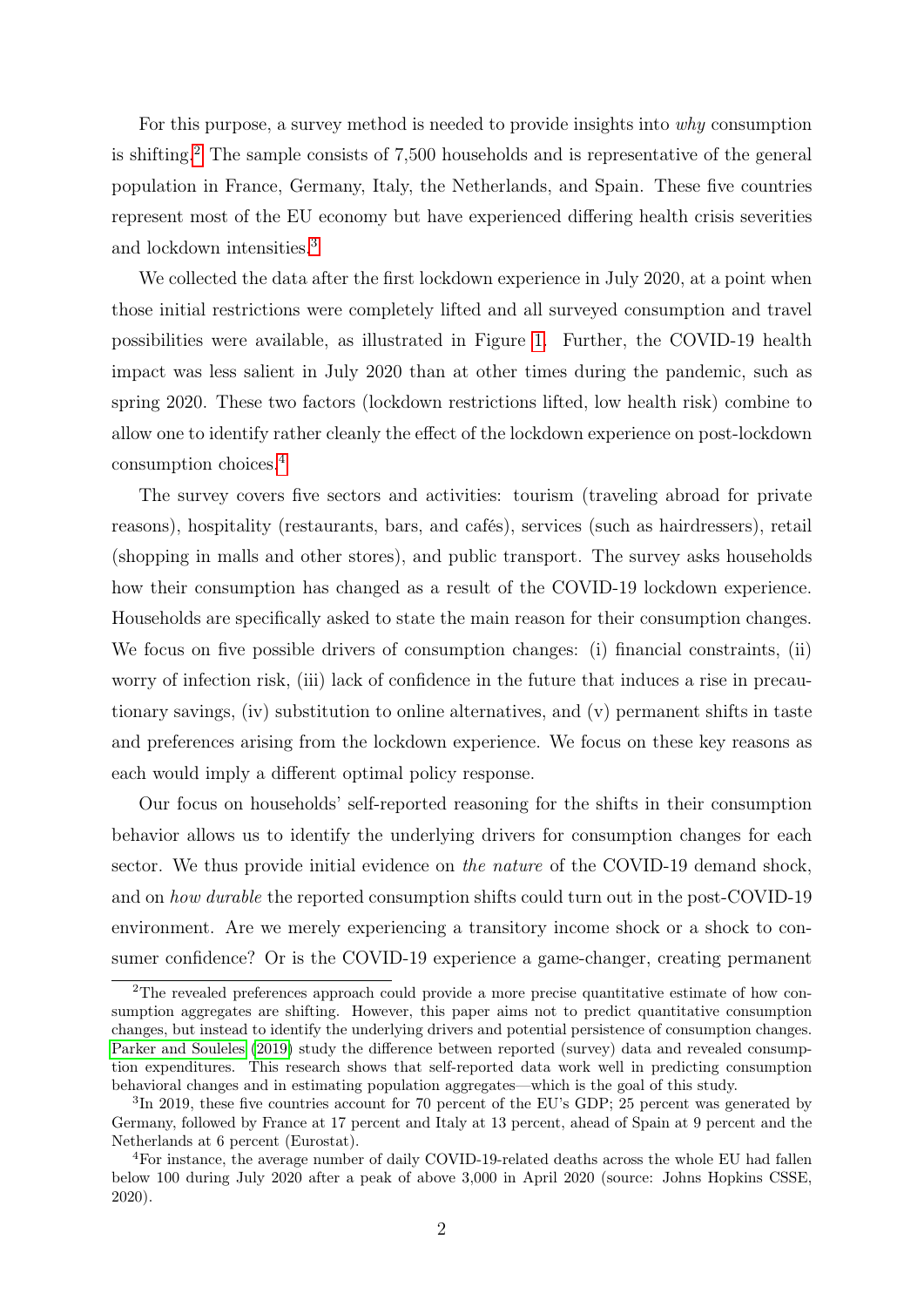For this purpose, a survey method is needed to provide insights into why consumption is shifting.[2](#page-4-0) The sample consists of 7,500 households and is representative of the general population in France, Germany, Italy, the Netherlands, and Spain. These five countries represent most of the EU economy but have experienced differing health crisis severities and lockdown intensities.[3](#page-4-1)

We collected the data after the first lockdown experience in July 2020, at a point when those initial restrictions were completely lifted and all surveyed consumption and travel possibilities were available, as illustrated in Figure [1.](#page-5-0) Further, the COVID-19 health impact was less salient in July 2020 than at other times during the pandemic, such as spring 2020. These two factors (lockdown restrictions lifted, low health risk) combine to allow one to identify rather cleanly the effect of the lockdown experience on post-lockdown consumption choices.[4](#page-4-2)

The survey covers five sectors and activities: tourism (traveling abroad for private reasons), hospitality (restaurants, bars, and cafés), services (such as hairdressers), retail (shopping in malls and other stores), and public transport. The survey asks households how their consumption has changed as a result of the COVID-19 lockdown experience. Households are specifically asked to state the main reason for their consumption changes. We focus on five possible drivers of consumption changes: (i) financial constraints, (ii) worry of infection risk, (iii) lack of confidence in the future that induces a rise in precautionary savings, (iv) substitution to online alternatives, and (v) permanent shifts in taste and preferences arising from the lockdown experience. We focus on these key reasons as each would imply a different optimal policy response.

Our focus on households' self-reported reasoning for the shifts in their consumption behavior allows us to identify the underlying drivers for consumption changes for each sector. We thus provide initial evidence on the nature of the COVID-19 demand shock, and on how durable the reported consumption shifts could turn out in the post-COVID-19 environment. Are we merely experiencing a transitory income shock or a shock to consumer confidence? Or is the COVID-19 experience a game-changer, creating permanent

<span id="page-4-0"></span><sup>&</sup>lt;sup>2</sup>The revealed preferences approach could provide a more precise quantitative estimate of how consumption aggregates are shifting. However, this paper aims not to predict quantitative consumption changes, but instead to identify the underlying drivers and potential persistence of consumption changes. [Parker and Souleles](#page-43-5) [\(2019\)](#page-43-5) study the difference between reported (survey) data and revealed consumption expenditures. This research shows that self-reported data work well in predicting consumption behavioral changes and in estimating population aggregates—which is the goal of this study.

<span id="page-4-1"></span><sup>&</sup>lt;sup>3</sup>In 2019, these five countries account for 70 percent of the EU's GDP; 25 percent was generated by Germany, followed by France at 17 percent and Italy at 13 percent, ahead of Spain at 9 percent and the Netherlands at 6 percent (Eurostat).

<span id="page-4-2"></span><sup>4</sup>For instance, the average number of daily COVID-19-related deaths across the whole EU had fallen below 100 during July 2020 after a peak of above 3,000 in April 2020 (source: Johns Hopkins CSSE, 2020).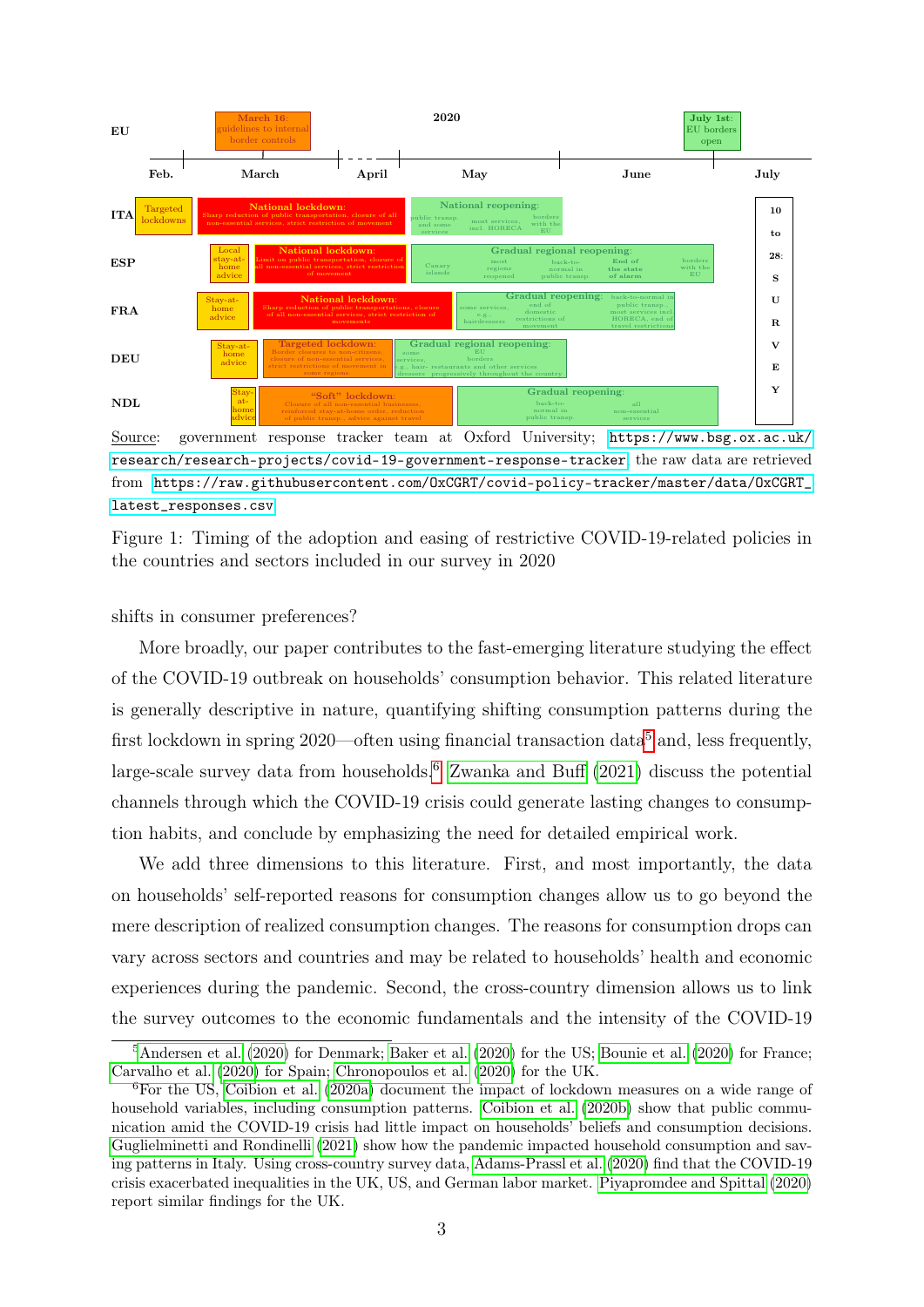<span id="page-5-0"></span>

Source: government response tracker team at Oxford University; [https://www.bsg.ox.ac.uk/](https://www.bsg.ox.ac.uk/research/research-projects/covid-19-government-response-tracker) [research/research-projects/covid-19-government-response-tracker](https://www.bsg.ox.ac.uk/research/research-projects/covid-19-government-response-tracker), the raw data are retrieved from [https://raw.githubusercontent.com/OxCGRT/covid-policy-tracker/master/data/OxCGRT\\_](https://raw.githubusercontent.com/OxCGRT/covid-policy-tracker/master/data/OxCGRT_latest_responses.csv) [latest\\_responses.csv](https://raw.githubusercontent.com/OxCGRT/covid-policy-tracker/master/data/OxCGRT_latest_responses.csv)

Figure 1: Timing of the adoption and easing of restrictive COVID-19-related policies in the countries and sectors included in our survey in 2020

#### shifts in consumer preferences?

More broadly, our paper contributes to the fast-emerging literature studying the effect of the COVID-19 outbreak on households' consumption behavior. This related literature is generally descriptive in nature, quantifying shifting consumption patterns during the first lockdown in spring  $2020$ —often using financial transaction data<sup>[5](#page-5-1)</sup> and, less frequently, large-scale survey data from households.<sup>[6](#page-5-2)</sup> [Zwanka and Buff](#page-44-1)  $(2021)$  discuss the potential channels through which the COVID-19 crisis could generate lasting changes to consumption habits, and conclude by emphasizing the need for detailed empirical work.

We add three dimensions to this literature. First, and most importantly, the data on households' self-reported reasons for consumption changes allow us to go beyond the mere description of realized consumption changes. The reasons for consumption drops can vary across sectors and countries and may be related to households' health and economic experiences during the pandemic. Second, the cross-country dimension allows us to link the survey outcomes to the economic fundamentals and the intensity of the COVID-19

<span id="page-5-1"></span><sup>&</sup>lt;sup>5</sup>[Andersen et al.](#page-41-0) [\(2020\)](#page-42-3) for Denmark; [Baker et al.](#page-42-2) (2020) for the US; [Bounie et al.](#page-42-3) (2020) for France; [Carvalho et al.](#page-42-4) [\(2020\)](#page-42-4) for Spain; [Chronopoulos et al.](#page-42-5) [\(2020\)](#page-42-5) for the UK.

<span id="page-5-2"></span><sup>6</sup>For the US, [Coibion et al.](#page-42-6) [\(2020a\)](#page-42-6) document the impact of lockdown measures on a wide range of household variables, including consumption patterns. [Coibion et al.](#page-42-7) [\(2020b\)](#page-42-7) show that public communication amid the COVID-19 crisis had little impact on households' beliefs and consumption decisions. [Guglielminetti and Rondinelli](#page-43-6) [\(2021\)](#page-43-6) show how the pandemic impacted household consumption and saving patterns in Italy. Using cross-country survey data, [Adams-Prassl et al.](#page-41-1) [\(2020\)](#page-41-1) find that the COVID-19 crisis exacerbated inequalities in the UK, US, and German labor market. [Piyapromdee and Spittal](#page-44-2) [\(2020\)](#page-44-2) report similar findings for the UK.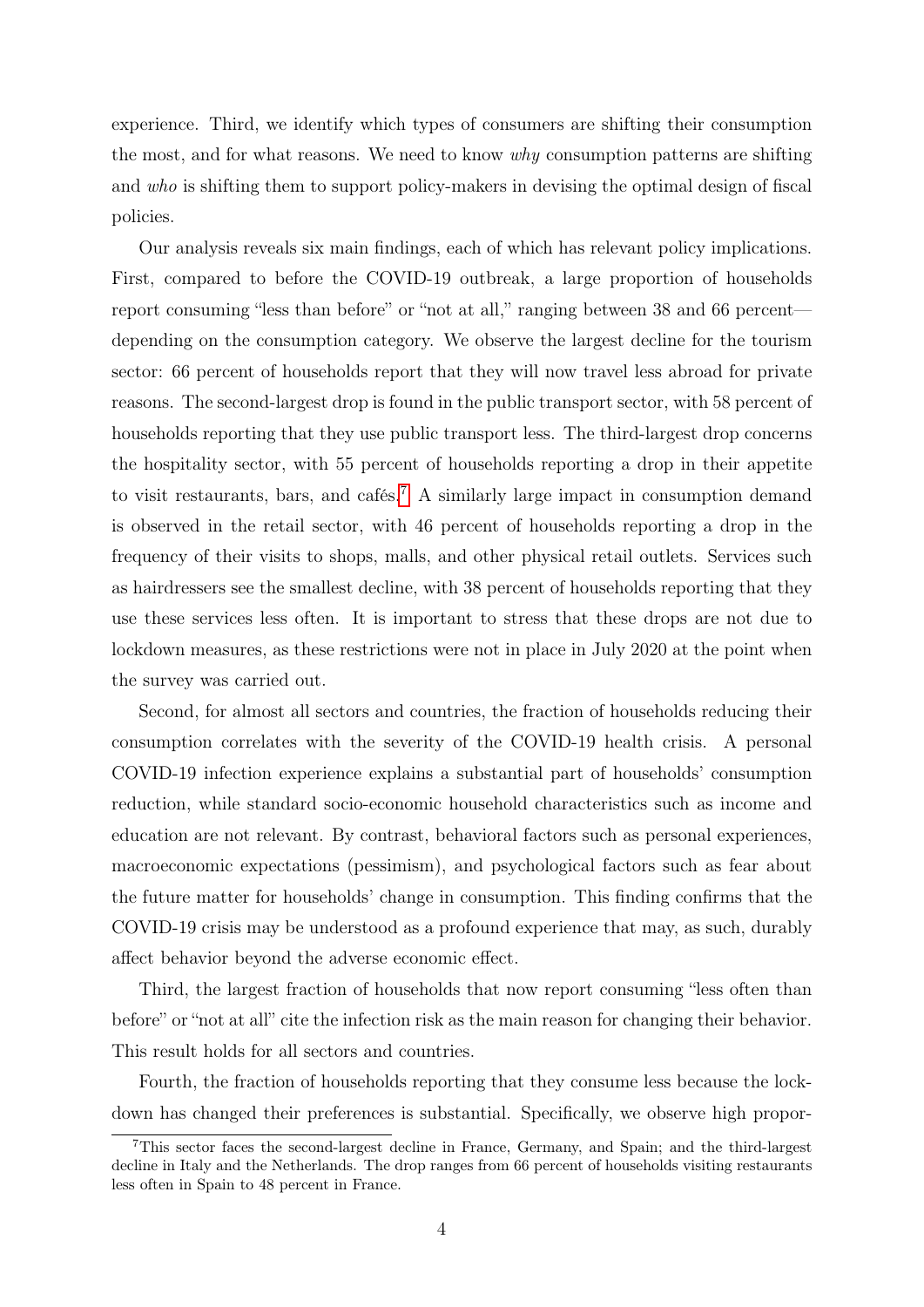experience. Third, we identify which types of consumers are shifting their consumption the most, and for what reasons. We need to know why consumption patterns are shifting and who is shifting them to support policy-makers in devising the optimal design of fiscal policies.

Our analysis reveals six main findings, each of which has relevant policy implications. First, compared to before the COVID-19 outbreak, a large proportion of households report consuming "less than before" or "not at all," ranging between 38 and 66 percent depending on the consumption category. We observe the largest decline for the tourism sector: 66 percent of households report that they will now travel less abroad for private reasons. The second-largest drop is found in the public transport sector, with 58 percent of households reporting that they use public transport less. The third-largest drop concerns the hospitality sector, with 55 percent of households reporting a drop in their appetite to visit restaurants, bars, and cafés.<sup>[7](#page-6-0)</sup> A similarly large impact in consumption demand is observed in the retail sector, with 46 percent of households reporting a drop in the frequency of their visits to shops, malls, and other physical retail outlets. Services such as hairdressers see the smallest decline, with 38 percent of households reporting that they use these services less often. It is important to stress that these drops are not due to lockdown measures, as these restrictions were not in place in July 2020 at the point when the survey was carried out.

Second, for almost all sectors and countries, the fraction of households reducing their consumption correlates with the severity of the COVID-19 health crisis. A personal COVID-19 infection experience explains a substantial part of households' consumption reduction, while standard socio-economic household characteristics such as income and education are not relevant. By contrast, behavioral factors such as personal experiences, macroeconomic expectations (pessimism), and psychological factors such as fear about the future matter for households' change in consumption. This finding confirms that the COVID-19 crisis may be understood as a profound experience that may, as such, durably affect behavior beyond the adverse economic effect.

Third, the largest fraction of households that now report consuming "less often than before" or "not at all" cite the infection risk as the main reason for changing their behavior. This result holds for all sectors and countries.

Fourth, the fraction of households reporting that they consume less because the lockdown has changed their preferences is substantial. Specifically, we observe high propor-

<span id="page-6-0"></span><sup>7</sup>This sector faces the second-largest decline in France, Germany, and Spain; and the third-largest decline in Italy and the Netherlands. The drop ranges from 66 percent of households visiting restaurants less often in Spain to 48 percent in France.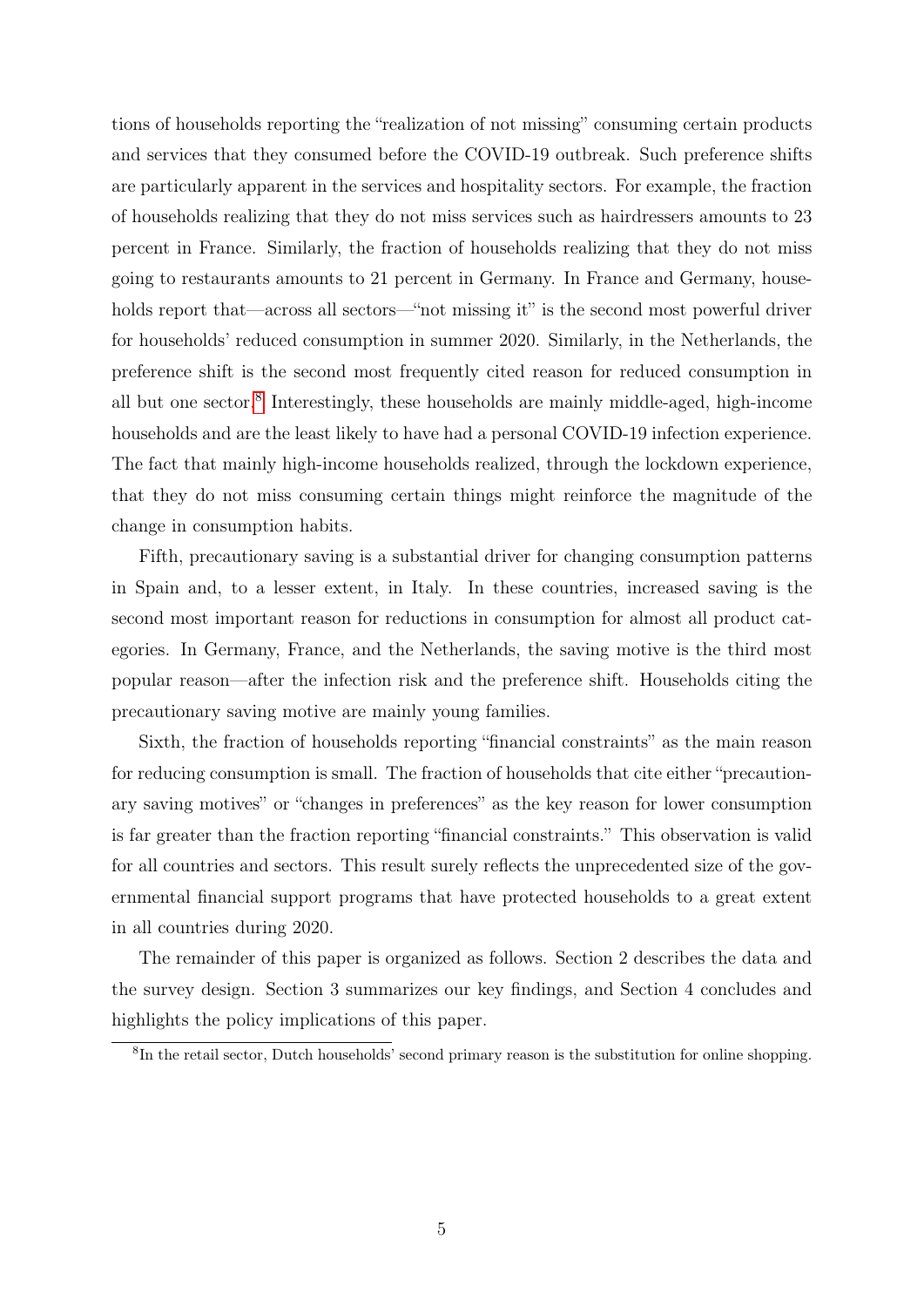tions of households reporting the "realization of not missing" consuming certain products and services that they consumed before the COVID-19 outbreak. Such preference shifts are particularly apparent in the services and hospitality sectors. For example, the fraction of households realizing that they do not miss services such as hairdressers amounts to 23 percent in France. Similarly, the fraction of households realizing that they do not miss going to restaurants amounts to 21 percent in Germany. In France and Germany, households report that—across all sectors—"not missing it" is the second most powerful driver for households' reduced consumption in summer 2020. Similarly, in the Netherlands, the preference shift is the second most frequently cited reason for reduced consumption in all but one sector.[8](#page-7-0) Interestingly, these households are mainly middle-aged, high-income households and are the least likely to have had a personal COVID-19 infection experience. The fact that mainly high-income households realized, through the lockdown experience, that they do not miss consuming certain things might reinforce the magnitude of the change in consumption habits.

Fifth, precautionary saving is a substantial driver for changing consumption patterns in Spain and, to a lesser extent, in Italy. In these countries, increased saving is the second most important reason for reductions in consumption for almost all product categories. In Germany, France, and the Netherlands, the saving motive is the third most popular reason—after the infection risk and the preference shift. Households citing the precautionary saving motive are mainly young families.

Sixth, the fraction of households reporting "financial constraints" as the main reason for reducing consumption is small. The fraction of households that cite either "precautionary saving motives" or "changes in preferences" as the key reason for lower consumption is far greater than the fraction reporting "financial constraints." This observation is valid for all countries and sectors. This result surely reflects the unprecedented size of the governmental financial support programs that have protected households to a great extent in all countries during 2020.

The remainder of this paper is organized as follows. Section 2 describes the data and the survey design. Section 3 summarizes our key findings, and Section 4 concludes and highlights the policy implications of this paper.

<span id="page-7-0"></span><sup>&</sup>lt;sup>8</sup>In the retail sector, Dutch households' second primary reason is the substitution for online shopping.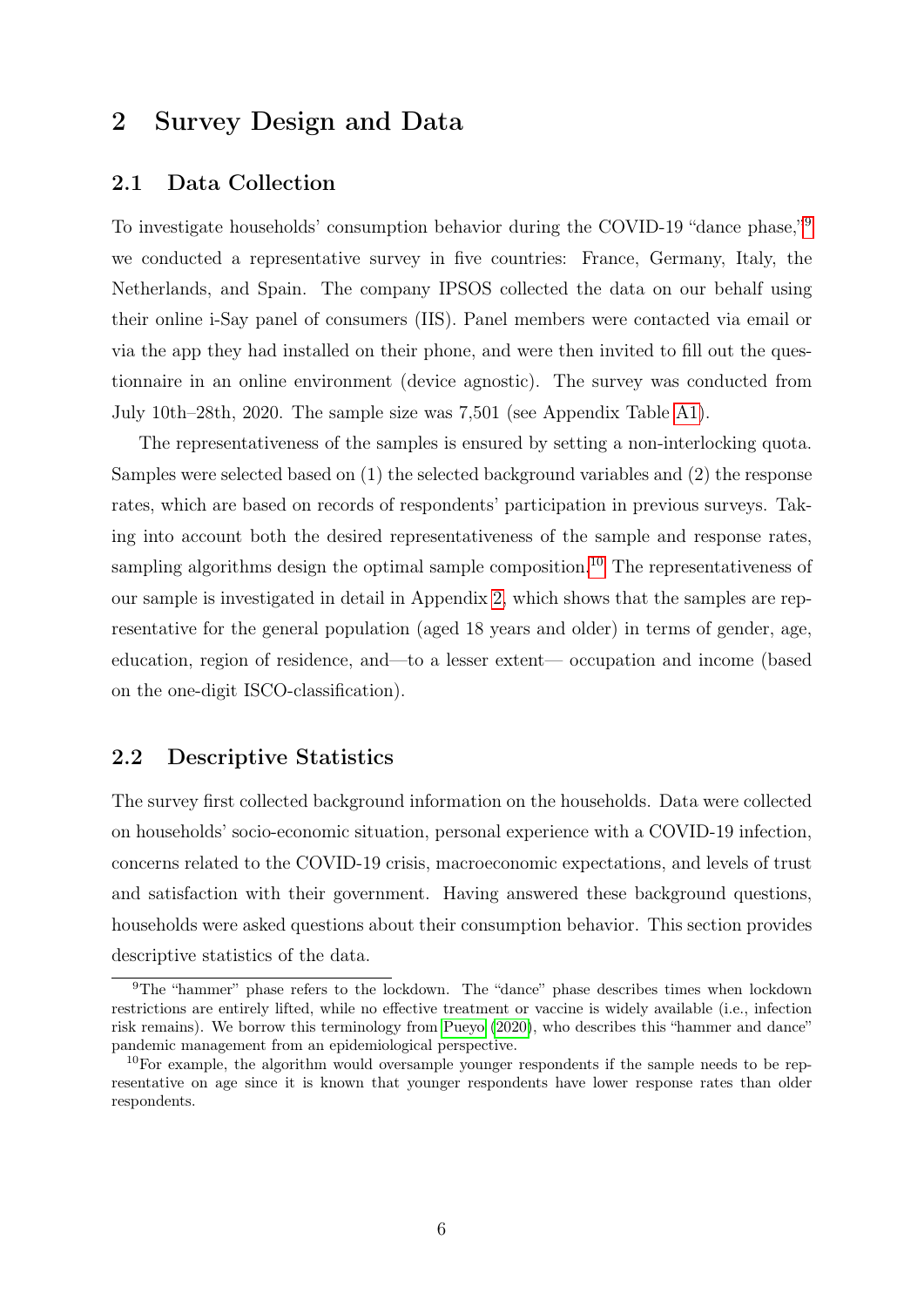### <span id="page-8-2"></span>2 Survey Design and Data

### 2.1 Data Collection

To investigate households' consumption behavior during the COVID-1[9](#page-8-0) "dance phase,"<sup>9</sup> we conducted a representative survey in five countries: France, Germany, Italy, the Netherlands, and Spain. The company IPSOS collected the data on our behalf using their online i-Say panel of consumers (IIS). Panel members were contacted via email or via the app they had installed on their phone, and were then invited to fill out the questionnaire in an online environment (device agnostic). The survey was conducted from July 10th–28th, 2020. The sample size was 7,501 (see Appendix Table [A1\)](#page-45-0).

The representativeness of the samples is ensured by setting a non-interlocking quota. Samples were selected based on (1) the selected background variables and (2) the response rates, which are based on records of respondents' participation in previous surveys. Taking into account both the desired representativeness of the sample and response rates, sampling algorithms design the optimal sample composition.<sup>[10](#page-8-1)</sup> The representativeness of our sample is investigated in detail in Appendix [2,](#page-8-2) which shows that the samples are representative for the general population (aged 18 years and older) in terms of gender, age, education, region of residence, and—to a lesser extent— occupation and income (based on the one-digit ISCO-classification).

### 2.2 Descriptive Statistics

The survey first collected background information on the households. Data were collected on households' socio-economic situation, personal experience with a COVID-19 infection, concerns related to the COVID-19 crisis, macroeconomic expectations, and levels of trust and satisfaction with their government. Having answered these background questions, households were asked questions about their consumption behavior. This section provides descriptive statistics of the data.

<span id="page-8-0"></span><sup>9</sup>The "hammer" phase refers to the lockdown. The "dance" phase describes times when lockdown restrictions are entirely lifted, while no effective treatment or vaccine is widely available (i.e., infection risk remains). We borrow this terminology from [Pueyo](#page-44-3) [\(2020\)](#page-44-3), who describes this "hammer and dance" pandemic management from an epidemiological perspective.

<span id="page-8-1"></span> $10$ For example, the algorithm would oversample younger respondents if the sample needs to be representative on age since it is known that younger respondents have lower response rates than older respondents.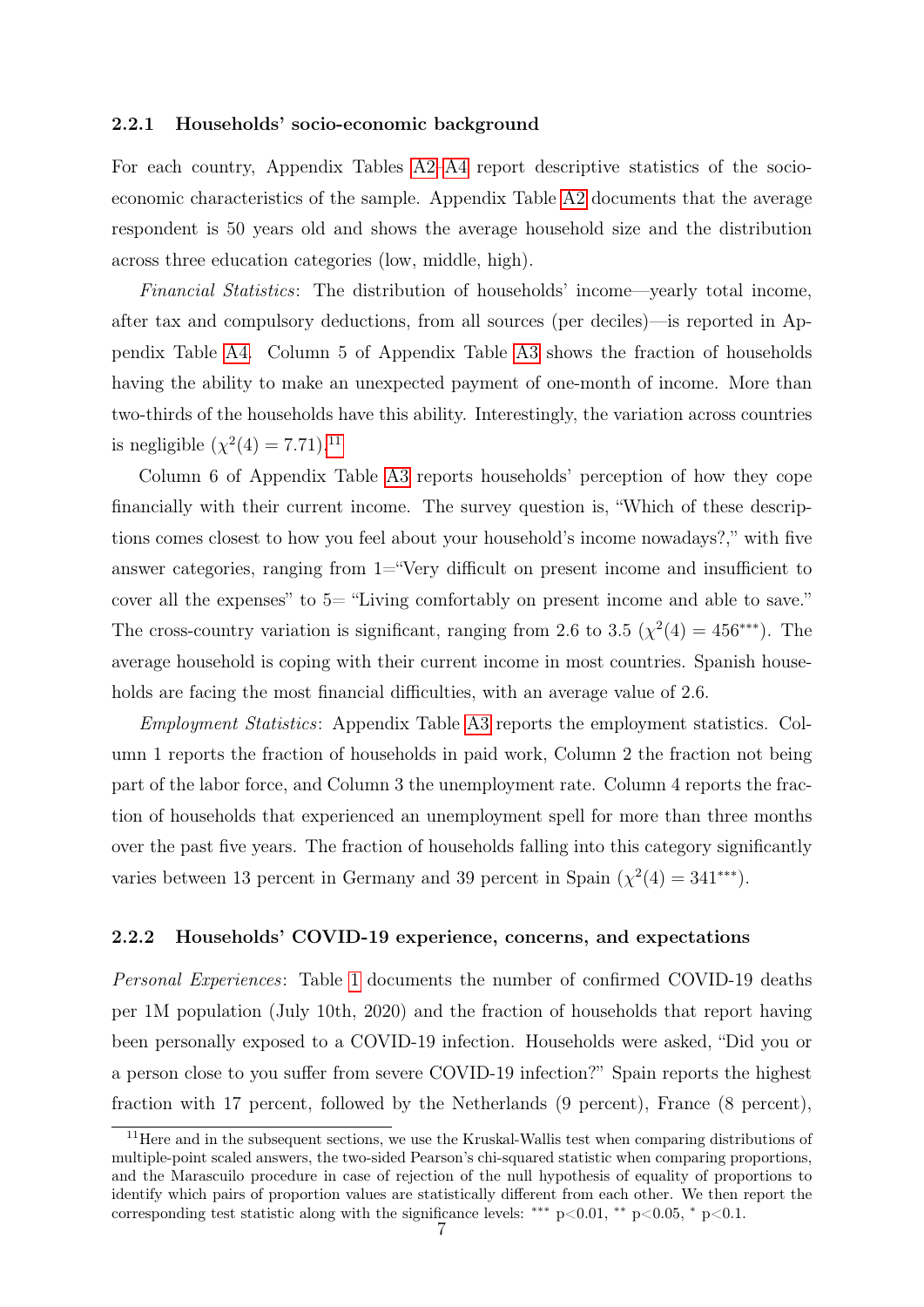#### 2.2.1 Households' socio-economic background

For each country, Appendix Tables [A2–](#page-46-0)[A4](#page-48-0) report descriptive statistics of the socioeconomic characteristics of the sample. Appendix Table [A2](#page-46-0) documents that the average respondent is 50 years old and shows the average household size and the distribution across three education categories (low, middle, high).

Financial Statistics: The distribution of households' income—yearly total income, after tax and compulsory deductions, from all sources (per deciles)—is reported in Appendix Table [A4.](#page-48-0) Column 5 of Appendix Table [A3](#page-47-0) shows the fraction of households having the ability to make an unexpected payment of one-month of income. More than two-thirds of the households have this ability. Interestingly, the variation across countries is negligible  $(\chi^2(4) = 7.71).^{11}$  $(\chi^2(4) = 7.71).^{11}$  $(\chi^2(4) = 7.71).^{11}$ 

Column 6 of Appendix Table [A3](#page-47-0) reports households' perception of how they cope financially with their current income. The survey question is, "Which of these descriptions comes closest to how you feel about your household's income nowadays?," with five answer categories, ranging from 1="Very difficult on present income and insufficient to cover all the expenses" to 5= "Living comfortably on present income and able to save." The cross-country variation is significant, ranging from 2.6 to 3.5 ( $\chi^2(4) = 456$ <sup>\*\*\*</sup>). The average household is coping with their current income in most countries. Spanish households are facing the most financial difficulties, with an average value of 2.6.

Employment Statistics: Appendix Table [A3](#page-47-0) reports the employment statistics. Column 1 reports the fraction of households in paid work, Column 2 the fraction not being part of the labor force, and Column 3 the unemployment rate. Column 4 reports the fraction of households that experienced an unemployment spell for more than three months over the past five years. The fraction of households falling into this category significantly varies between 13 percent in Germany and 39 percent in Spain  $(\chi^2(4) = 341^{***})$ .

#### 2.2.2 Households' COVID-19 experience, concerns, and expectations

Personal Experiences: Table [1](#page-10-0) documents the number of confirmed COVID-19 deaths per 1M population (July 10th, 2020) and the fraction of households that report having been personally exposed to a COVID-19 infection. Households were asked, "Did you or a person close to you suffer from severe COVID-19 infection?" Spain reports the highest fraction with 17 percent, followed by the Netherlands (9 percent), France (8 percent),

<span id="page-9-0"></span><sup>&</sup>lt;sup>11</sup>Here and in the subsequent sections, we use the Kruskal-Wallis test when comparing distributions of multiple-point scaled answers, the two-sided Pearson's chi-squared statistic when comparing proportions, and the Marascuilo procedure in case of rejection of the null hypothesis of equality of proportions to identify which pairs of proportion values are statistically different from each other. We then report the corresponding test statistic along with the significance levels: \*\*\* p<0.01, \*\* p<0.05, \* p<0.1.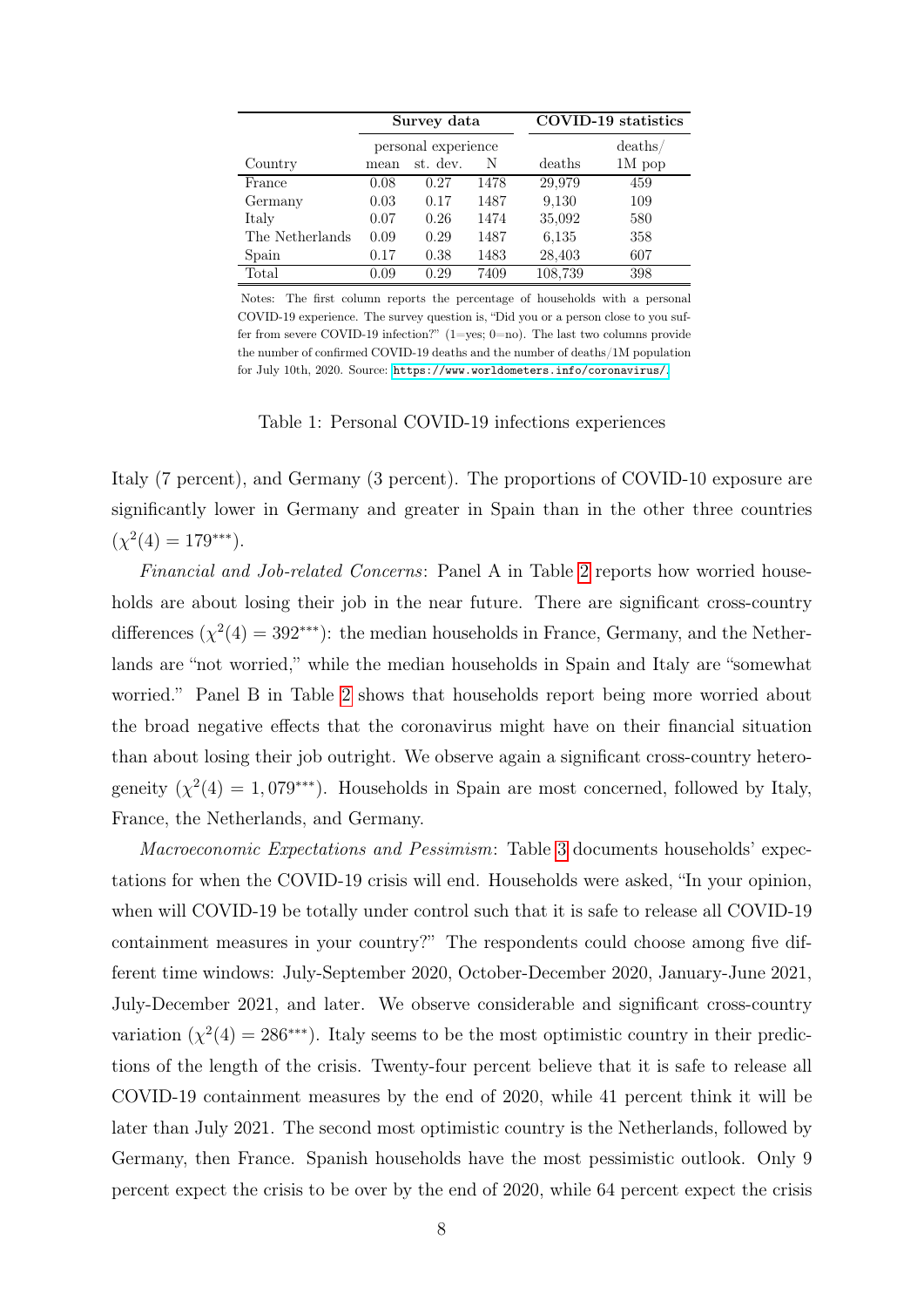<span id="page-10-0"></span>

|                 | Survey data |                     |      |         | COVID-19 statistics |
|-----------------|-------------|---------------------|------|---------|---------------------|
|                 |             | personal experience |      |         | deaths/             |
| Country         | mean        | st. dev.            | N    | deaths  | $1M$ pop            |
| France          | 0.08        | 0.27                | 1478 | 29,979  | 459                 |
| Germany         | 0.03        | 0.17                | 1487 | 9,130   | 109                 |
| Italy           | 0.07        | 0.26                | 1474 | 35,092  | 580                 |
| The Netherlands | 0.09        | 0.29                | 1487 | 6.135   | 358                 |
| Spain           | 0.17        | 0.38                | 1483 | 28,403  | 607                 |
| Total           | 0.09        | 0.29                | 7409 | 108,739 | 398                 |

Notes: The first column reports the percentage of households with a personal COVID-19 experience. The survey question is, "Did you or a person close to you suffer from severe COVID-19 infection?"  $(1=yes; 0=no)$ . The last two columns provide the number of confirmed COVID-19 deaths and the number of deaths/1M population for July 10th, 2020. Source: <https://www.worldometers.info/coronavirus/>.

Table 1: Personal COVID-19 infections experiences

Italy (7 percent), and Germany (3 percent). The proportions of COVID-10 exposure are significantly lower in Germany and greater in Spain than in the other three countries  $(\chi^2(4) = 179^{***}).$ 

Financial and Job-related Concerns: Panel A in Table [2](#page-11-0) reports how worried households are about losing their job in the near future. There are significant cross-country differences  $(\chi^2(4) = 392^{***})$ : the median households in France, Germany, and the Netherlands are "not worried," while the median households in Spain and Italy are "somewhat worried." Panel B in Table [2](#page-11-0) shows that households report being more worried about the broad negative effects that the coronavirus might have on their financial situation than about losing their job outright. We observe again a significant cross-country heterogeneity  $(\chi^2(4) = 1,079^{***})$ . Households in Spain are most concerned, followed by Italy, France, the Netherlands, and Germany.

Macroeconomic Expectations and Pessimism: Table [3](#page-11-1) documents households' expectations for when the COVID-19 crisis will end. Households were asked, "In your opinion, when will COVID-19 be totally under control such that it is safe to release all COVID-19 containment measures in your country?" The respondents could choose among five different time windows: July-September 2020, October-December 2020, January-June 2021, July-December 2021, and later. We observe considerable and significant cross-country variation  $(\chi^2(4) = 286^{***})$ . Italy seems to be the most optimistic country in their predictions of the length of the crisis. Twenty-four percent believe that it is safe to release all COVID-19 containment measures by the end of 2020, while 41 percent think it will be later than July 2021. The second most optimistic country is the Netherlands, followed by Germany, then France. Spanish households have the most pessimistic outlook. Only 9 percent expect the crisis to be over by the end of 2020, while 64 percent expect the crisis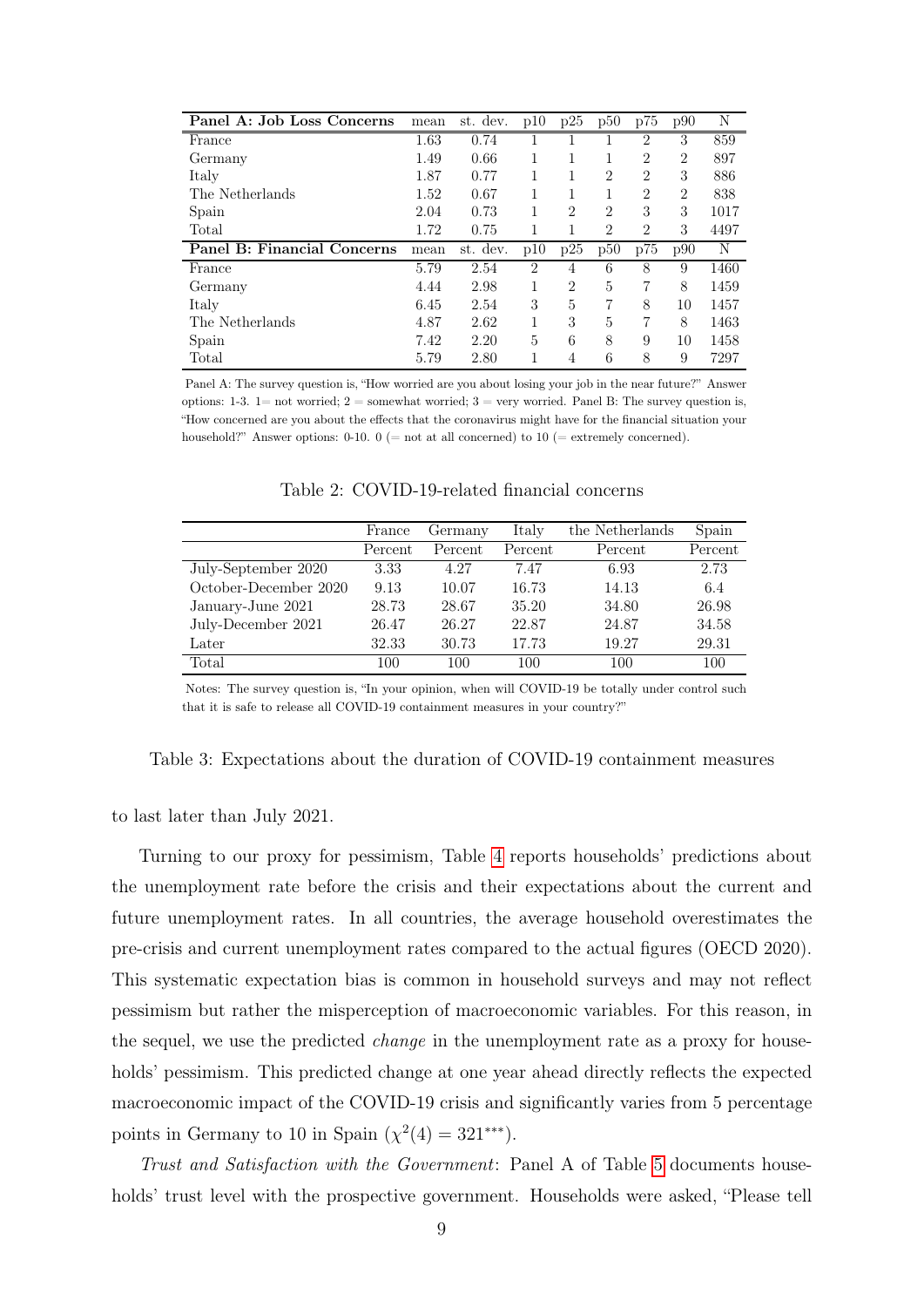<span id="page-11-0"></span>

| Panel A: Job Loss Concerns  | mean | st. dev. | p10 | p25            | p50            | p75            | p90            | Ν    |
|-----------------------------|------|----------|-----|----------------|----------------|----------------|----------------|------|
| France                      | 1.63 | 0.74     |     |                |                | 2              | 3              | 859  |
| Germany                     | 1.49 | 0.66     |     |                |                | $\overline{2}$ | $\overline{2}$ | 897  |
| Italy                       | 1.87 | 0.77     |     |                | 2              | 2              | 3              | 886  |
| The Netherlands             | 1.52 | 0.67     | 1   |                |                | $\overline{2}$ | $\overline{2}$ | 838  |
| Spain                       | 2.04 | 0.73     |     | $\overline{2}$ | $\overline{2}$ | 3              | 3              | 1017 |
| Total                       | 1.72 | 0.75     |     |                | 2              | $\overline{2}$ | 3              | 4497 |
| Panel B: Financial Concerns | mean | st. dev. | p10 | p25            | p50            | p75            | p90            | N    |
| France                      | 5.79 | 2.54     | 2   | 4              | 6              | 8              | 9              | 1460 |
| Germany                     | 4.44 | 2.98     | 1   | $\overline{2}$ | 5              | 7              | 8              | 1459 |
| Italy                       | 6.45 | 2.54     | 3   | 5              | 7              | 8              | 10             | 1457 |
| The Netherlands             | 4.87 | 2.62     |     | 3              | 5              | 7              | 8              | 1463 |
| Spain                       | 7.42 | 2.20     | 5   | 6              | 8              | 9              | 10             | 1458 |
| Total                       | 5.79 | 2.80     |     | 4              | 6              | 8              | 9              | 7297 |

Panel A: The survey question is, "How worried are you about losing your job in the near future?" Answer options: 1-3. 1= not worried; 2 = somewhat worried; 3 = very worried. Panel B: The survey question is, "How concerned are you about the effects that the coronavirus might have for the financial situation your household?" Answer options:  $0-10$ .  $0 (= not at all concerned)$  to  $10 (= extremely concerned)$ .

<span id="page-11-1"></span>

|                       | France  | Germany | Italy   | the Netherlands | Spain   |
|-----------------------|---------|---------|---------|-----------------|---------|
|                       | Percent | Percent | Percent | Percent         | Percent |
| July-September 2020   | 3.33    | 4.27    | 7.47    | 6.93            | 2.73    |
| October-December 2020 | 9.13    | 10.07   | 16.73   | 14.13           | 6.4     |
| January-June 2021     | 28.73   | 28.67   | 35.20   | 34.80           | 26.98   |
| July-December 2021    | 26.47   | 26.27   | 22.87   | 24.87           | 34.58   |
| Later                 | 32.33   | 30.73   | 17.73   | 19.27           | 29.31   |
| Total                 | 100     | 100     | 100     | 100             | 100     |

Table 2: COVID-19-related financial concerns

Notes: The survey question is, "In your opinion, when will COVID-19 be totally under control such that it is safe to release all COVID-19 containment measures in your country?"

Table 3: Expectations about the duration of COVID-19 containment measures

to last later than July 2021.

Turning to our proxy for pessimism, Table [4](#page-12-0) reports households' predictions about the unemployment rate before the crisis and their expectations about the current and future unemployment rates. In all countries, the average household overestimates the pre-crisis and current unemployment rates compared to the actual figures (OECD 2020). This systematic expectation bias is common in household surveys and may not reflect pessimism but rather the misperception of macroeconomic variables. For this reason, in the sequel, we use the predicted change in the unemployment rate as a proxy for households' pessimism. This predicted change at one year ahead directly reflects the expected macroeconomic impact of the COVID-19 crisis and significantly varies from 5 percentage points in Germany to 10 in Spain  $(\chi^2(4) = 321^{***})$ .

Trust and Satisfaction with the Government: Panel A of Table [5](#page-13-0) documents households' trust level with the prospective government. Households were asked, "Please tell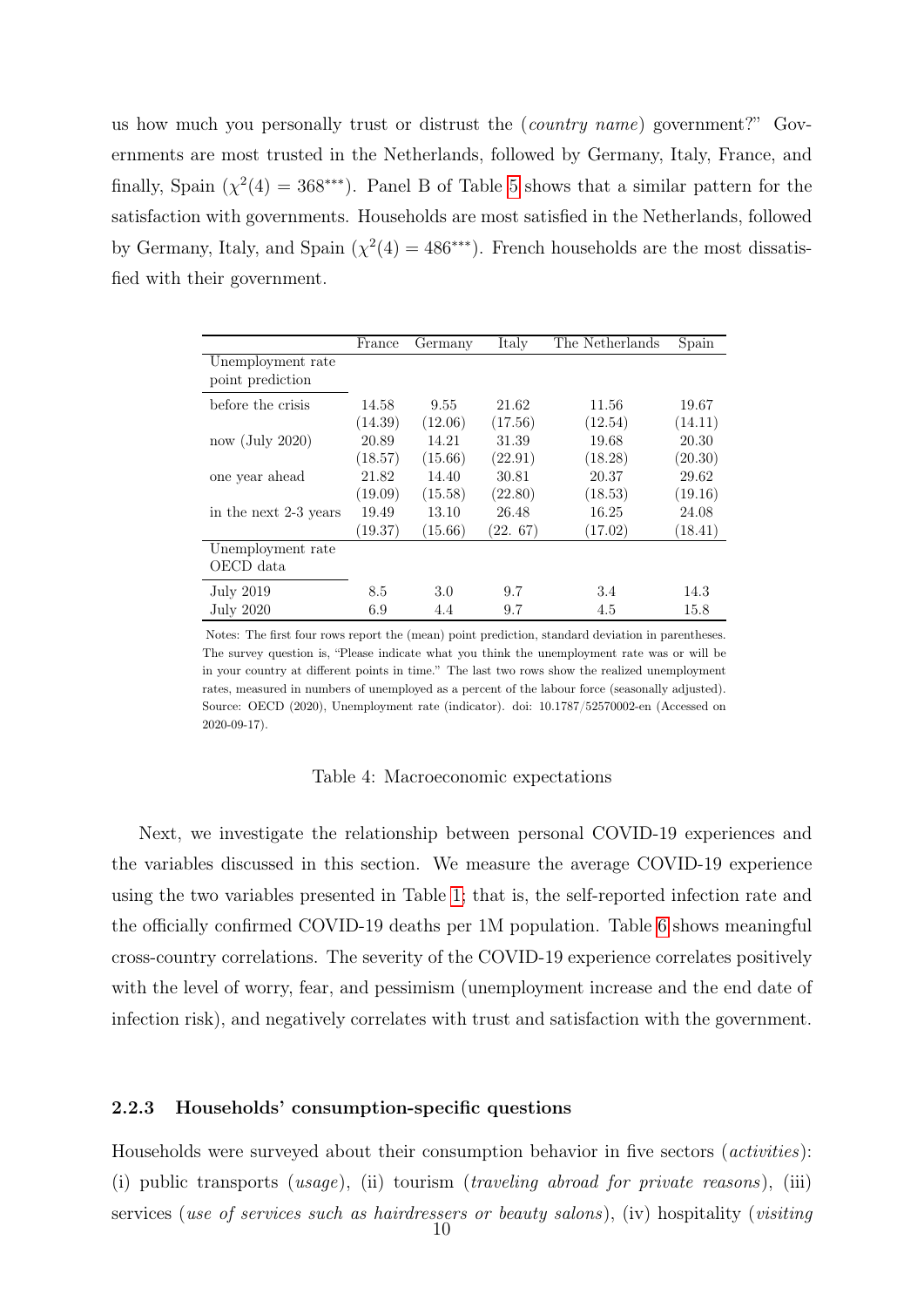us how much you personally trust or distrust the (country name) government?" Governments are most trusted in the Netherlands, followed by Germany, Italy, France, and finally, Spain  $(\chi^2(4) = 368^{***})$ . Panel B of Table [5](#page-13-0) shows that a similar pattern for the satisfaction with governments. Households are most satisfied in the Netherlands, followed by Germany, Italy, and Spain ( $\chi^2(4) = 486$ <sup>\*\*\*</sup>). French households are the most dissatisfied with their government.

<span id="page-12-0"></span>

|                       | France  | Germany | Italy   | The Netherlands | Spain   |
|-----------------------|---------|---------|---------|-----------------|---------|
| Unemployment rate     |         |         |         |                 |         |
| point prediction      |         |         |         |                 |         |
| before the crisis     | 14.58   | 9.55    | 21.62   | 11.56           | 19.67   |
|                       | (14.39) | (12.06) | (17.56) | (12.54)         | (14.11) |
| $now$ (July 2020)     | 20.89   | 14.21   | 31.39   | 19.68           | 20.30   |
|                       | (18.57) | (15.66) | (22.91) | (18.28)         | (20.30) |
| one year ahead        | 21.82   | 14.40   | 30.81   | 20.37           | 29.62   |
|                       | (19.09) | (15.58) | (22.80) | (18.53)         | (19.16) |
| in the next 2-3 years | 19.49   | 13.10   | 26.48   | 16.25           | 24.08   |
|                       | (19.37) | (15.66) | (22.67) | (17.02)         | (18.41) |
| Unemployment rate     |         |         |         |                 |         |
| OECD data             |         |         |         |                 |         |
| July 2019             | 8.5     | 3.0     | 9.7     | 3.4             | 14.3    |
| July 2020             | 6.9     | 4.4     | 9.7     | 4.5             | 15.8    |

Notes: The first four rows report the (mean) point prediction, standard deviation in parentheses. The survey question is, "Please indicate what you think the unemployment rate was or will be in your country at different points in time." The last two rows show the realized unemployment rates, measured in numbers of unemployed as a percent of the labour force (seasonally adjusted). Source: OECD (2020), Unemployment rate (indicator). doi: 10.1787/52570002-en (Accessed on 2020-09-17).

#### Table 4: Macroeconomic expectations

Next, we investigate the relationship between personal COVID-19 experiences and the variables discussed in this section. We measure the average COVID-19 experience using the two variables presented in Table [1;](#page-10-0) that is, the self-reported infection rate and the officially confirmed COVID-19 deaths per 1M population. Table [6](#page-13-1) shows meaningful cross-country correlations. The severity of the COVID-19 experience correlates positively with the level of worry, fear, and pessimism (unemployment increase and the end date of infection risk), and negatively correlates with trust and satisfaction with the government.

### 2.2.3 Households' consumption-specific questions

Households were surveyed about their consumption behavior in five sectors (activities): (i) public transports (usage), (ii) tourism (traveling abroad for private reasons), (iii) services (use of services such as hairdressers or beauty salons), (iv) hospitality (visiting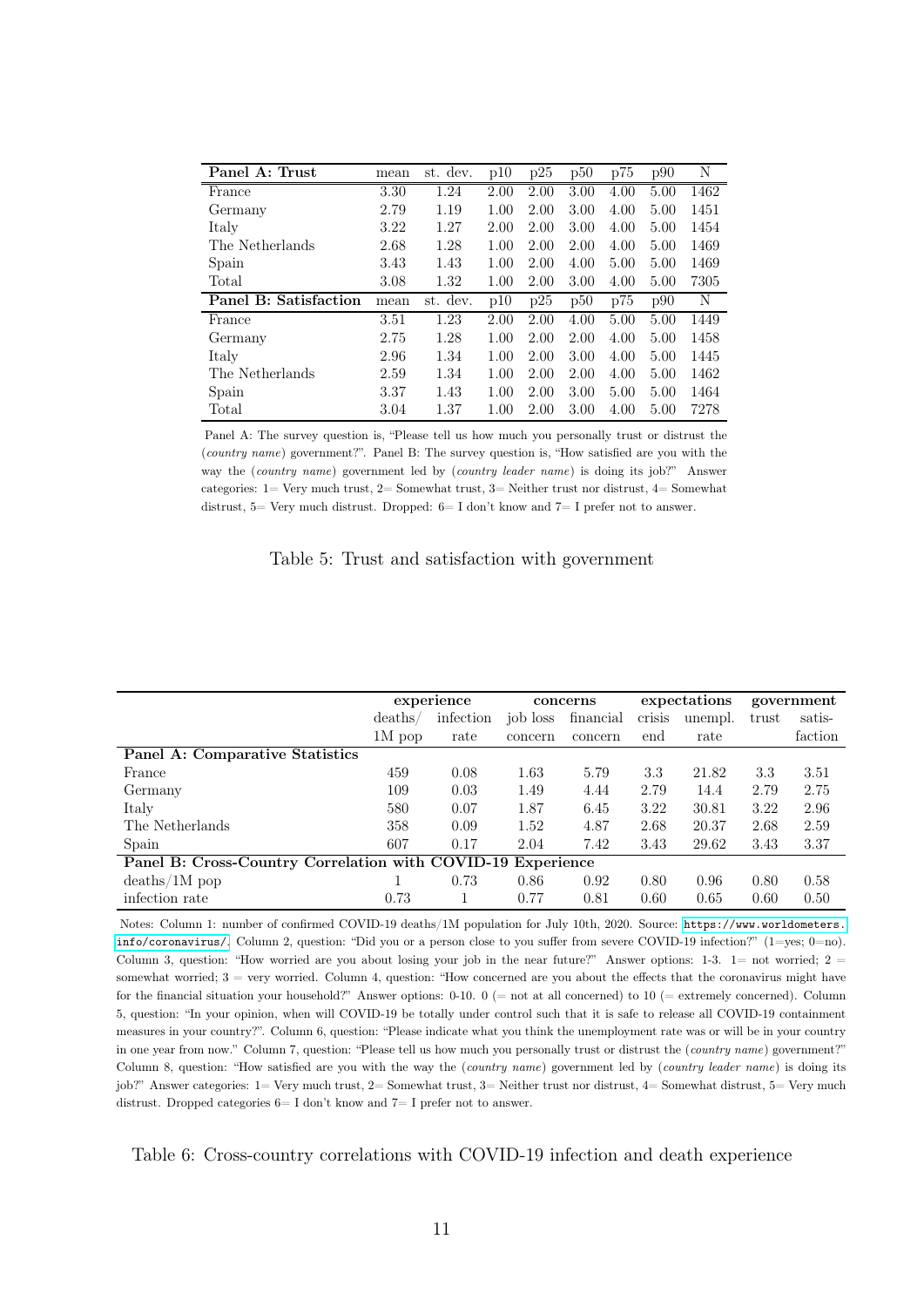<span id="page-13-0"></span>

| Panel A: Trust        | mean | st. dev. | p10  | p25  | p50  | p75  | p90  | Ν    |
|-----------------------|------|----------|------|------|------|------|------|------|
| France                | 3.30 | 1.24     | 2.00 | 2.00 | 3.00 | 4.00 | 5.00 | 1462 |
| Germany               | 2.79 | 1.19     | 1.00 | 2.00 | 3.00 | 4.00 | 5.00 | 1451 |
| Italy                 | 3.22 | 1.27     | 2.00 | 2.00 | 3.00 | 4.00 | 5.00 | 1454 |
| The Netherlands       | 2.68 | 1.28     | 1.00 | 2.00 | 2.00 | 4.00 | 5.00 | 1469 |
| Spain                 | 3.43 | 1.43     | 1.00 | 2.00 | 4.00 | 5.00 | 5.00 | 1469 |
| Total                 | 3.08 | 1.32     | 1.00 | 2.00 | 3.00 | 4.00 | 5.00 | 7305 |
| Panel B: Satisfaction | mean | st. dev. | p10  | p25  | p50  | p75  | p90  | N    |
| France                | 3.51 | 1.23     | 2.00 | 2.00 | 4.00 | 5.00 | 5.00 | 1449 |
| Germany               | 2.75 | 1.28     | 1.00 | 2.00 | 2.00 | 4.00 | 5.00 | 1458 |
| Italy                 | 2.96 | 1.34     | 1.00 | 2.00 | 3.00 | 4.00 | 5.00 | 1445 |
| The Netherlands       | 2.59 | 1.34     | 1.00 | 2.00 | 2.00 | 4.00 | 5.00 | 1462 |
| Spain                 | 3.37 | 1.43     | 1.00 | 2.00 | 3.00 | 5.00 | 5.00 | 1464 |
| Total                 | 3.04 | 1.37     | 1.00 | 2.00 | 3.00 | 4.00 | 5.00 | 7278 |

Panel A: The survey question is, "Please tell us how much you personally trust or distrust the (country name) government?". Panel B: The survey question is, "How satisfied are you with the way the (country name) government led by (country leader name) is doing its job?" Answer categories: 1= Very much trust, 2= Somewhat trust, 3= Neither trust nor distrust, 4= Somewhat distrust,  $5=$  Very much distrust. Dropped:  $6=$  I don't know and  $7=$  I prefer not to answer.

#### Table 5: Trust and satisfaction with government

<span id="page-13-1"></span>

|                                                             |          | experience |          | concerns  |        | expectations |       | government |
|-------------------------------------------------------------|----------|------------|----------|-----------|--------|--------------|-------|------------|
|                                                             | deaths/  | infection  | job loss | financial | crisis | unempl.      | trust | satis-     |
|                                                             | $1M$ pop | rate       | concern  | concern   | end    | rate         |       | faction    |
| Panel A: Comparative Statistics                             |          |            |          |           |        |              |       |            |
| France                                                      | 459      | 0.08       | 1.63     | 5.79      | 3.3    | 21.82        | 3.3   | 3.51       |
| Germany                                                     | 109      | 0.03       | 1.49     | 4.44      | 2.79   | 14.4         | 2.79  | 2.75       |
| Italy                                                       | 580      | 0.07       | 1.87     | 6.45      | 3.22   | 30.81        | 3.22  | 2.96       |
| The Netherlands                                             | 358      | 0.09       | 1.52     | 4.87      | 2.68   | 20.37        | 2.68  | 2.59       |
| Spain                                                       | 607      | 0.17       | 2.04     | 7.42      | 3.43   | 29.62        | 3.43  | 3.37       |
| Panel B: Cross-Country Correlation with COVID-19 Experience |          |            |          |           |        |              |       |            |
| $deaths/1M$ pop                                             |          | 0.73       | 0.86     | 0.92      | 0.80   | 0.96         | 0.80  | 0.58       |
| infection rate                                              | 0.73     |            | 0.77     | 0.81      | 0.60   | 0.65         | 0.60  | 0.50       |

Notes: Column 1: number of confirmed COVID-19 deaths/1M population for July 10th, 2020. Source: [https://www.worldometers.](https://www.worldometers.info/coronavirus/) [info/coronavirus/](https://www.worldometers.info/coronavirus/). Column 2, question: "Did you or a person close to you suffer from severe COVID-19 infection?" (1=yes; 0=no). Column 3, question: "How worried are you about losing your job in the near future?" Answer options: 1-3. 1= not worried;  $2 =$ somewhat worried; 3 = very worried. Column 4, question: "How concerned are you about the effects that the coronavirus might have for the financial situation your household?" Answer options:  $0-10$ .  $0 (=$  not at all concerned) to  $10 (=$  extremely concerned). Column 5, question: "In your opinion, when will COVID-19 be totally under control such that it is safe to release all COVID-19 containment measures in your country?". Column 6, question: "Please indicate what you think the unemployment rate was or will be in your country in one year from now." Column 7, question: "Please tell us how much you personally trust or distrust the (country name) government?" Column 8, question: "How satisfied are you with the way the (country name) government led by (country leader name) is doing its job?" Answer categories: 1= Very much trust, 2= Somewhat trust, 3= Neither trust nor distrust, 4= Somewhat distrust, 5= Very much distrust. Dropped categories  $6=I$  don't know and  $7=I$  prefer not to answer.

Table 6: Cross-country correlations with COVID-19 infection and death experience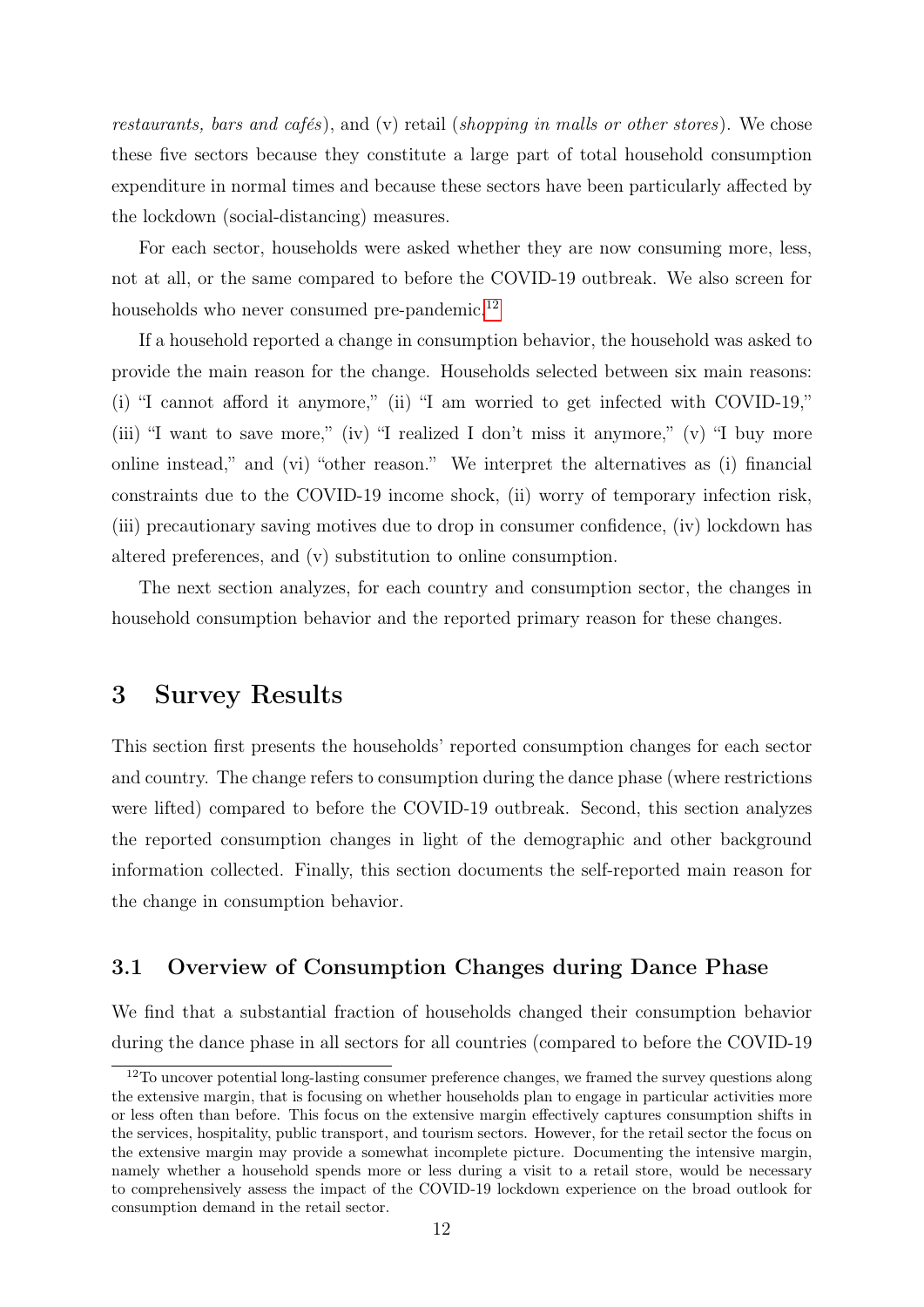restaurants, bars and cafés), and (v) retail (shopping in malls or other stores). We chose these five sectors because they constitute a large part of total household consumption expenditure in normal times and because these sectors have been particularly affected by the lockdown (social-distancing) measures.

For each sector, households were asked whether they are now consuming more, less, not at all, or the same compared to before the COVID-19 outbreak. We also screen for households who never consumed pre-pandemic.<sup>[12](#page-14-0)</sup>

If a household reported a change in consumption behavior, the household was asked to provide the main reason for the change. Households selected between six main reasons: (i) "I cannot afford it anymore," (ii) "I am worried to get infected with COVID-19," (iii) "I want to save more," (iv) "I realized I don't miss it anymore," (v) "I buy more online instead," and (vi) "other reason." We interpret the alternatives as (i) financial constraints due to the COVID-19 income shock, (ii) worry of temporary infection risk, (iii) precautionary saving motives due to drop in consumer confidence, (iv) lockdown has altered preferences, and (v) substitution to online consumption.

The next section analyzes, for each country and consumption sector, the changes in household consumption behavior and the reported primary reason for these changes.

## 3 Survey Results

This section first presents the households' reported consumption changes for each sector and country. The change refers to consumption during the dance phase (where restrictions were lifted) compared to before the COVID-19 outbreak. Second, this section analyzes the reported consumption changes in light of the demographic and other background information collected. Finally, this section documents the self-reported main reason for the change in consumption behavior.

### 3.1 Overview of Consumption Changes during Dance Phase

We find that a substantial fraction of households changed their consumption behavior during the dance phase in all sectors for all countries (compared to before the COVID-19

<span id="page-14-0"></span><sup>&</sup>lt;sup>12</sup>To uncover potential long-lasting consumer preference changes, we framed the survey questions along the extensive margin, that is focusing on whether households plan to engage in particular activities more or less often than before. This focus on the extensive margin effectively captures consumption shifts in the services, hospitality, public transport, and tourism sectors. However, for the retail sector the focus on the extensive margin may provide a somewhat incomplete picture. Documenting the intensive margin, namely whether a household spends more or less during a visit to a retail store, would be necessary to comprehensively assess the impact of the COVID-19 lockdown experience on the broad outlook for consumption demand in the retail sector.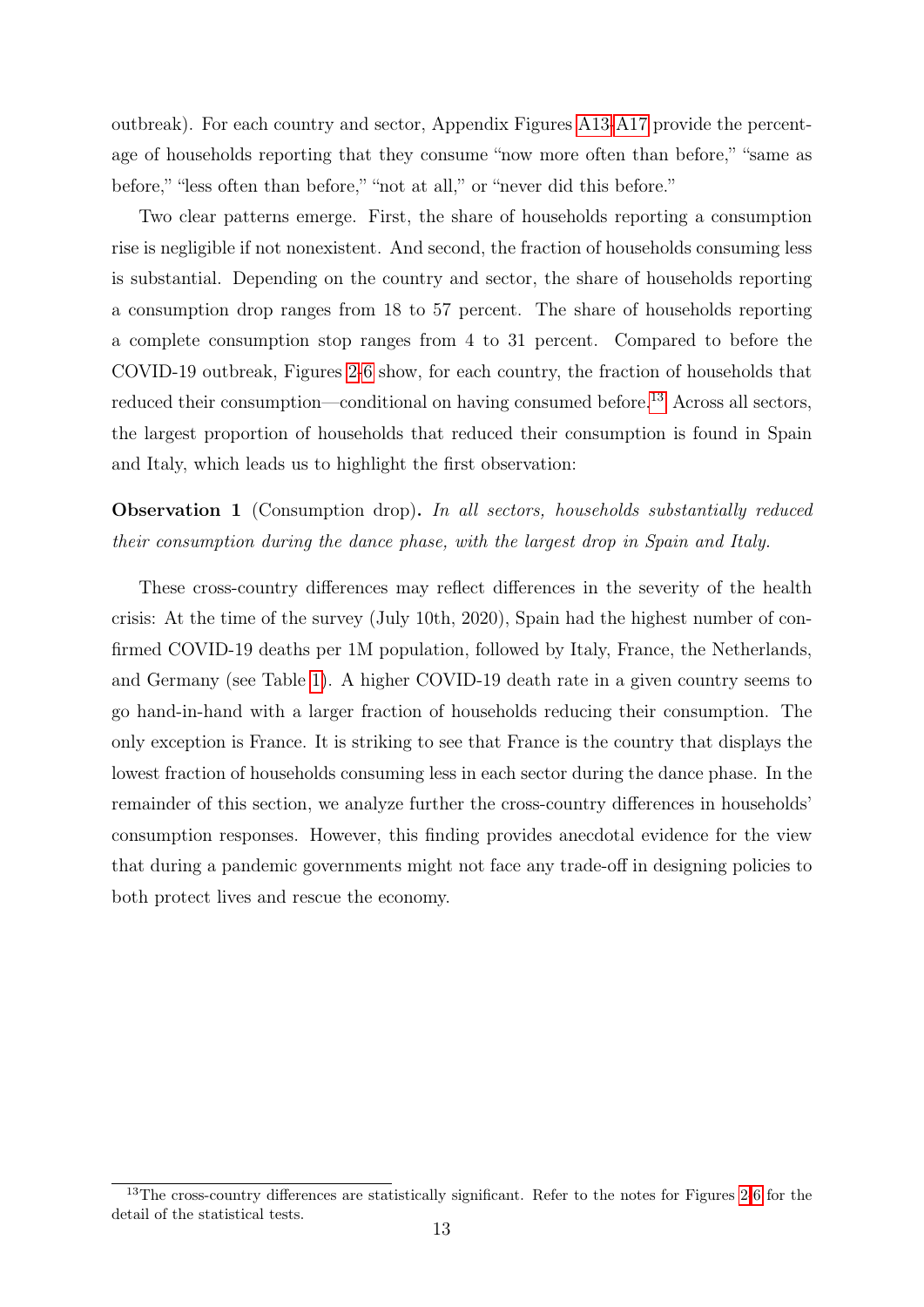outbreak). For each country and sector, Appendix Figures [A13-](#page-55-0)[A17](#page-57-0) provide the percentage of households reporting that they consume "now more often than before," "same as before," "less often than before," "not at all," or "never did this before."

Two clear patterns emerge. First, the share of households reporting a consumption rise is negligible if not nonexistent. And second, the fraction of households consuming less is substantial. Depending on the country and sector, the share of households reporting a consumption drop ranges from 18 to 57 percent. The share of households reporting a complete consumption stop ranges from 4 to 31 percent. Compared to before the COVID-19 outbreak, Figures [2-](#page-16-0)[6](#page-21-0) show, for each country, the fraction of households that reduced their consumption—conditional on having consumed before.<sup>[13](#page-15-0)</sup> Across all sectors, the largest proportion of households that reduced their consumption is found in Spain and Italy, which leads us to highlight the first observation:

### Observation 1 (Consumption drop). In all sectors, households substantially reduced their consumption during the dance phase, with the largest drop in Spain and Italy.

These cross-country differences may reflect differences in the severity of the health crisis: At the time of the survey (July 10th, 2020), Spain had the highest number of confirmed COVID-19 deaths per 1M population, followed by Italy, France, the Netherlands, and Germany (see Table [1\)](#page-10-0). A higher COVID-19 death rate in a given country seems to go hand-in-hand with a larger fraction of households reducing their consumption. The only exception is France. It is striking to see that France is the country that displays the lowest fraction of households consuming less in each sector during the dance phase. In the remainder of this section, we analyze further the cross-country differences in households' consumption responses. However, this finding provides anecdotal evidence for the view that during a pandemic governments might not face any trade-off in designing policies to both protect lives and rescue the economy.

<span id="page-15-0"></span><sup>&</sup>lt;sup>13</sup>The cross-country differences are statistically significant. Refer to the notes for Figures [2-](#page-16-0)[6](#page-21-0) for the detail of the statistical tests.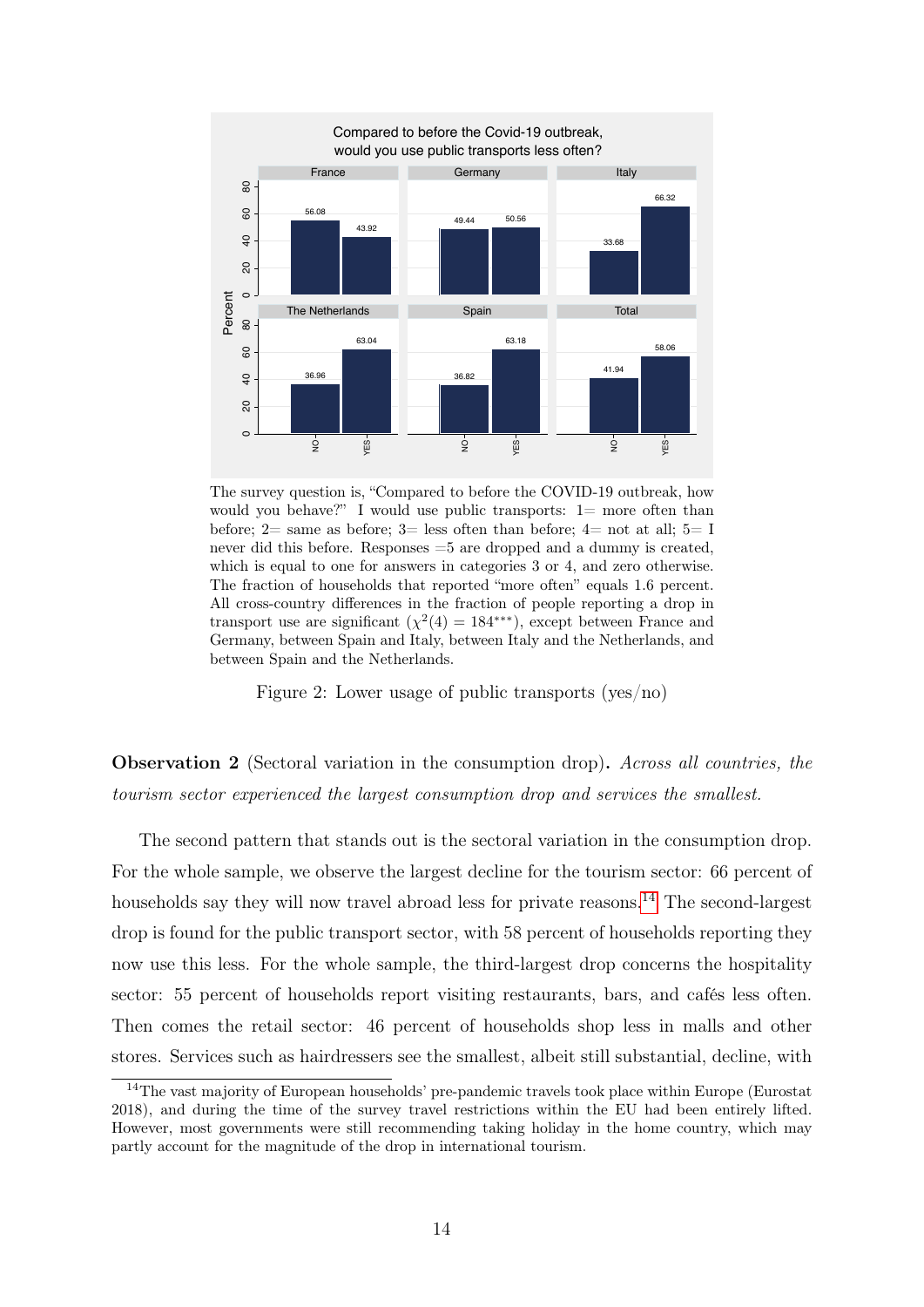<span id="page-16-0"></span>

The survey question is, "Compared to before the COVID-19 outbreak, how would you behave?" I would use public transports:  $1=$  more often than before;  $2=$  same as before;  $3=$  less often than before;  $4=$  not at all;  $5=$  I never did this before. Responses =5 are dropped and a dummy is created, which is equal to one for answers in categories 3 or 4, and zero otherwise. The fraction of households that reported "more often" equals 1.6 percent. All cross-country differences in the fraction of people reporting a drop in transport use are significant  $(\chi^2(4) = 184^{***})$ , except between France and Germany, between Spain and Italy, between Italy and the Netherlands, and between Spain and the Netherlands.

Figure 2: Lower usage of public transports (yes/no)

Observation 2 (Sectoral variation in the consumption drop). Across all countries, the tourism sector experienced the largest consumption drop and services the smallest.

The second pattern that stands out is the sectoral variation in the consumption drop. For the whole sample, we observe the largest decline for the tourism sector: 66 percent of households say they will now travel abroad less for private reasons.<sup>[14](#page-16-1)</sup> The second-largest drop is found for the public transport sector, with 58 percent of households reporting they now use this less. For the whole sample, the third-largest drop concerns the hospitality sector: 55 percent of households report visiting restaurants, bars, and cafés less often. Then comes the retail sector: 46 percent of households shop less in malls and other stores. Services such as hairdressers see the smallest, albeit still substantial, decline, with

<span id="page-16-1"></span><sup>14</sup>The vast majority of European households' pre-pandemic travels took place within Europe (Eurostat 2018), and during the time of the survey travel restrictions within the EU had been entirely lifted. However, most governments were still recommending taking holiday in the home country, which may partly account for the magnitude of the drop in international tourism.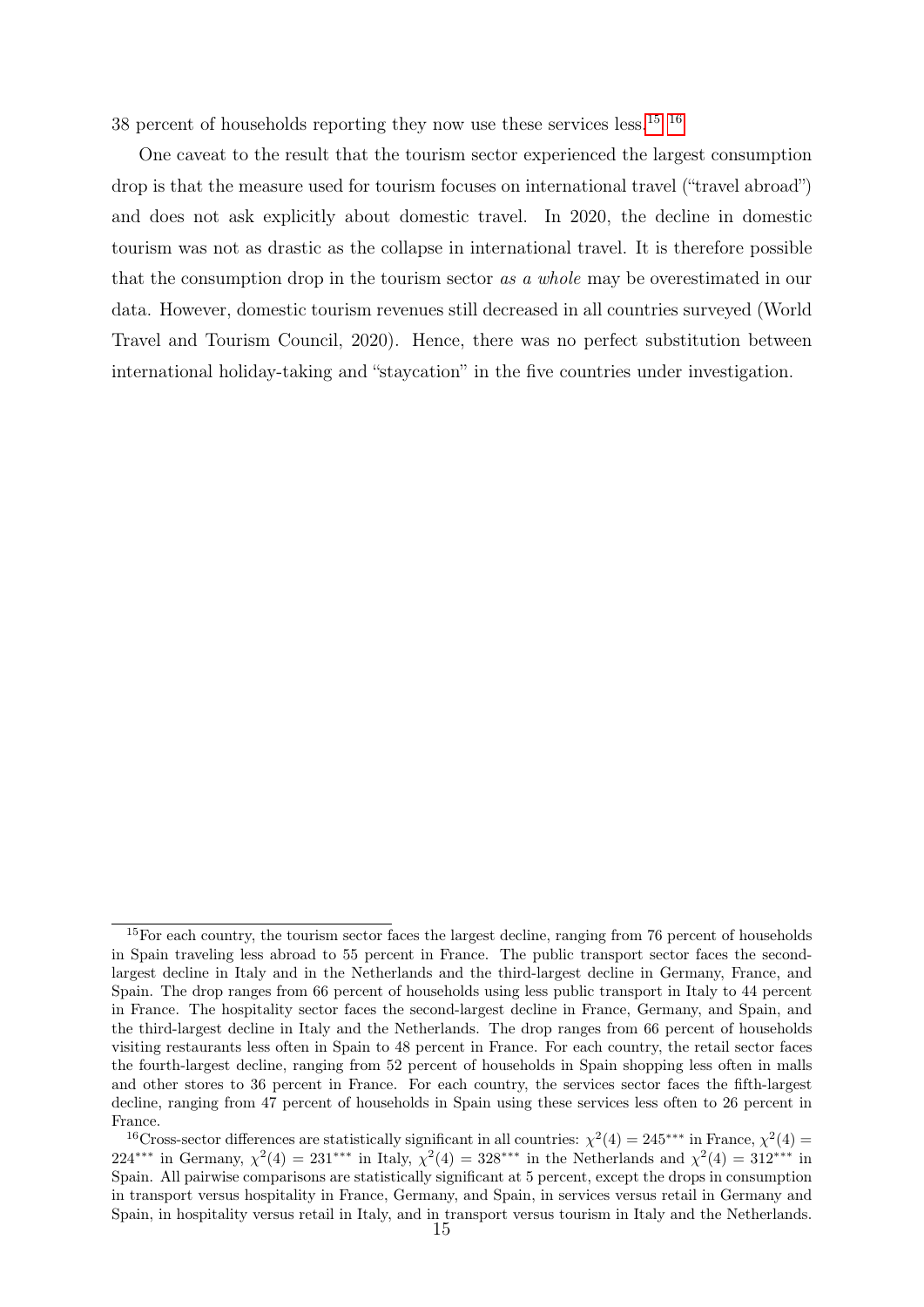38 percent of households reporting they now use these services less. $15 \frac{16}{16}$  $15 \frac{16}{16}$ 

One caveat to the result that the tourism sector experienced the largest consumption drop is that the measure used for tourism focuses on international travel ("travel abroad") and does not ask explicitly about domestic travel. In 2020, the decline in domestic tourism was not as drastic as the collapse in international travel. It is therefore possible that the consumption drop in the tourism sector as a whole may be overestimated in our data. However, domestic tourism revenues still decreased in all countries surveyed (World Travel and Tourism Council, 2020). Hence, there was no perfect substitution between international holiday-taking and "staycation" in the five countries under investigation.

<span id="page-17-0"></span><sup>&</sup>lt;sup>15</sup>For each country, the tourism sector faces the largest decline, ranging from 76 percent of households in Spain traveling less abroad to 55 percent in France. The public transport sector faces the secondlargest decline in Italy and in the Netherlands and the third-largest decline in Germany, France, and Spain. The drop ranges from 66 percent of households using less public transport in Italy to 44 percent in France. The hospitality sector faces the second-largest decline in France, Germany, and Spain, and the third-largest decline in Italy and the Netherlands. The drop ranges from 66 percent of households visiting restaurants less often in Spain to 48 percent in France. For each country, the retail sector faces the fourth-largest decline, ranging from 52 percent of households in Spain shopping less often in malls and other stores to 36 percent in France. For each country, the services sector faces the fifth-largest decline, ranging from 47 percent of households in Spain using these services less often to 26 percent in France.

<span id="page-17-1"></span><sup>&</sup>lt;sup>16</sup>Cross-sector differences are statistically significant in all countries:  $\chi^2(4) = 245$ <sup>\*\*\*</sup> in France,  $\chi^2(4) =$ 224<sup>\*\*\*</sup> in Germany,  $\chi^2(4) = 231^{***}$  in Italy,  $\chi^2(4) = 328^{***}$  in the Netherlands and  $\chi^2(4) = 312^{***}$  in Spain. All pairwise comparisons are statistically significant at 5 percent, except the drops in consumption in transport versus hospitality in France, Germany, and Spain, in services versus retail in Germany and Spain, in hospitality versus retail in Italy, and in transport versus tourism in Italy and the Netherlands.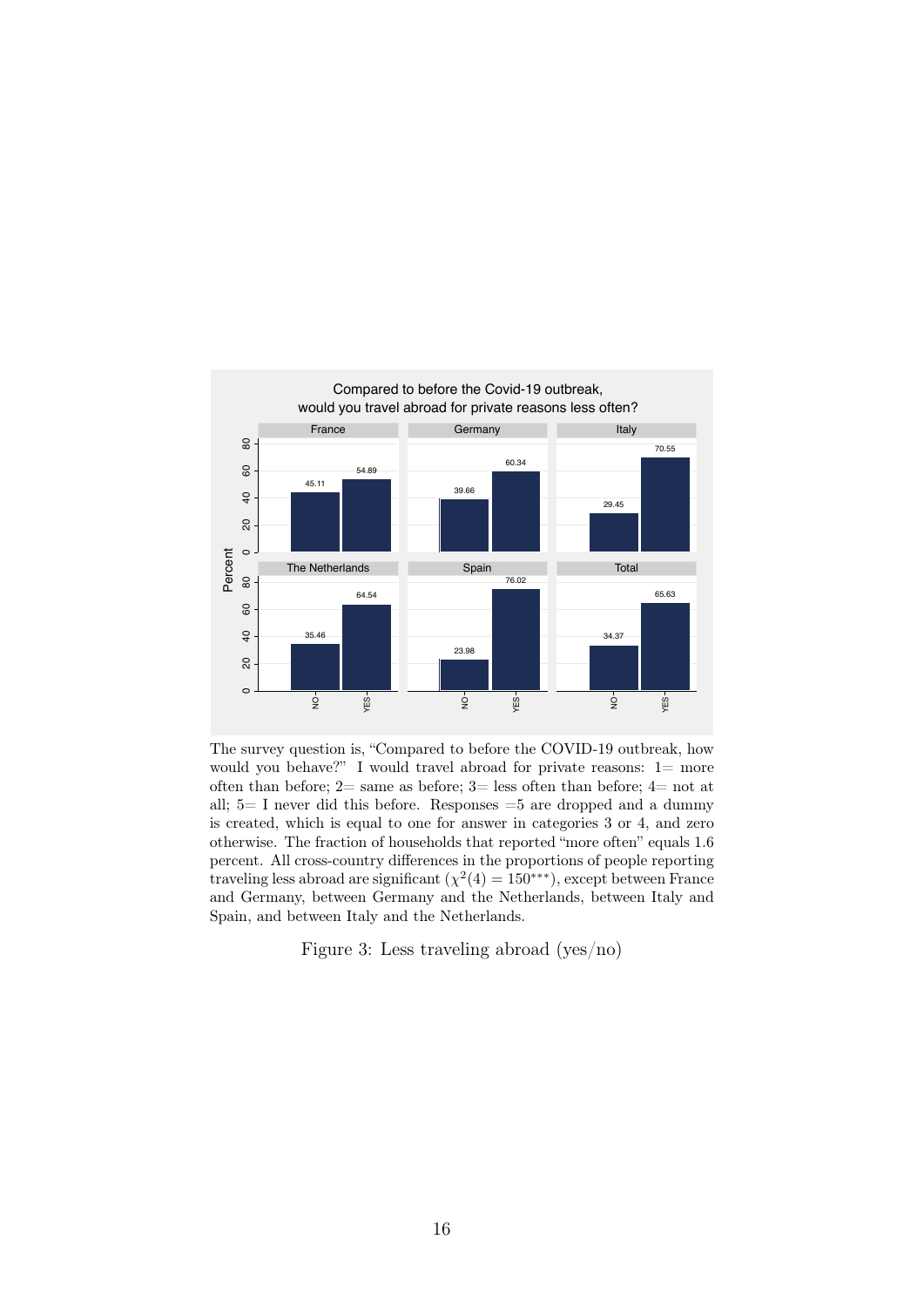

The survey question is, "Compared to before the COVID-19 outbreak, how would you behave?" I would travel abroad for private reasons: 1= more often than before;  $2=$  same as before;  $3=$  less often than before;  $4=$  not at all;  $5=$  I never did this before. Responses  $=5$  are dropped and a dummy is created, which is equal to one for answer in categories 3 or 4, and zero otherwise. The fraction of households that reported "more often" equals 1.6 percent. All cross-country differences in the proportions of people reporting traveling less abroad are significant  $(\chi^2(4) = 150^{***})$ , except between France and Germany, between Germany and the Netherlands, between Italy and Spain, and between Italy and the Netherlands.

Figure 3: Less traveling abroad (yes/no)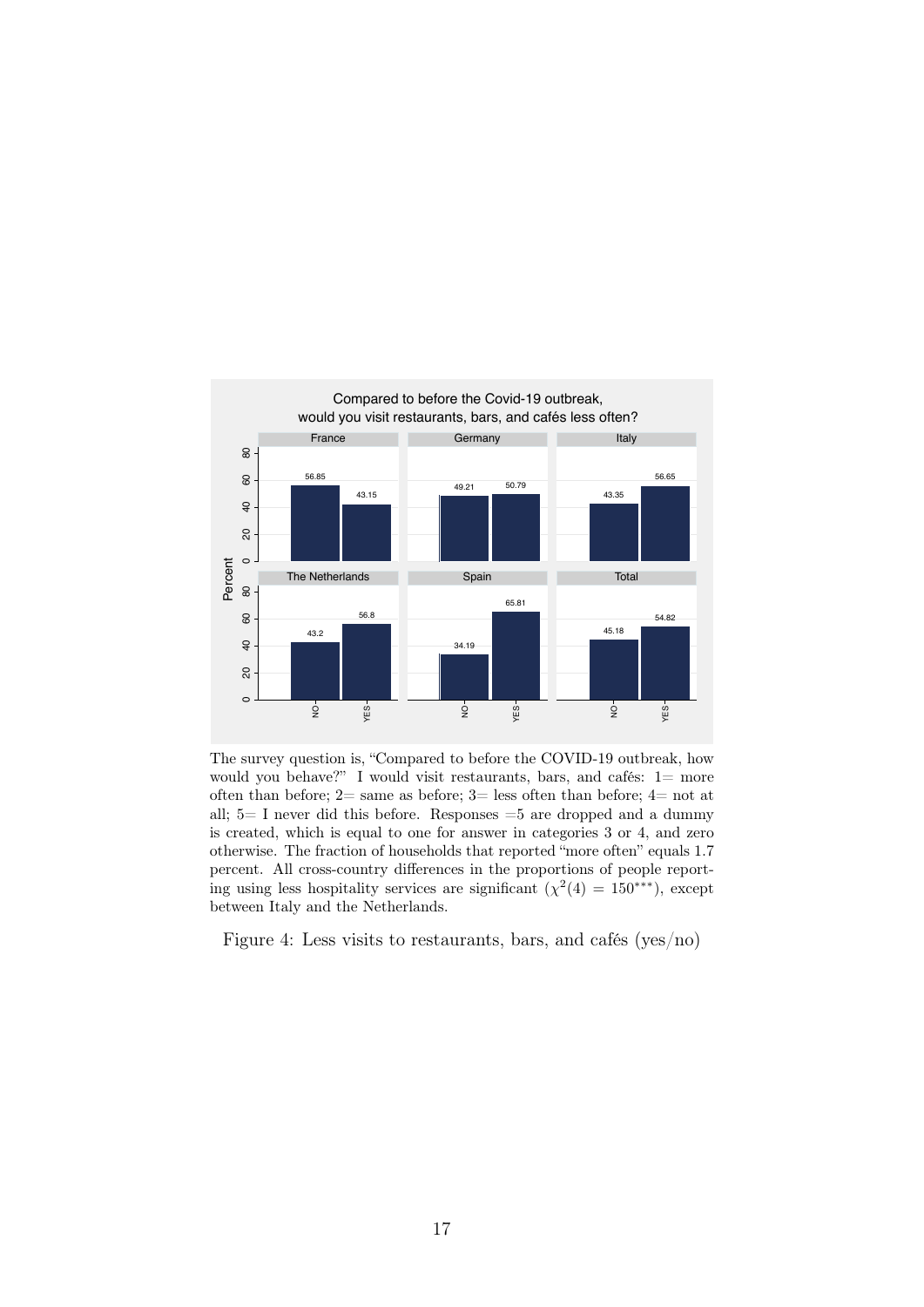

The survey question is, "Compared to before the COVID-19 outbreak, how would you behave?" I would visit restaurants, bars, and cafés: 1= more often than before;  $2=$  same as before;  $3=$  less often than before;  $4=$  not at all;  $5=$  I never did this before. Responses  $=5$  are dropped and a dummy is created, which is equal to one for answer in categories 3 or 4, and zero otherwise. The fraction of households that reported "more often" equals 1.7 percent. All cross-country differences in the proportions of people reporting using less hospitality services are significant  $(\chi^2(4) = 150^{***})$ , except between Italy and the Netherlands.

Figure 4: Less visits to restaurants, bars, and cafés (yes/no)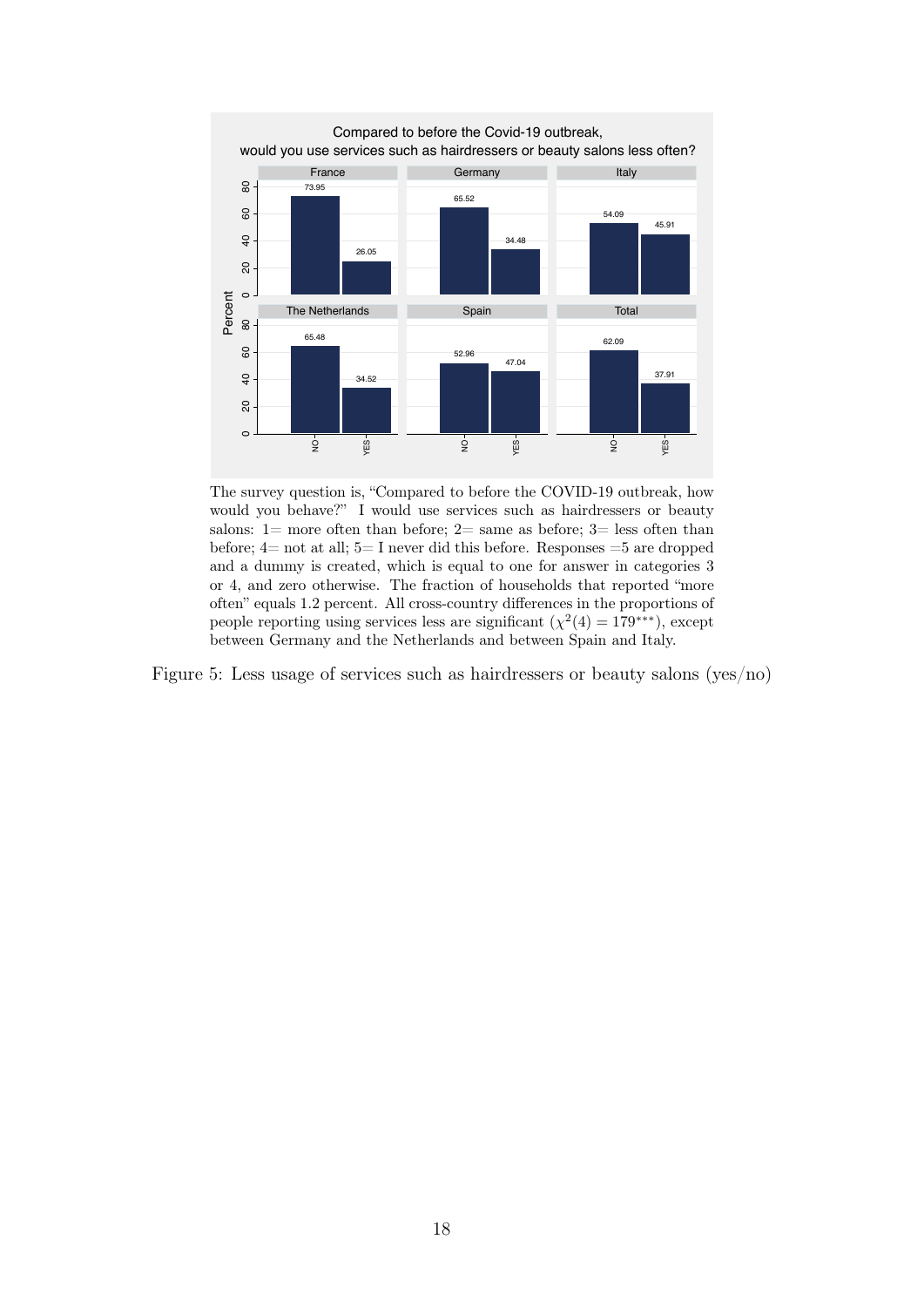

The survey question is, "Compared to before the COVID-19 outbreak, how would you behave?" I would use services such as hairdressers or beauty salons:  $1=$  more often than before;  $2=$  same as before;  $3=$  less often than before;  $4=$  not at all;  $5=$  I never did this before. Responses  $=5$  are dropped and a dummy is created, which is equal to one for answer in categories 3 or 4, and zero otherwise. The fraction of households that reported "more often" equals 1.2 percent. All cross-country differences in the proportions of people reporting using services less are significant  $(\chi^2(4) = 179^{***})$ , except between Germany and the Netherlands and between Spain and Italy.

Figure 5: Less usage of services such as hairdressers or beauty salons (yes/no)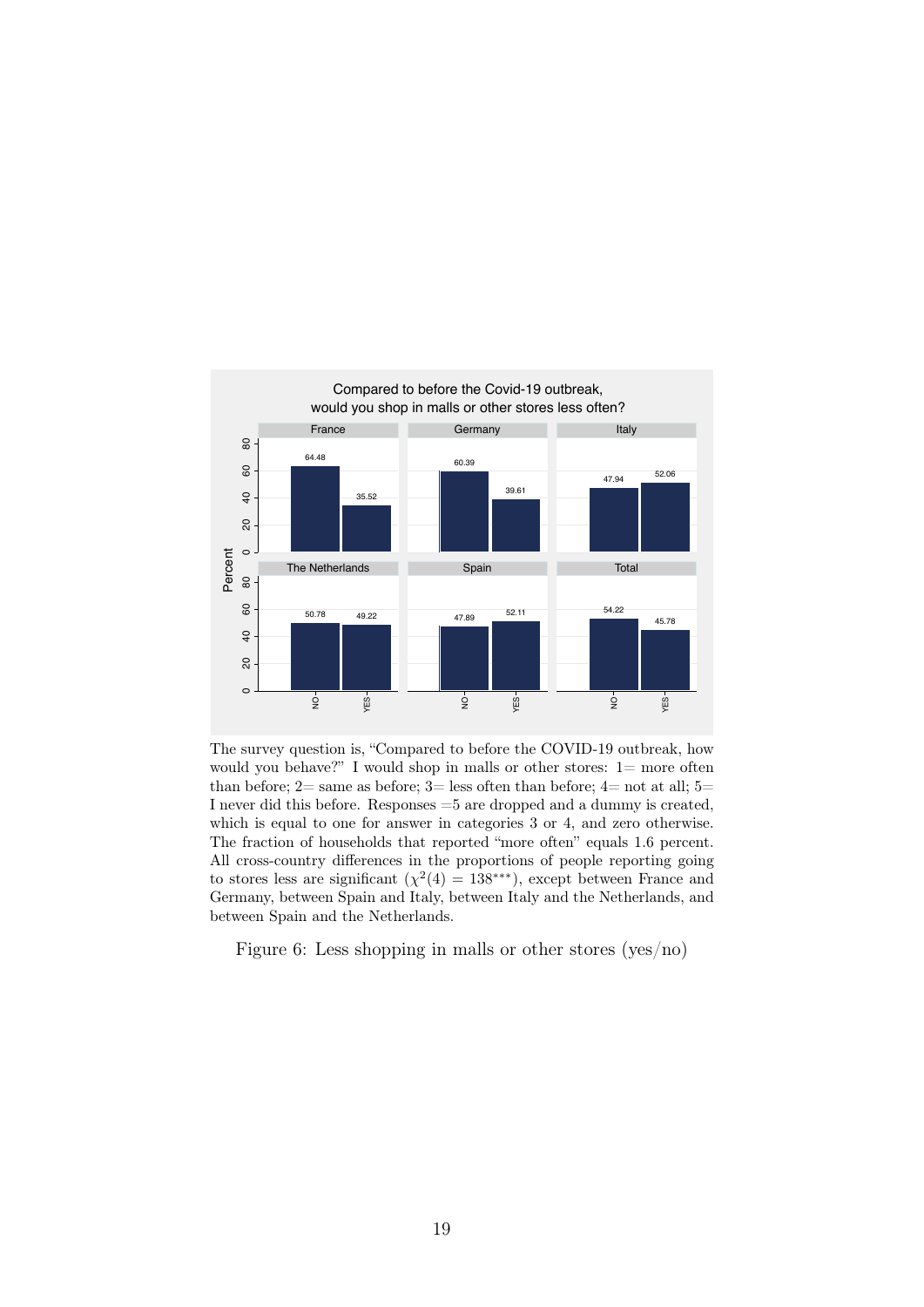<span id="page-21-0"></span>

The survey question is, "Compared to before the COVID-19 outbreak, how would you behave?" I would shop in malls or other stores:  $1=$  more often than before;  $2=$  same as before;  $3=$  less often than before;  $4=$  not at all;  $5=$ I never did this before. Responses =5 are dropped and a dummy is created, which is equal to one for answer in categories 3 or 4, and zero otherwise. The fraction of households that reported "more often" equals 1.6 percent. All cross-country differences in the proportions of people reporting going to stores less are significant  $(\chi^2(4) = 138^{***})$ , except between France and Germany, between Spain and Italy, between Italy and the Netherlands, and between Spain and the Netherlands.

Figure 6: Less shopping in malls or other stores (yes/no)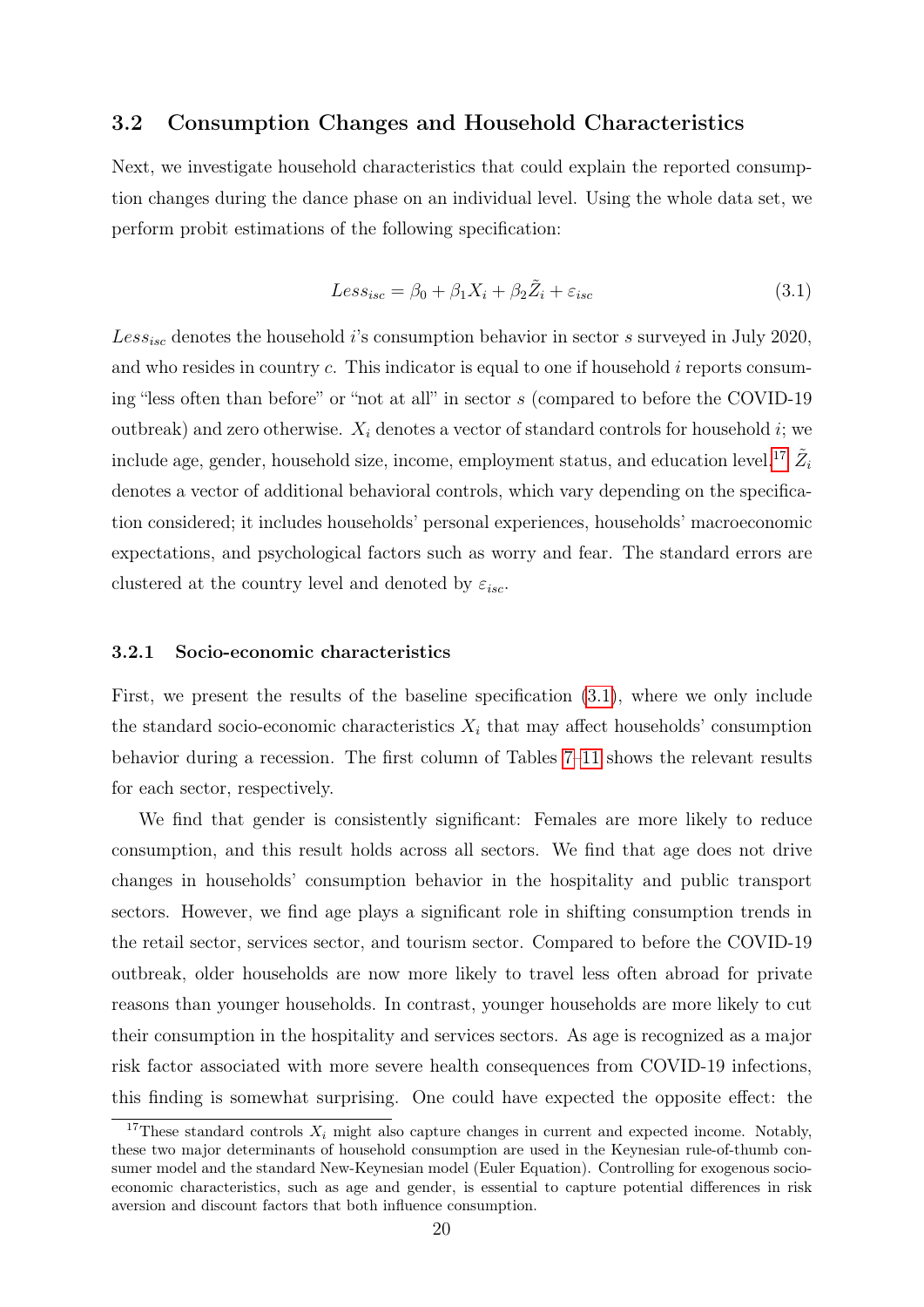### 3.2 Consumption Changes and Household Characteristics

Next, we investigate household characteristics that could explain the reported consumption changes during the dance phase on an individual level. Using the whole data set, we perform probit estimations of the following specification:

<span id="page-22-1"></span>
$$
Less_{isc} = \beta_0 + \beta_1 X_i + \beta_2 \tilde{Z}_i + \varepsilon_{isc}
$$
\n(3.1)

 $Less_{isc}$  denotes the household *i*'s consumption behavior in sector *s* surveyed in July 2020, and who resides in country  $c$ . This indicator is equal to one if household  $i$  reports consuming "less often than before" or "not at all" in sector s (compared to before the COVID-19 outbreak) and zero otherwise.  $X_i$  denotes a vector of standard controls for household i; we include age, gender, household size, income, employment status, and education level.<sup>[17](#page-22-0)</sup>  $\tilde{Z_i}$ denotes a vector of additional behavioral controls, which vary depending on the specification considered; it includes households' personal experiences, households' macroeconomic expectations, and psychological factors such as worry and fear. The standard errors are clustered at the country level and denoted by  $\varepsilon_{isc}$ .

#### 3.2.1 Socio-economic characteristics

First, we present the results of the baseline specification [\(3.1\)](#page-22-1), where we only include the standard socio-economic characteristics  $X_i$  that may affect households' consumption behavior during a recession. The first column of Tables [7–](#page-26-0)[11](#page-30-0) shows the relevant results for each sector, respectively.

We find that gender is consistently significant: Females are more likely to reduce consumption, and this result holds across all sectors. We find that age does not drive changes in households' consumption behavior in the hospitality and public transport sectors. However, we find age plays a significant role in shifting consumption trends in the retail sector, services sector, and tourism sector. Compared to before the COVID-19 outbreak, older households are now more likely to travel less often abroad for private reasons than younger households. In contrast, younger households are more likely to cut their consumption in the hospitality and services sectors. As age is recognized as a major risk factor associated with more severe health consequences from COVID-19 infections, this finding is somewhat surprising. One could have expected the opposite effect: the

<span id="page-22-0"></span><sup>&</sup>lt;sup>17</sup>These standard controls  $X_i$  might also capture changes in current and expected income. Notably, these two major determinants of household consumption are used in the Keynesian rule-of-thumb consumer model and the standard New-Keynesian model (Euler Equation). Controlling for exogenous socioeconomic characteristics, such as age and gender, is essential to capture potential differences in risk aversion and discount factors that both influence consumption.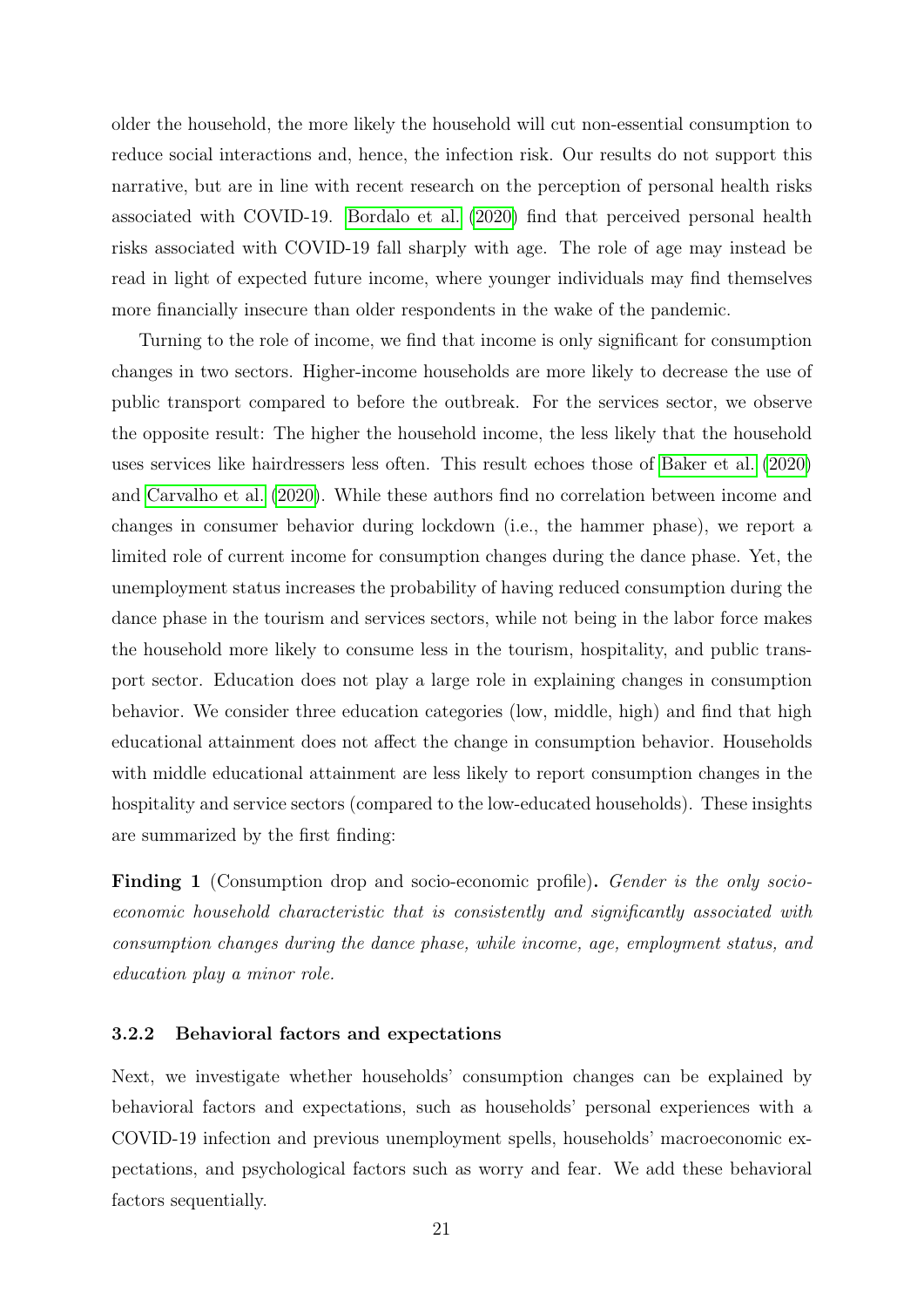older the household, the more likely the household will cut non-essential consumption to reduce social interactions and, hence, the infection risk. Our results do not support this narrative, but are in line with recent research on the perception of personal health risks associated with COVID-19. [Bordalo et al.](#page-42-8) [\(2020\)](#page-42-8) find that perceived personal health risks associated with COVID-19 fall sharply with age. The role of age may instead be read in light of expected future income, where younger individuals may find themselves more financially insecure than older respondents in the wake of the pandemic.

Turning to the role of income, we find that income is only significant for consumption changes in two sectors. Higher-income households are more likely to decrease the use of public transport compared to before the outbreak. For the services sector, we observe the opposite result: The higher the household income, the less likely that the household uses services like hairdressers less often. This result echoes those of [Baker et al.](#page-42-2) [\(2020\)](#page-42-2) and [Carvalho et al.](#page-42-4) [\(2020\)](#page-42-4). While these authors find no correlation between income and changes in consumer behavior during lockdown (i.e., the hammer phase), we report a limited role of current income for consumption changes during the dance phase. Yet, the unemployment status increases the probability of having reduced consumption during the dance phase in the tourism and services sectors, while not being in the labor force makes the household more likely to consume less in the tourism, hospitality, and public transport sector. Education does not play a large role in explaining changes in consumption behavior. We consider three education categories (low, middle, high) and find that high educational attainment does not affect the change in consumption behavior. Households with middle educational attainment are less likely to report consumption changes in the hospitality and service sectors (compared to the low-educated households). These insights are summarized by the first finding:

Finding 1 (Consumption drop and socio-economic profile). Gender is the only socioeconomic household characteristic that is consistently and significantly associated with consumption changes during the dance phase, while income, age, employment status, and education play a minor role.

#### 3.2.2 Behavioral factors and expectations

Next, we investigate whether households' consumption changes can be explained by behavioral factors and expectations, such as households' personal experiences with a COVID-19 infection and previous unemployment spells, households' macroeconomic expectations, and psychological factors such as worry and fear. We add these behavioral factors sequentially.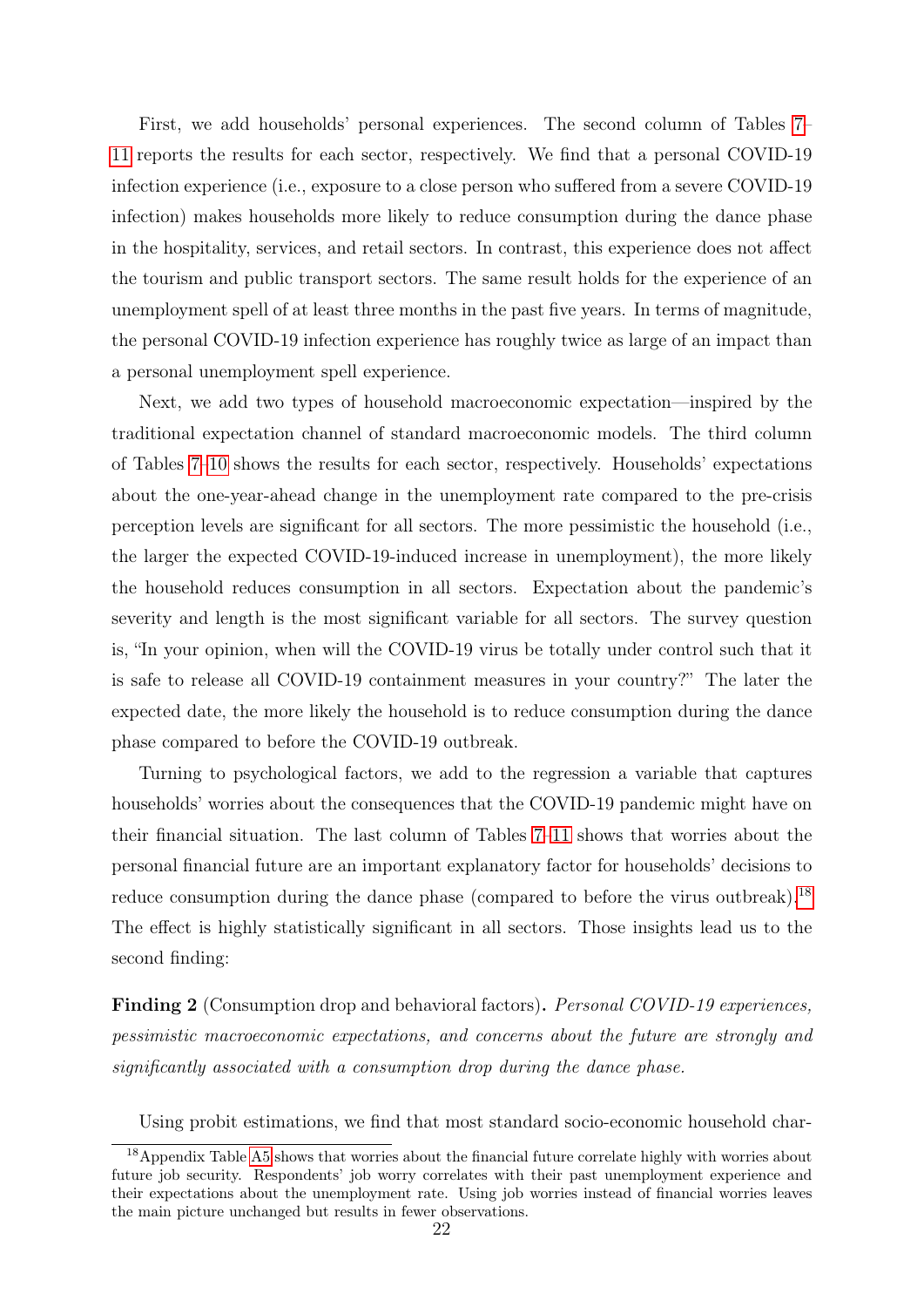First, we add households' personal experiences. The second column of Tables [7–](#page-26-0) [11](#page-30-0) reports the results for each sector, respectively. We find that a personal COVID-19 infection experience (i.e., exposure to a close person who suffered from a severe COVID-19 infection) makes households more likely to reduce consumption during the dance phase in the hospitality, services, and retail sectors. In contrast, this experience does not affect the tourism and public transport sectors. The same result holds for the experience of an unemployment spell of at least three months in the past five years. In terms of magnitude, the personal COVID-19 infection experience has roughly twice as large of an impact than a personal unemployment spell experience.

Next, we add two types of household macroeconomic expectation—inspired by the traditional expectation channel of standard macroeconomic models. The third column of Tables [7–](#page-26-0)[10](#page-29-0) shows the results for each sector, respectively. Households' expectations about the one-year-ahead change in the unemployment rate compared to the pre-crisis perception levels are significant for all sectors. The more pessimistic the household (i.e., the larger the expected COVID-19-induced increase in unemployment), the more likely the household reduces consumption in all sectors. Expectation about the pandemic's severity and length is the most significant variable for all sectors. The survey question is, "In your opinion, when will the COVID-19 virus be totally under control such that it is safe to release all COVID-19 containment measures in your country?" The later the expected date, the more likely the household is to reduce consumption during the dance phase compared to before the COVID-19 outbreak.

Turning to psychological factors, we add to the regression a variable that captures households' worries about the consequences that the COVID-19 pandemic might have on their financial situation. The last column of Tables [7–](#page-26-0)[11](#page-30-0) shows that worries about the personal financial future are an important explanatory factor for households' decisions to reduce consumption during the dance phase (compared to before the virus outbreak).<sup>[18](#page-24-0)</sup> The effect is highly statistically significant in all sectors. Those insights lead us to the second finding:

Finding 2 (Consumption drop and behavioral factors). Personal COVID-19 experiences, pessimistic macroeconomic expectations, and concerns about the future are strongly and significantly associated with a consumption drop during the dance phase.

<span id="page-24-0"></span>Using probit estimations, we find that most standard socio-economic household char-

<sup>&</sup>lt;sup>18</sup>Appendix Table [A5](#page-49-0) shows that worries about the financial future correlate highly with worries about future job security. Respondents' job worry correlates with their past unemployment experience and their expectations about the unemployment rate. Using job worries instead of financial worries leaves the main picture unchanged but results in fewer observations.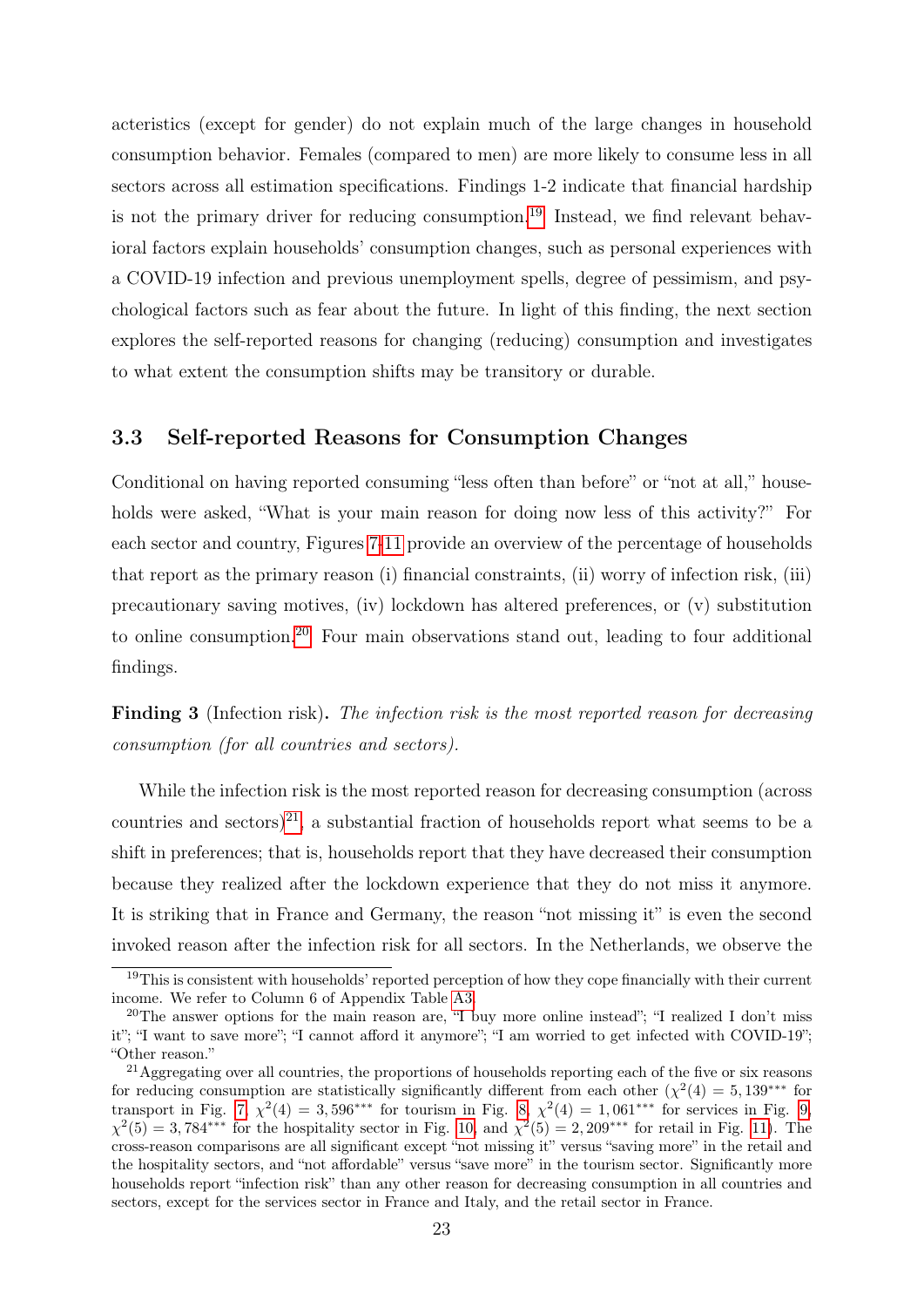acteristics (except for gender) do not explain much of the large changes in household consumption behavior. Females (compared to men) are more likely to consume less in all sectors across all estimation specifications. Findings 1-2 indicate that financial hardship is not the primary driver for reducing consumption.<sup>[19](#page-25-0)</sup> Instead, we find relevant behavioral factors explain households' consumption changes, such as personal experiences with a COVID-19 infection and previous unemployment spells, degree of pessimism, and psychological factors such as fear about the future. In light of this finding, the next section explores the self-reported reasons for changing (reducing) consumption and investigates to what extent the consumption shifts may be transitory or durable.

### 3.3 Self-reported Reasons for Consumption Changes

Conditional on having reported consuming "less often than before" or "not at all," households were asked, "What is your main reason for doing now less of this activity?" For each sector and country, Figures [7-](#page-32-0)[11](#page-34-0) provide an overview of the percentage of households that report as the primary reason (i) financial constraints, (ii) worry of infection risk, (iii) precautionary saving motives, (iv) lockdown has altered preferences, or (v) substitution to online consumption.[20](#page-25-1) Four main observations stand out, leading to four additional findings.

Finding 3 (Infection risk). The infection risk is the most reported reason for decreasing consumption (for all countries and sectors).

While the infection risk is the most reported reason for decreasing consumption (across countries and sectors)<sup>[21](#page-25-2)</sup>, a substantial fraction of households report what seems to be a shift in preferences; that is, households report that they have decreased their consumption because they realized after the lockdown experience that they do not miss it anymore. It is striking that in France and Germany, the reason "not missing it" is even the second invoked reason after the infection risk for all sectors. In the Netherlands, we observe the

<span id="page-25-0"></span><sup>&</sup>lt;sup>19</sup>This is consistent with households' reported perception of how they cope financially with their current income. We refer to Column 6 of Appendix Table [A3.](#page-47-0)

<span id="page-25-1"></span><sup>&</sup>lt;sup>20</sup>The answer options for the main reason are, "I buy more online instead"; "I realized I don't miss it"; "I want to save more"; "I cannot afford it anymore"; "I am worried to get infected with COVID-19"; "Other reason."

<span id="page-25-2"></span><sup>&</sup>lt;sup>21</sup>Aggregating over all countries, the proportions of households reporting each of the five or six reasons for reducing consumption are statistically significantly different from each other  $(\chi^2(4) = 5, 139^{***}$  for transport in Fig. [7,](#page-32-0)  $\chi^2(4) = 3,596^{***}$  for tourism in Fig. [8,](#page-32-1)  $\chi^2(4) = 1,061^{***}$  for services in Fig. [9,](#page-33-0)  $\chi^2(5) = 3{,}784^{***}$  for the hospitality sector in Fig. [10,](#page-33-1) and  $\chi^2(5) = 2{,}209^{***}$  for retail in Fig. [11\)](#page-34-0). The cross-reason comparisons are all significant except "not missing it" versus "saving more" in the retail and the hospitality sectors, and "not affordable" versus "save more" in the tourism sector. Significantly more households report "infection risk" than any other reason for decreasing consumption in all countries and sectors, except for the services sector in France and Italy, and the retail sector in France.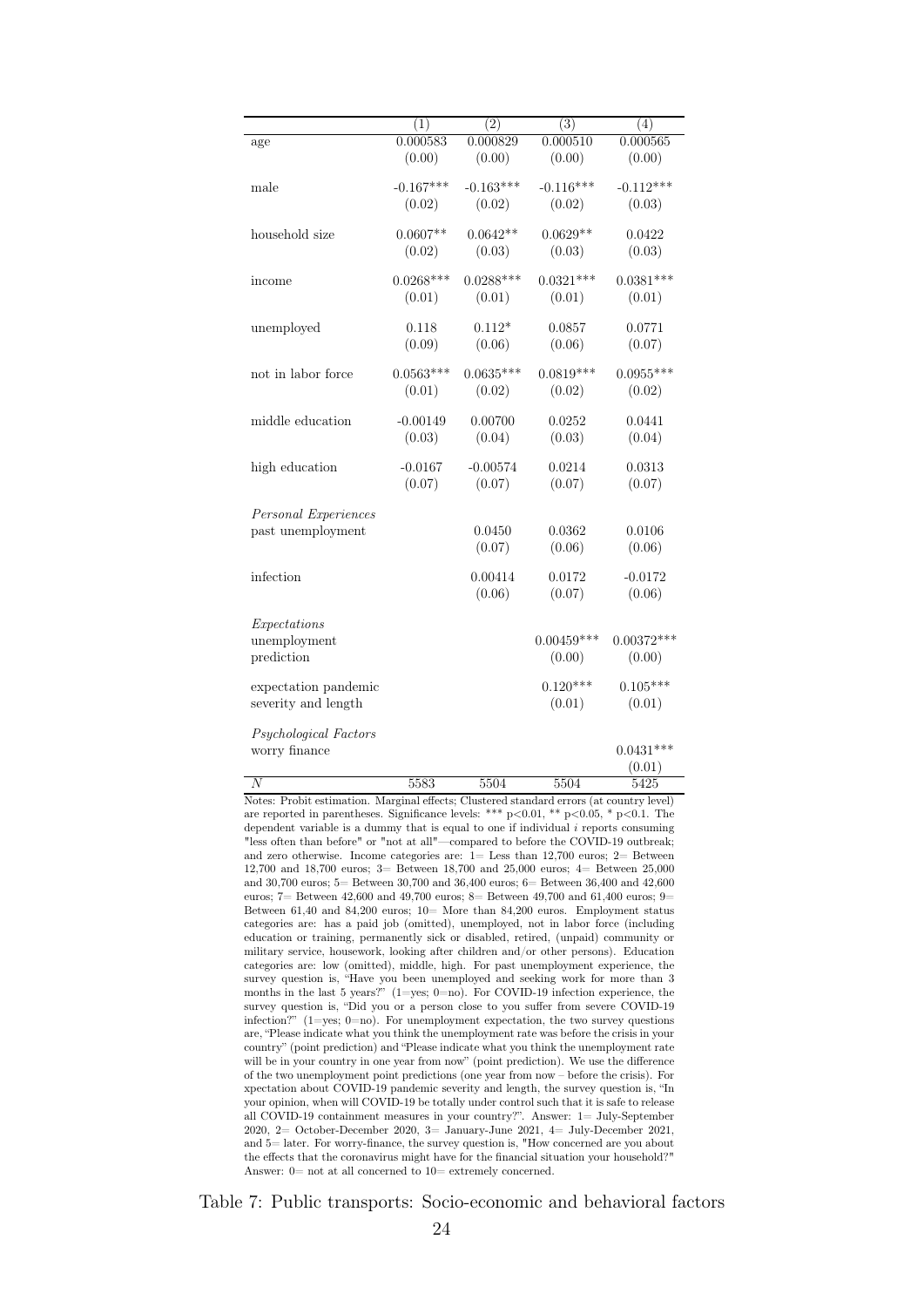<span id="page-26-0"></span>

|                       | (1)         | (2)         | $\overline{(3)}$      | (4)          |
|-----------------------|-------------|-------------|-----------------------|--------------|
| age                   | 0.000583    | 0.000829    | $0.0005\overline{10}$ | 0.000565     |
|                       | (0.00)      | (0.00)      | (0.00)                | (0.00)       |
|                       |             |             |                       |              |
| male                  | $-0.167***$ | $-0.163***$ | $-0.116***$           | $-0.112***$  |
|                       | (0.02)      | (0.02)      | (0.02)                | (0.03)       |
| household size        | $0.0607**$  | $0.0642**$  | $0.0629**$            | 0.0422       |
|                       | (0.02)      | (0.03)      | (0.03)                | (0.03)       |
|                       |             |             |                       |              |
| income                | $0.0268***$ | $0.0288***$ | $0.0321***$           | $0.0381***$  |
|                       | (0.01)      | (0.01)      | (0.01)                | (0.01)       |
|                       |             |             |                       |              |
| unemployed            | 0.118       | $0.112*$    | 0.0857                | 0.0771       |
|                       | (0.09)      | (0.06)      | (0.06)                | (0.07)       |
|                       |             |             |                       |              |
| not in labor force    | $0.0563***$ | $0.0635***$ | $0.0819***$           | $0.0955***$  |
|                       | (0.01)      | (0.02)      | (0.02)                | (0.02)       |
|                       |             |             |                       |              |
| middle education      | $-0.00149$  | 0.00700     | 0.0252                | 0.0441       |
|                       | (0.03)      | (0.04)      | (0.03)                | (0.04)       |
| high education        | $-0.0167$   | $-0.00574$  | 0.0214                | 0.0313       |
|                       | (0.07)      | (0.07)      | (0.07)                | (0.07)       |
|                       |             |             |                       |              |
| Personal Experiences  |             |             |                       |              |
| past unemployment     |             | 0.0450      | 0.0362                | 0.0106       |
|                       |             | (0.07)      | (0.06)                | (0.06)       |
|                       |             |             |                       |              |
| infection             |             | 0.00414     | 0.0172                | $-0.0172$    |
|                       |             | (0.06)      | (0.07)                | (0.06)       |
|                       |             |             |                       |              |
| Expectations          |             |             |                       |              |
| unemployment          |             |             | $0.00459***$          | $0.00372***$ |
| prediction            |             |             | (0.00)                | (0.00)       |
|                       |             |             | $0.120***$            |              |
| expectation pandemic  |             |             |                       | $0.105***$   |
| severity and length   |             |             | (0.01)                | (0.01)       |
| Psychological Factors |             |             |                       |              |
| worry finance         |             |             |                       | $0.0431***$  |
|                       |             |             |                       | (0.01)       |
| $\overline{N}$        | 5583        | 5504        | 5504                  | 5425         |
|                       |             |             |                       |              |

Notes: Probit estimation. Marginal effects; Clustered standard errors (at country level) are reported in parentheses. Significance levels: \*\*\*  $p<0.01$ , \*\*  $p<0.05$ , \*  $p<0.1$ . The dependent variable is a dummy that is equal to one if individual  $i$  reports consuming "less often than before" or "not at all"—compared to before the COVID-19 outbreak; and zero otherwise. Income categories are: 1= Less than 12,700 euros; 2= Between 12,700 and 18,700 euros; 3= Between 18,700 and 25,000 euros; 4= Between 25,000 and 30,700 euros; 5= Between 30,700 and 36,400 euros; 6= Between 36,400 and  $42,\!600$ euros; 7 = Between 42,600 and 49,700 euros; 8 = Between 49,700 and 61,400 euros; 9 = Between 61,40 and 84,200 euros; 10= More than 84,200 euros. Employment status categories are: has a paid job (omitted), unemployed, not in labor force (including education or training, permanently sick or disabled, retired, (unpaid) community or military service, housework, looking after children and/or other persons). Education categories are: low (omitted), middle, high. For past unemployment experience, the survey question is, "Have you been unemployed and seeking work for more than 3 months in the last 5 years?" (1=yes; 0=no). For COVID-19 infection experience, the survey question is, "Did you or a person close to you suffer from severe COVID-19 infection?"  $(1=yes; 0=no)$ . For unemployment expectation, the two survey questions are, "Please indicate what you think the unemployment rate was before the crisis in your country" (point prediction) and "Please indicate what you think the unemployment rate will be in your country in one year from now" (point prediction). We use the difference of the two unemployment point predictions (one year from now – before the crisis). For xpectation about COVID-19 pandemic severity and length, the survey question is, "In your opinion, when will COVID-19 be totally under control such that it is safe to release all COVID-19 containment measures in your country?". Answer: 1= July-September 2020, 2= October-December 2020, 3= January-June 2021, 4= July-December 2021, and 5= later. For worry-finance, the survey question is, "How concerned are you about the effects that the coronavirus might have for the financial situation your household?" Answer:  $0=$  not at all concerned to  $10=$  extremely concerned.

Table 7: Public transports: Socio-economic and behavioral factors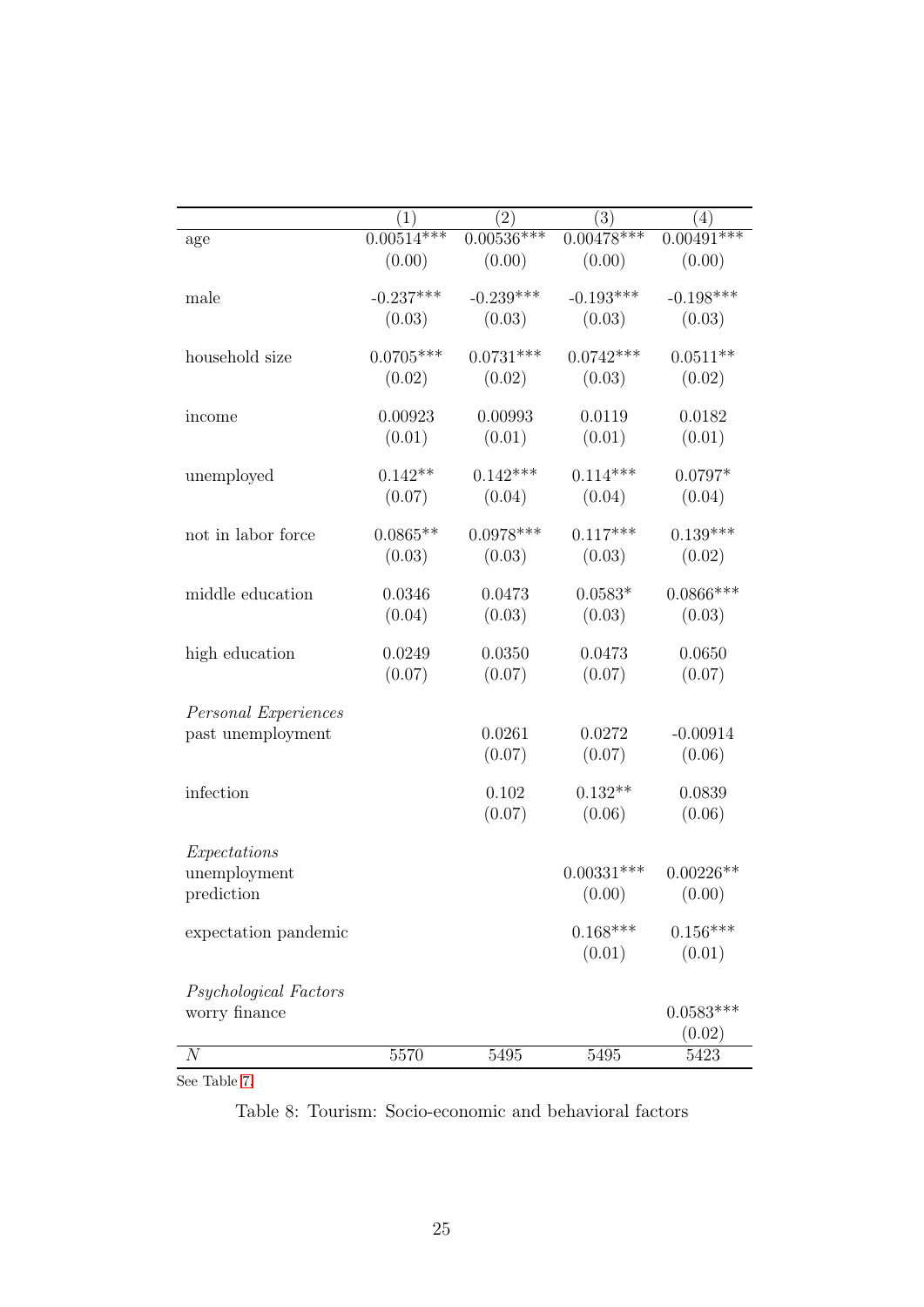|                       | (1)          | $\left( 2\right)$ | (3)             | $\left( 4\right)$ |
|-----------------------|--------------|-------------------|-----------------|-------------------|
| age                   | $0.00514***$ | $0.00536***$      | $0.00478***$    | $0.00491***$      |
|                       | (0.00)       | (0.00)            | (0.00)          | (0.00)            |
| male                  | $-0.237***$  | $-0.239***$       | $-0.193***$     | $-0.198***$       |
|                       | (0.03)       | (0.03)            | (0.03)          | (0.03)            |
| household size        | $0.0705***$  | $0.0731***$       | $0.0742***$     | $0.0511**$        |
|                       | (0.02)       | (0.02)            | (0.03)          | (0.02)            |
| income                | 0.00923      | 0.00993           | 0.0119          | 0.0182            |
|                       | (0.01)       | (0.01)            | (0.01)          | (0.01)            |
| unemployed            | $0.142**$    | $0.142***$        | $0.114***$      | $0.0797*$         |
|                       | (0.07)       | (0.04)            | (0.04)          | (0.04)            |
| not in labor force    | $0.0865**$   | $0.0978***$       | $0.117***$      | $0.139***$        |
|                       | (0.03)       | (0.03)            | (0.03)          | (0.02)            |
| middle education      | 0.0346       | 0.0473            | $0.0583^{\ast}$ | $0.0866***$       |
|                       | (0.04)       | (0.03)            | (0.03)          | (0.03)            |
| high education        | 0.0249       | 0.0350            | 0.0473          | 0.0650            |
|                       | (0.07)       | (0.07)            | (0.07)          | (0.07)            |
| Personal Experiences  |              |                   |                 |                   |
| past unemployment     |              | 0.0261            | 0.0272          | $-0.00914$        |
|                       |              | (0.07)            | (0.07)          | (0.06)            |
| infection             |              | 0.102             | $0.132**$       | 0.0839            |
|                       |              | (0.07)            | (0.06)          | (0.06)            |
| Expectations          |              |                   |                 |                   |
| unemployment          |              |                   | $0.00331***$    | $0.00226**$       |
| prediction            |              |                   | (0.00)          | (0.00)            |
| expectation pandemic  |              |                   | $0.168***$      | $0.156***$        |
|                       |              |                   | (0.01)          | (0.01)            |
| Psychological Factors |              |                   |                 |                   |
| worry finance         |              |                   |                 | $0.0583***$       |
|                       |              |                   |                 | (0.02)            |
| $\boldsymbol{N}$      | 5570         | 5495              | 5495            | 5423              |

 $\frac{1}{\text{See Table 7.}}$  $\frac{1}{\text{See Table 7.}}$  $\frac{1}{\text{See Table 7.}}$ 

Table 8: Tourism: Socio-economic and behavioral factors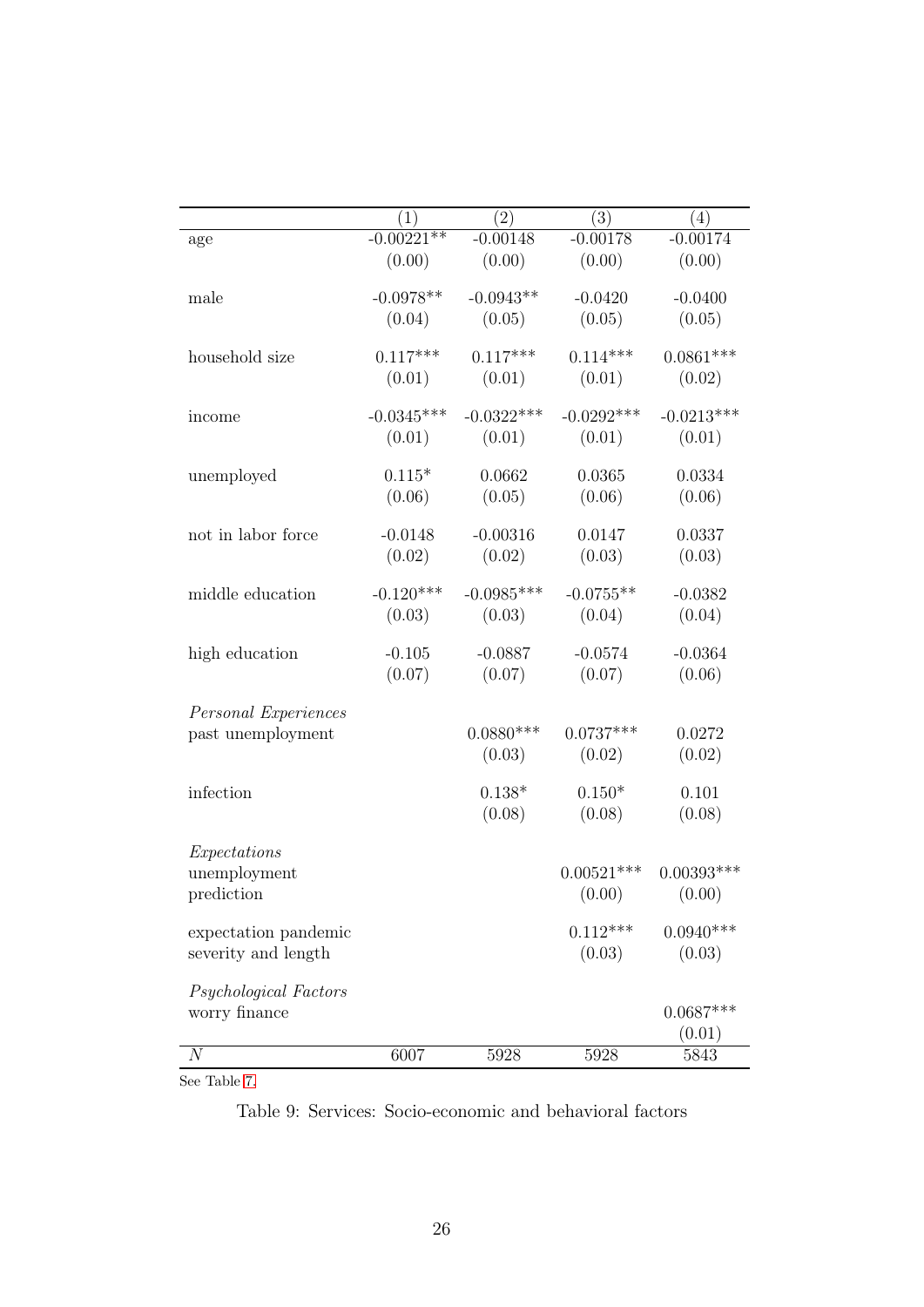|                       | (1)          | (2)          | (3)          | (4)          |
|-----------------------|--------------|--------------|--------------|--------------|
| age                   | $-0.00221**$ | $-0.00148$   | $-0.00178$   | $-0.00174$   |
|                       | (0.00)       | (0.00)       | (0.00)       | (0.00)       |
| male                  | $-0.0978**$  | $-0.0943**$  | $-0.0420$    | $-0.0400$    |
|                       | (0.04)       | (0.05)       | (0.05)       | (0.05)       |
| household size        | $0.117***$   | $0.117***$   | $0.114***$   | $0.0861***$  |
|                       | (0.01)       | (0.01)       | (0.01)       | (0.02)       |
| income                | $-0.0345***$ | $-0.0322***$ | $-0.0292***$ | $-0.0213***$ |
|                       | (0.01)       | (0.01)       | (0.01)       | (0.01)       |
| unemployed            | $0.115*$     | 0.0662       | 0.0365       | 0.0334       |
|                       | (0.06)       | (0.05)       | (0.06)       | (0.06)       |
| not in labor force    | $-0.0148$    | $-0.00316$   | 0.0147       | 0.0337       |
|                       | (0.02)       | (0.02)       | (0.03)       | (0.03)       |
| middle education      | $-0.120***$  | $-0.0985***$ | $-0.0755**$  | $-0.0382$    |
|                       | (0.03)       | (0.03)       | (0.04)       | (0.04)       |
| high education        | $-0.105$     | $-0.0887$    | $-0.0574$    | $-0.0364$    |
|                       | (0.07)       | (0.07)       | (0.07)       | (0.06)       |
| Personal Experiences  |              |              |              |              |
| past unemployment     |              | $0.0880***$  | $0.0737***$  | 0.0272       |
|                       |              | (0.03)       | (0.02)       | (0.02)       |
| infection             |              | $0.138*$     | $0.150*$     | 0.101        |
|                       |              | (0.08)       | (0.08)       | (0.08)       |
| Expectations          |              |              |              |              |
| unemployment          |              |              | $0.00521***$ | $0.00393***$ |
| prediction            |              |              | (0.00)       | (0.00)       |
| expectation pandemic  |              |              | $0.112***$   | $0.0940***$  |
| severity and length   |              |              | (0.03)       | (0.03)       |
| Psychological Factors |              |              |              |              |
| worry finance         |              |              |              | $0.0687***$  |
|                       |              |              |              | (0.01)       |
| $\boldsymbol{N}$      | 6007         | 5928         | 5928         | 5843         |

See Table [7.](#page-26-0)

Table 9: Services: Socio-economic and behavioral factors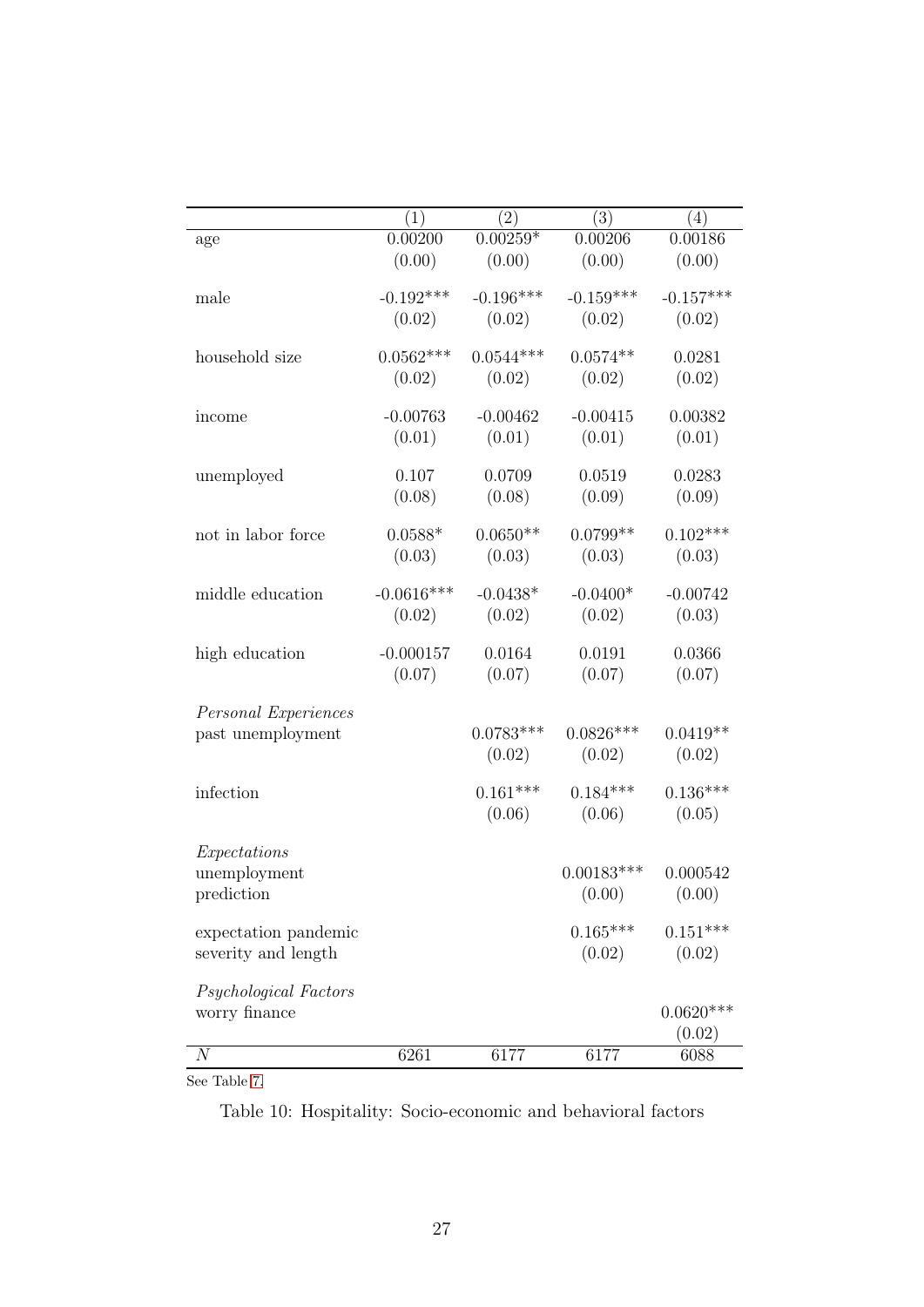<span id="page-29-0"></span>

|                       | (1)          | (2)         | (3)          | (4)         |
|-----------------------|--------------|-------------|--------------|-------------|
| age                   | 0.00200      | $0.00259*$  | 0.00206      | 0.00186     |
|                       | (0.00)       | (0.00)      | (0.00)       | (0.00)      |
| male                  | $-0.192***$  | $-0.196***$ | $-0.159***$  | $-0.157***$ |
|                       | (0.02)       | (0.02)      | (0.02)       | (0.02)      |
| household size        | $0.0562***$  | $0.0544***$ | $0.0574**$   | 0.0281      |
|                       | (0.02)       | (0.02)      | (0.02)       | (0.02)      |
| income                | $-0.00763$   | $-0.00462$  | $-0.00415$   | 0.00382     |
|                       | (0.01)       | (0.01)      | (0.01)       | (0.01)      |
| unemployed            | 0.107        | 0.0709      | 0.0519       | 0.0283      |
|                       | (0.08)       | (0.08)      | (0.09)       | (0.09)      |
| not in labor force    | $0.0588*$    | $0.0650**$  | $0.0799**$   | $0.102***$  |
|                       | (0.03)       | (0.03)      | (0.03)       | (0.03)      |
| middle education      | $-0.0616***$ | $-0.0438*$  | $-0.0400*$   | $-0.00742$  |
|                       | (0.02)       | (0.02)      | (0.02)       | (0.03)      |
| high education        | $-0.000157$  | 0.0164      | 0.0191       | 0.0366      |
|                       | (0.07)       | (0.07)      | (0.07)       | (0.07)      |
| Personal Experiences  |              |             |              |             |
| past unemployment     |              | $0.0783***$ | $0.0826***$  | $0.0419**$  |
|                       |              | (0.02)      | (0.02)       | (0.02)      |
| infection             |              | $0.161***$  | $0.184***$   | $0.136***$  |
|                       |              | (0.06)      | (0.06)       | (0.05)      |
| Expectations          |              |             |              |             |
| unemployment          |              |             | $0.00183***$ | 0.000542    |
| prediction            |              |             | (0.00)       | (0.00)      |
| expectation pandemic  |              |             | $0.165***$   | $0.151***$  |
| severity and length   |              |             | (0.02)       | (0.02)      |
| Psychological Factors |              |             |              |             |
| worry finance         |              |             |              | $0.0620***$ |
|                       |              |             |              | (0.02)      |
| $\overline{N}$        | 6261         | 6177        | 6177         | 6088        |

See Table [7.](#page-26-0)

Table 10: Hospitality: Socio-economic and behavioral factors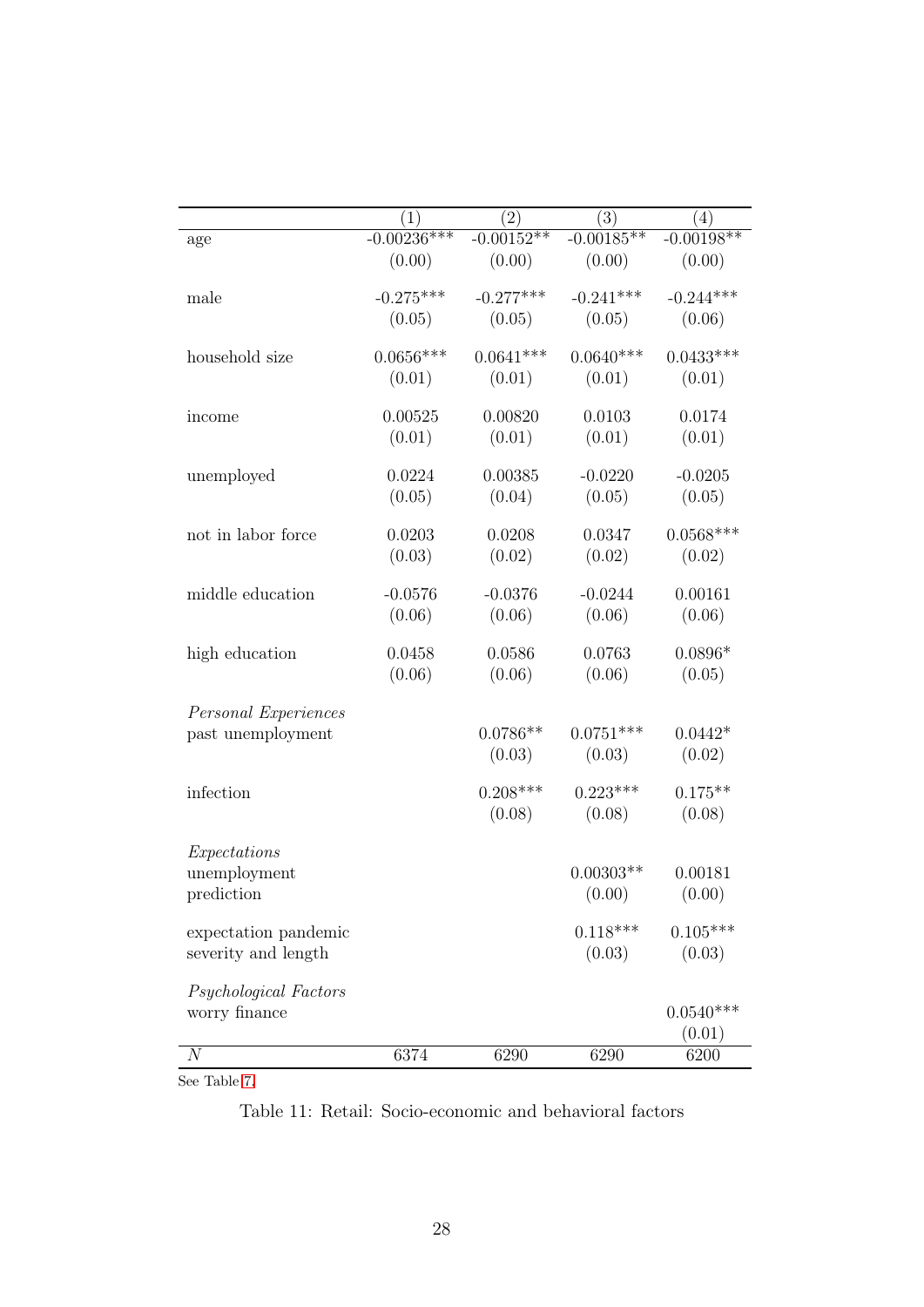<span id="page-30-0"></span>

|                       | $\left( 1\right)$ | $\left( 2\right)$ | $\left( 3\right)$ | (4)          |
|-----------------------|-------------------|-------------------|-------------------|--------------|
| age                   | $-0.00236***$     | $-0.00152**$      | $-0.00185**$      | $-0.00198**$ |
|                       | (0.00)            | (0.00)            | (0.00)            | (0.00)       |
| male                  | $-0.275***$       | $-0.277***$       | $-0.241***$       | $-0.244***$  |
|                       | (0.05)            | (0.05)            | (0.05)            | (0.06)       |
| household size        | $0.0656***$       | $0.0641***$       | $0.0640***$       | $0.0433***$  |
|                       | (0.01)            | (0.01)            | (0.01)            | (0.01)       |
| income                | 0.00525           | 0.00820           | 0.0103            | 0.0174       |
|                       | (0.01)            | (0.01)            | (0.01)            | (0.01)       |
| unemployed            | 0.0224            | 0.00385           | $-0.0220$         | $-0.0205$    |
|                       | (0.05)            | (0.04)            | (0.05)            | (0.05)       |
| not in labor force    | 0.0203            | 0.0208            | 0.0347            | $0.0568***$  |
|                       | (0.03)            | (0.02)            | (0.02)            | (0.02)       |
| middle education      | $-0.0576$         | $-0.0376$         | $-0.0244$         | 0.00161      |
|                       | (0.06)            | (0.06)            | (0.06)            | (0.06)       |
| high education        | 0.0458            | 0.0586            | 0.0763            | $0.0896*$    |
|                       | (0.06)            | (0.06)            | (0.06)            | (0.05)       |
| Personal Experiences  |                   |                   |                   |              |
| past unemployment     |                   | $0.0786**$        | $0.0751***$       | $0.0442*$    |
|                       |                   | (0.03)            | (0.03)            | (0.02)       |
| infection             |                   | $0.208***$        | $0.223***$        | $0.175**$    |
|                       |                   | (0.08)            | (0.08)            | (0.08)       |
| Expectations          |                   |                   |                   |              |
| unemployment          |                   |                   | $0.00303**$       | 0.00181      |
| prediction            |                   |                   | (0.00)            | (0.00)       |
| expectation pandemic  |                   |                   | $0.118***$        | $0.105***$   |
| severity and length   |                   |                   | (0.03)            | (0.03)       |
| Psychological Factors |                   |                   |                   |              |
| worry finance         |                   |                   |                   | $0.0540***$  |
|                       |                   |                   |                   | (0.01)       |
| $\overline{N}$        | 6374              | 6290              | 6290              | 6200         |

See Table [7.](#page-26-0)

Table 11: Retail: Socio-economic and behavioral factors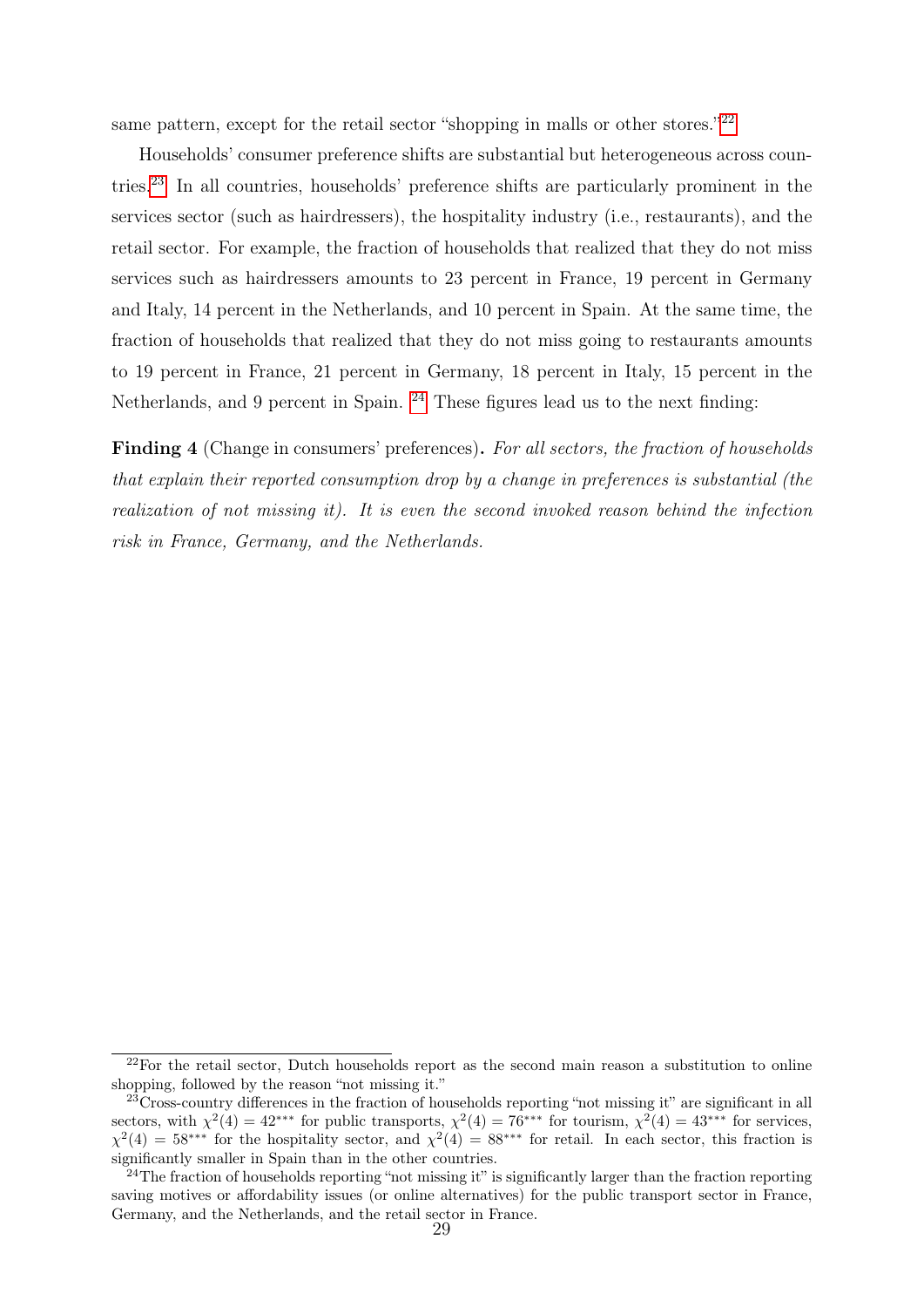same pattern, except for the retail sector "shopping in malls or other stores."<sup>[22](#page-31-0)</sup>

Households' consumer preference shifts are substantial but heterogeneous across countries.[23](#page-31-1) In all countries, households' preference shifts are particularly prominent in the services sector (such as hairdressers), the hospitality industry (i.e., restaurants), and the retail sector. For example, the fraction of households that realized that they do not miss services such as hairdressers amounts to 23 percent in France, 19 percent in Germany and Italy, 14 percent in the Netherlands, and 10 percent in Spain. At the same time, the fraction of households that realized that they do not miss going to restaurants amounts to 19 percent in France, 21 percent in Germany, 18 percent in Italy, 15 percent in the Netherlands, and 9 percent in Spain. <sup>[24](#page-31-2)</sup> These figures lead us to the next finding:

Finding 4 (Change in consumers' preferences). For all sectors, the fraction of households that explain their reported consumption drop by a change in preferences is substantial (the realization of not missing it). It is even the second invoked reason behind the infection risk in France, Germany, and the Netherlands.

<span id="page-31-0"></span> $2<sup>22</sup>F$ or the retail sector, Dutch households report as the second main reason a substitution to online shopping, followed by the reason "not missing it."

<span id="page-31-1"></span><sup>23</sup>Cross-country differences in the fraction of households reporting "not missing it" are significant in all sectors, with  $\chi^2(4) = 42^{***}$  for public transports,  $\chi^2(4) = 76^{***}$  for tourism,  $\chi^2(4) = 43^{***}$  for services,  $\chi^2(4) = 58$ <sup>\*\*\*</sup> for the hospitality sector, and  $\chi^2(4) = 88$ <sup>\*\*\*</sup> for retail. In each sector, this fraction is significantly smaller in Spain than in the other countries.

<span id="page-31-2"></span><sup>&</sup>lt;sup>24</sup>The fraction of households reporting "not missing it" is significantly larger than the fraction reporting saving motives or affordability issues (or online alternatives) for the public transport sector in France, Germany, and the Netherlands, and the retail sector in France.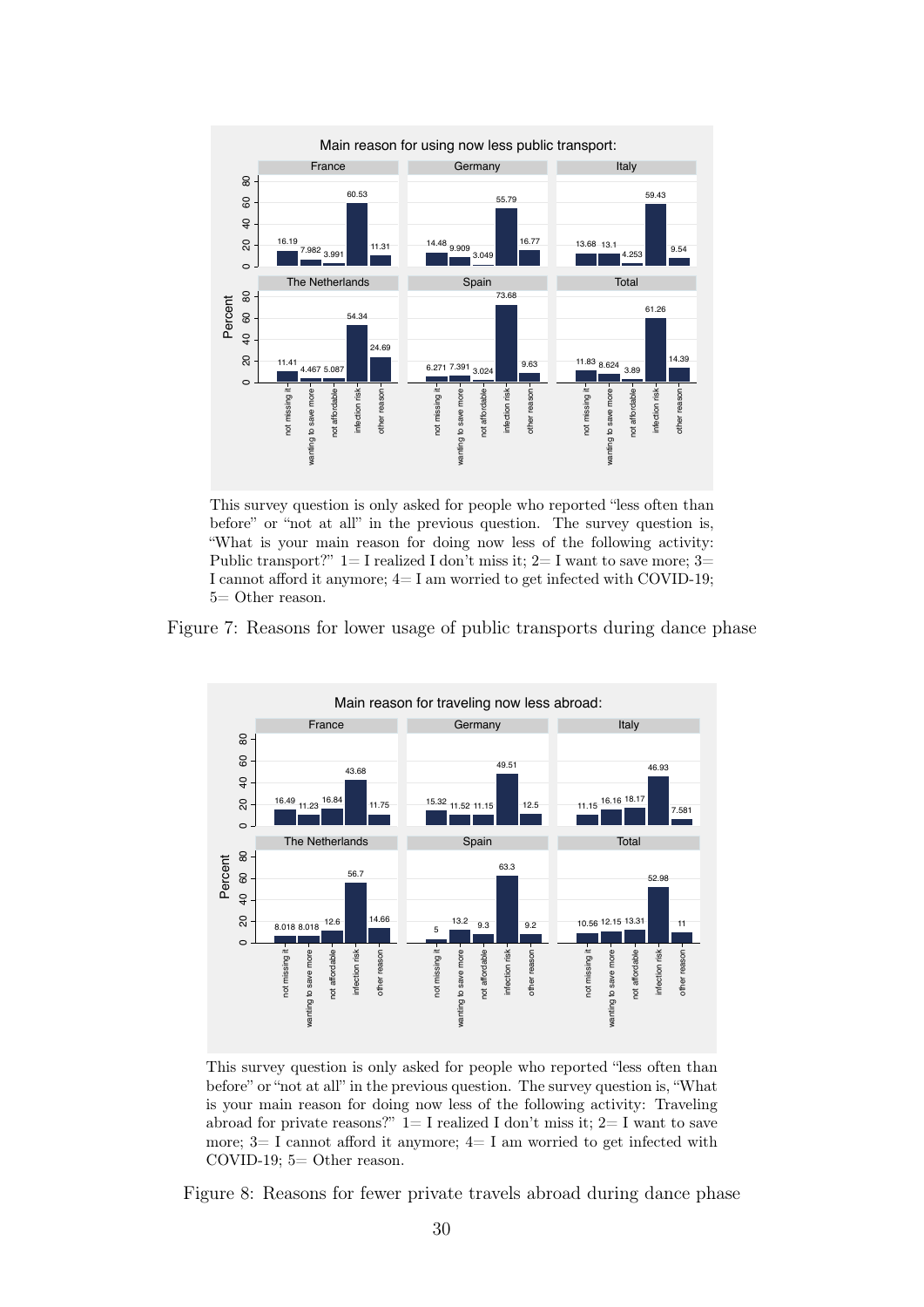<span id="page-32-0"></span>

This survey question is only asked for people who reported "less often than before" or "not at all" in the previous question. The survey question is, "What is your main reason for doing now less of the following activity: Public transport?"  $1=I$  realized I don't miss it;  $2=I$  want to save more;  $3=$ I cannot afford it anymore;  $4=I$  am worried to get infected with COVID-19; 5= Other reason.

Figure 7: Reasons for lower usage of public transports during dance phase

<span id="page-32-1"></span>

This survey question is only asked for people who reported "less often than before" or "not at all" in the previous question. The survey question is, "What is your main reason for doing now less of the following activity: Traveling abroad for private reasons?"  $1=I$  realized I don't miss it;  $2=I$  want to save more;  $3=I$  cannot afford it anymore;  $4=I$  am worried to get infected with COVID-19; 5= Other reason.

Figure 8: Reasons for fewer private travels abroad during dance phase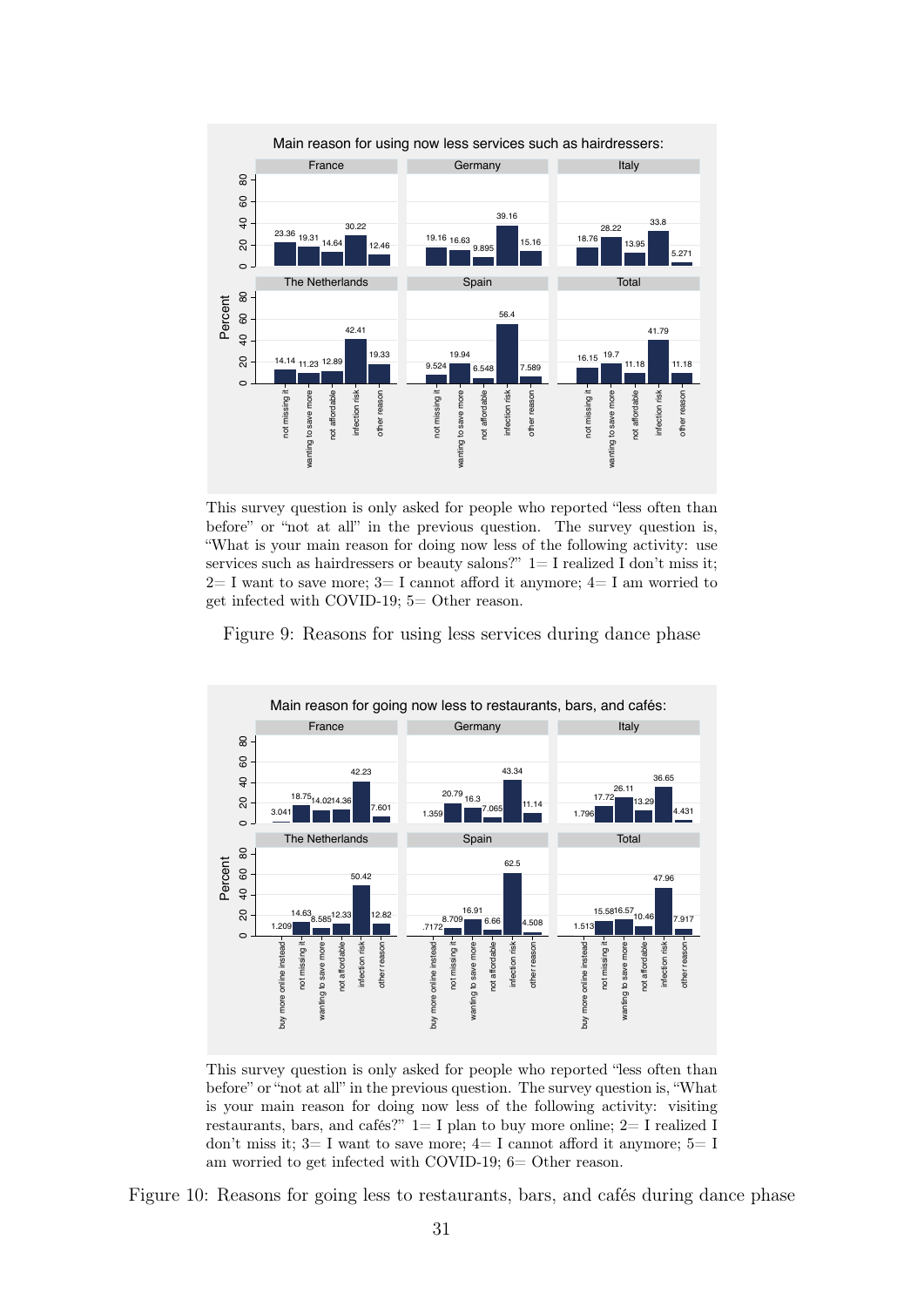<span id="page-33-0"></span>

This survey question is only asked for people who reported "less often than before" or "not at all" in the previous question. The survey question is, "What is your main reason for doing now less of the following activity: use services such as hairdressers or beauty salons?"  $1=$  I realized I don't miss it;  $2= I$  want to save more;  $3= I$  cannot afford it anymore;  $4= I$  am worried to get infected with COVID-19; 5= Other reason.

Figure 9: Reasons for using less services during dance phase

<span id="page-33-1"></span>

This survey question is only asked for people who reported "less often than before" or "not at all" in the previous question. The survey question is, "What is your main reason for doing now less of the following activity: visiting restaurants, bars, and cafés?" 1= I plan to buy more online; 2= I realized I don't miss it;  $3=I$  want to save more;  $4=I$  cannot afford it anymore;  $5=I$ am worried to get infected with COVID-19; 6= Other reason.

Figure 10: Reasons for going less to restaurants, bars, and cafés during dance phase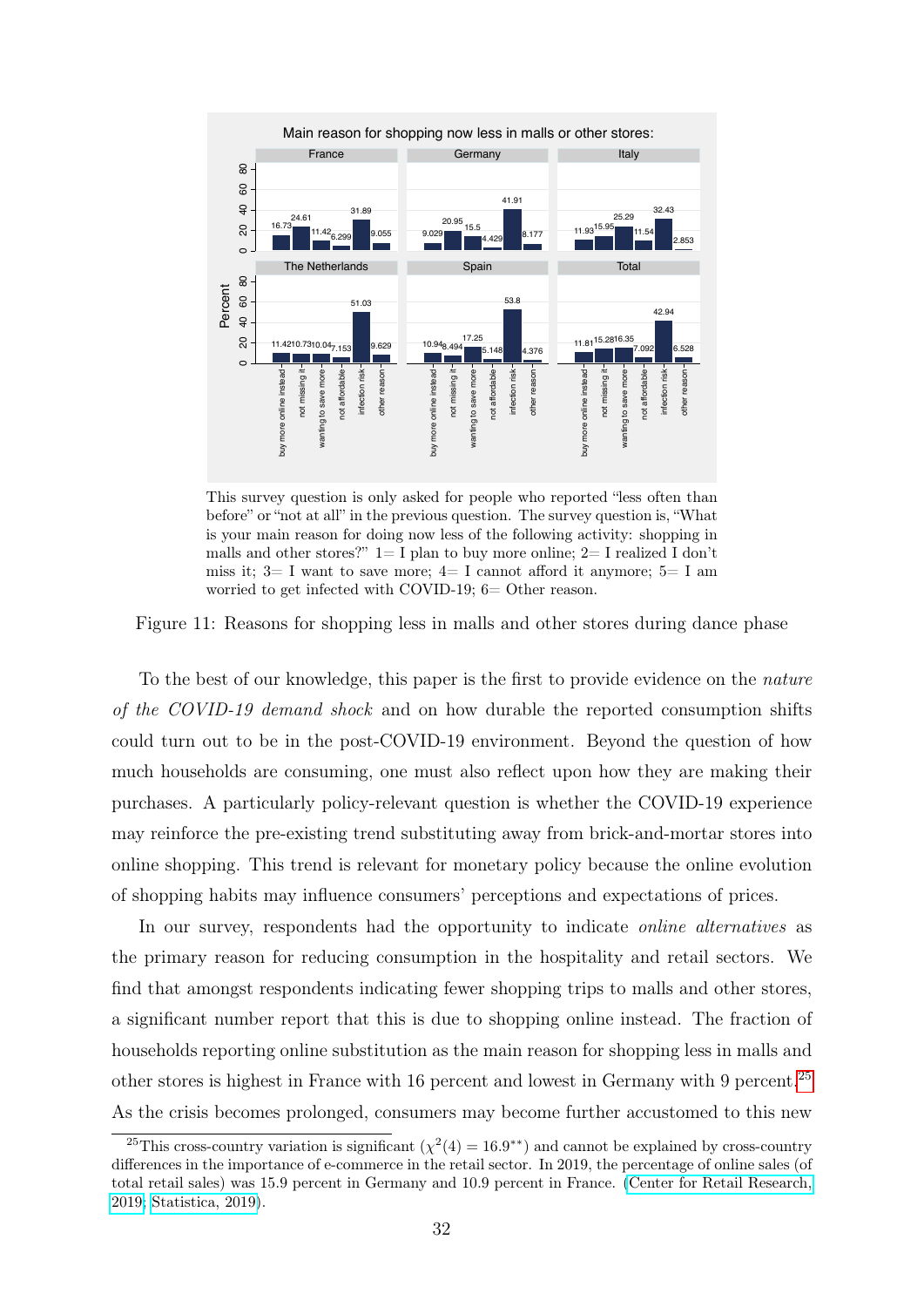<span id="page-34-0"></span>

This survey question is only asked for people who reported "less often than before" or "not at all" in the previous question. The survey question is, "What is your main reason for doing now less of the following activity: shopping in malls and other stores?"  $1=I$  plan to buy more online;  $2=I$  realized I don't miss it;  $3=I$  want to save more;  $4=I$  cannot afford it anymore;  $5=I$  am worried to get infected with COVID-19; 6= Other reason.

Figure 11: Reasons for shopping less in malls and other stores during dance phase

To the best of our knowledge, this paper is the first to provide evidence on the nature of the COVID-19 demand shock and on how durable the reported consumption shifts could turn out to be in the post-COVID-19 environment. Beyond the question of how much households are consuming, one must also reflect upon how they are making their purchases. A particularly policy-relevant question is whether the COVID-19 experience may reinforce the pre-existing trend substituting away from brick-and-mortar stores into online shopping. This trend is relevant for monetary policy because the online evolution of shopping habits may influence consumers' perceptions and expectations of prices.

In our survey, respondents had the opportunity to indicate *online alternatives* as the primary reason for reducing consumption in the hospitality and retail sectors. We find that amongst respondents indicating fewer shopping trips to malls and other stores, a significant number report that this is due to shopping online instead. The fraction of households reporting online substitution as the main reason for shopping less in malls and other stores is highest in France with 16 percent and lowest in Germany with 9 percent.<sup>[25](#page-34-1)</sup> As the crisis becomes prolonged, consumers may become further accustomed to this new

<span id="page-34-1"></span><sup>&</sup>lt;sup>25</sup>This cross-country variation is significant ( $\chi^2(4) = 16.9^{**}$ ) and cannot be explained by cross-country differences in the importance of e-commerce in the retail sector. In 2019, the percentage of online sales (of total retail sales) was 15.9 percent in Germany and 10.9 percent in France. [\(Center for Retail Research,](https://www.retailresearch.org/online-retail.html) [2019;](https://www.retailresearch.org/online-retail.html) [Statistica, 2019\)](https://www.statista.com/statistics/281241/online-share-of-retail-trade-in-european-countries/).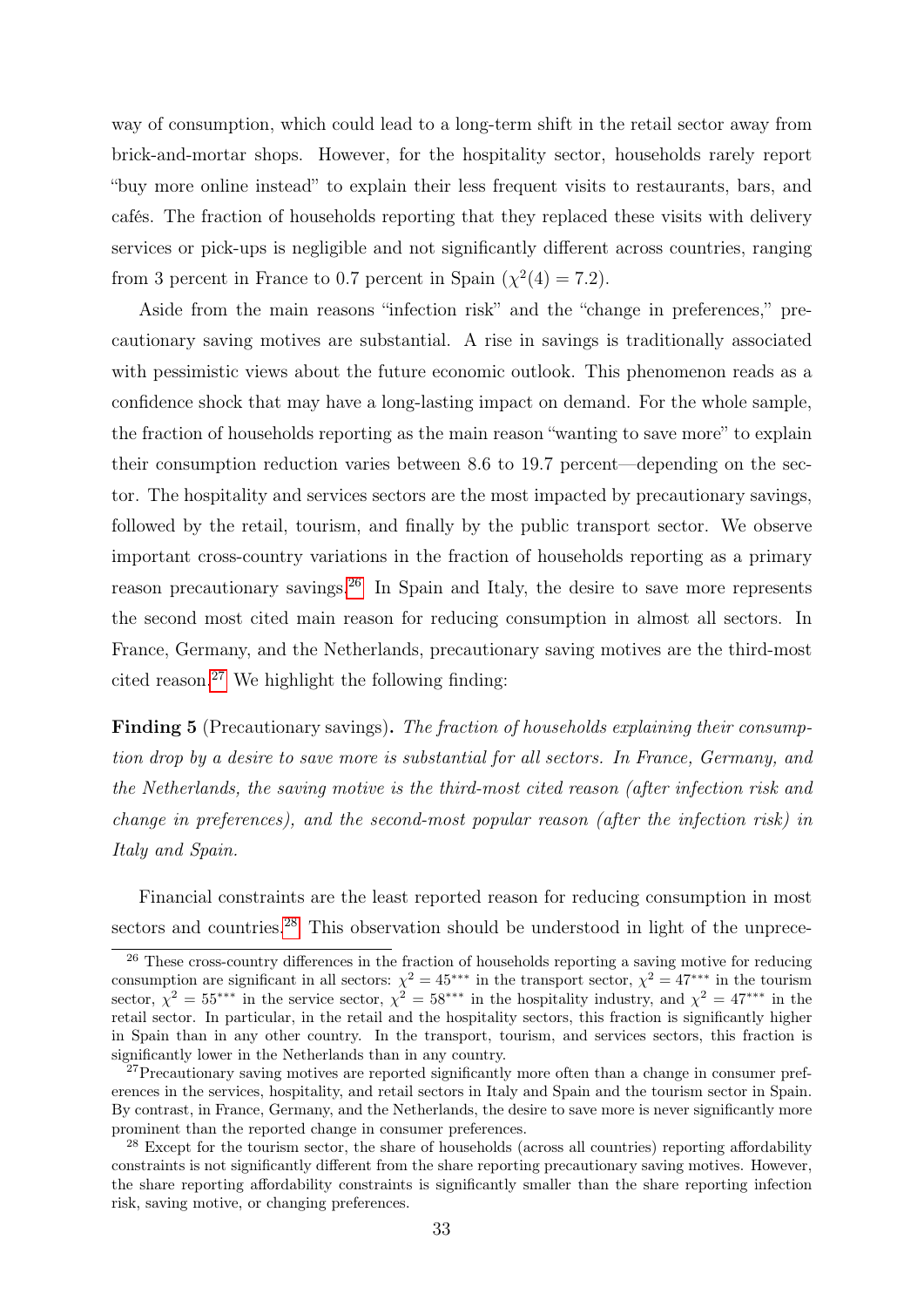way of consumption, which could lead to a long-term shift in the retail sector away from brick-and-mortar shops. However, for the hospitality sector, households rarely report "buy more online instead" to explain their less frequent visits to restaurants, bars, and cafés. The fraction of households reporting that they replaced these visits with delivery services or pick-ups is negligible and not significantly different across countries, ranging from 3 percent in France to 0.7 percent in Spain  $(\chi^2(4) = 7.2)$ .

Aside from the main reasons "infection risk" and the "change in preferences," precautionary saving motives are substantial. A rise in savings is traditionally associated with pessimistic views about the future economic outlook. This phenomenon reads as a confidence shock that may have a long-lasting impact on demand. For the whole sample, the fraction of households reporting as the main reason "wanting to save more" to explain their consumption reduction varies between 8.6 to 19.7 percent—depending on the sector. The hospitality and services sectors are the most impacted by precautionary savings, followed by the retail, tourism, and finally by the public transport sector. We observe important cross-country variations in the fraction of households reporting as a primary reason precautionary savings.<sup>[26](#page-35-0)</sup> In Spain and Italy, the desire to save more represents the second most cited main reason for reducing consumption in almost all sectors. In France, Germany, and the Netherlands, precautionary saving motives are the third-most cited reason.<sup>[27](#page-35-1)</sup> We highlight the following finding:

**Finding 5** (Precautionary savings). The fraction of households explaining their consumption drop by a desire to save more is substantial for all sectors. In France, Germany, and the Netherlands, the saving motive is the third-most cited reason (after infection risk and change in preferences), and the second-most popular reason (after the infection risk) in Italy and Spain.

Financial constraints are the least reported reason for reducing consumption in most sectors and countries.<sup>[28](#page-35-2)</sup> This observation should be understood in light of the unprece-

<span id="page-35-0"></span><sup>&</sup>lt;sup>26</sup> These cross-country differences in the fraction of households reporting a saving motive for reducing consumption are significant in all sectors:  $\chi^2 = 45$ <sup>\*\*\*</sup> in the transport sector,  $\chi^2 = 47$ <sup>\*\*\*</sup> in the tourism sector,  $\chi^2 = 55^{***}$  in the service sector,  $\chi^2 = 58^{***}$  in the hospitality industry, and  $\chi^2 = 47^{***}$  in the retail sector. In particular, in the retail and the hospitality sectors, this fraction is significantly higher in Spain than in any other country. In the transport, tourism, and services sectors, this fraction is significantly lower in the Netherlands than in any country.

<span id="page-35-1"></span><sup>&</sup>lt;sup>27</sup>Precautionary saving motives are reported significantly more often than a change in consumer preferences in the services, hospitality, and retail sectors in Italy and Spain and the tourism sector in Spain. By contrast, in France, Germany, and the Netherlands, the desire to save more is never significantly more prominent than the reported change in consumer preferences.

<span id="page-35-2"></span><sup>&</sup>lt;sup>28</sup> Except for the tourism sector, the share of households (across all countries) reporting affordability constraints is not significantly different from the share reporting precautionary saving motives. However, the share reporting affordability constraints is significantly smaller than the share reporting infection risk, saving motive, or changing preferences.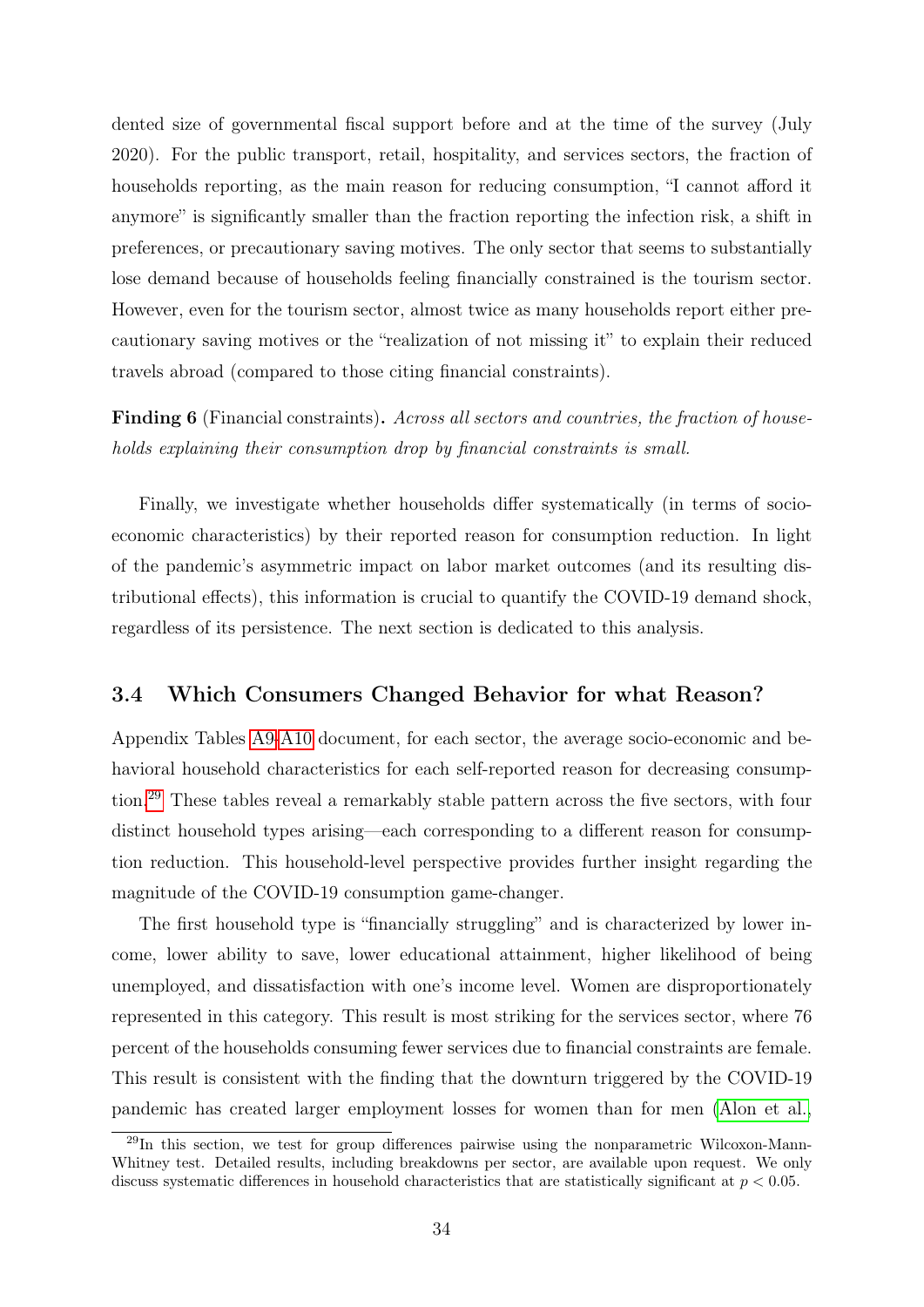dented size of governmental fiscal support before and at the time of the survey (July 2020). For the public transport, retail, hospitality, and services sectors, the fraction of households reporting, as the main reason for reducing consumption, "I cannot afford it anymore" is significantly smaller than the fraction reporting the infection risk, a shift in preferences, or precautionary saving motives. The only sector that seems to substantially lose demand because of households feeling financially constrained is the tourism sector. However, even for the tourism sector, almost twice as many households report either precautionary saving motives or the "realization of not missing it" to explain their reduced travels abroad (compared to those citing financial constraints).

Finding 6 (Financial constraints). Across all sectors and countries, the fraction of households explaining their consumption drop by financial constraints is small.

Finally, we investigate whether households differ systematically (in terms of socioeconomic characteristics) by their reported reason for consumption reduction. In light of the pandemic's asymmetric impact on labor market outcomes (and its resulting distributional effects), this information is crucial to quantify the COVID-19 demand shock, regardless of its persistence. The next section is dedicated to this analysis.

### 3.4 Which Consumers Changed Behavior for what Reason?

Appendix Tables [A9-](#page-58-0)[A10](#page-59-0) document, for each sector, the average socio-economic and behavioral household characteristics for each self-reported reason for decreasing consumption.[29](#page-36-0) These tables reveal a remarkably stable pattern across the five sectors, with four distinct household types arising—each corresponding to a different reason for consumption reduction. This household-level perspective provides further insight regarding the magnitude of the COVID-19 consumption game-changer.

The first household type is "financially struggling" and is characterized by lower income, lower ability to save, lower educational attainment, higher likelihood of being unemployed, and dissatisfaction with one's income level. Women are disproportionately represented in this category. This result is most striking for the services sector, where 76 percent of the households consuming fewer services due to financial constraints are female. This result is consistent with the finding that the downturn triggered by the COVID-19 pandemic has created larger employment losses for women than for men [\(Alon et al.,](#page-41-2)

<span id="page-36-0"></span><sup>&</sup>lt;sup>29</sup>In this section, we test for group differences pairwise using the nonparametric Wilcoxon-Mann-Whitney test. Detailed results, including breakdowns per sector, are available upon request. We only discuss systematic differences in household characteristics that are statistically significant at  $p < 0.05$ .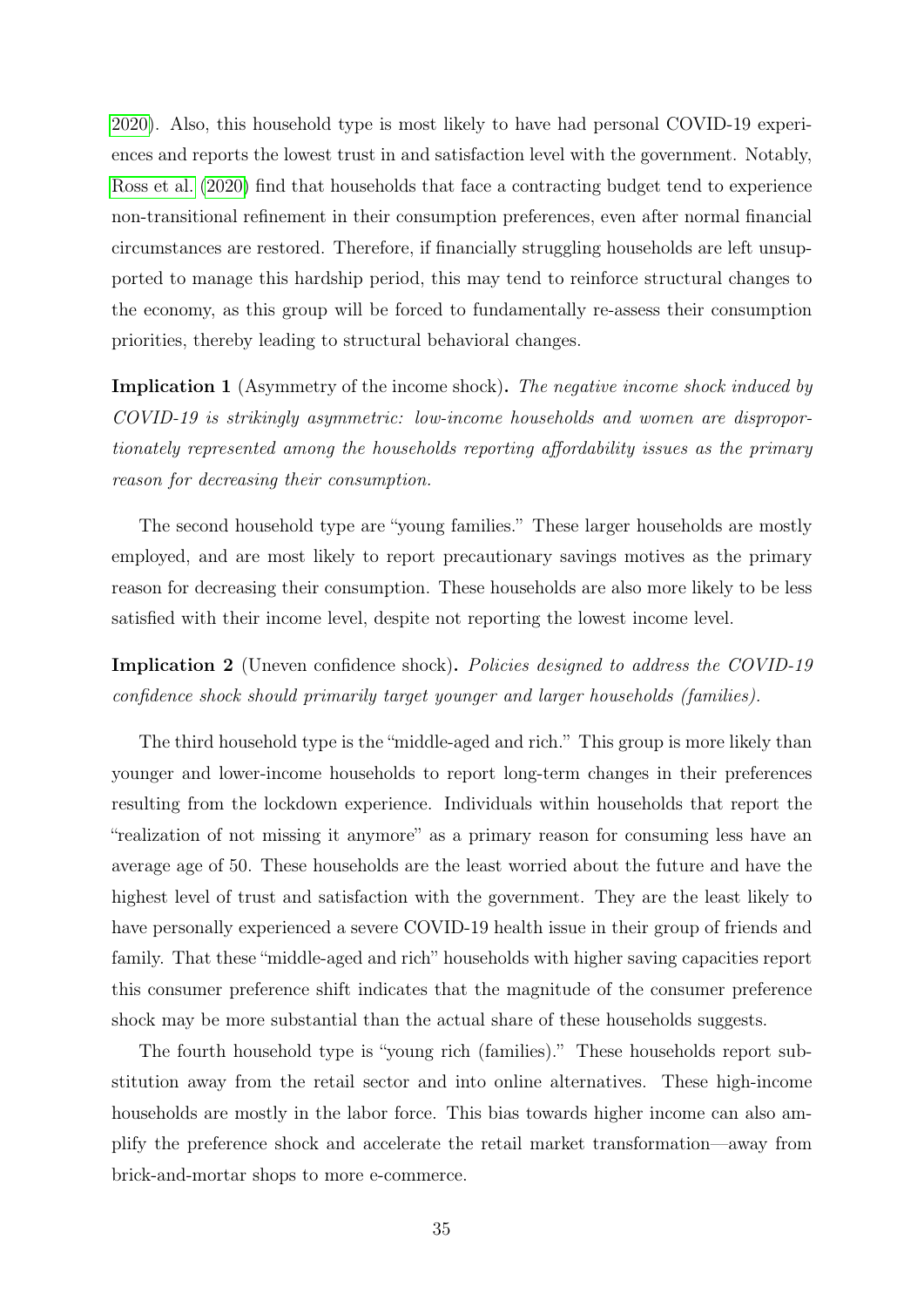[2020\)](#page-41-2). Also, this household type is most likely to have had personal COVID-19 experiences and reports the lowest trust in and satisfaction level with the government. Notably, [Ross et al.](#page-44-4) [\(2020\)](#page-44-4) find that households that face a contracting budget tend to experience non-transitional refinement in their consumption preferences, even after normal financial circumstances are restored. Therefore, if financially struggling households are left unsupported to manage this hardship period, this may tend to reinforce structural changes to the economy, as this group will be forced to fundamentally re-assess their consumption priorities, thereby leading to structural behavioral changes.

**Implication 1** (Asymmetry of the income shock). The negative income shock induced by COVID-19 is strikingly asymmetric: low-income households and women are disproportionately represented among the households reporting affordability issues as the primary reason for decreasing their consumption.

The second household type are "young families." These larger households are mostly employed, and are most likely to report precautionary savings motives as the primary reason for decreasing their consumption. These households are also more likely to be less satisfied with their income level, despite not reporting the lowest income level.

Implication 2 (Uneven confidence shock). Policies designed to address the COVID-19 confidence shock should primarily target younger and larger households (families).

The third household type is the "middle-aged and rich." This group is more likely than younger and lower-income households to report long-term changes in their preferences resulting from the lockdown experience. Individuals within households that report the "realization of not missing it anymore" as a primary reason for consuming less have an average age of 50. These households are the least worried about the future and have the highest level of trust and satisfaction with the government. They are the least likely to have personally experienced a severe COVID-19 health issue in their group of friends and family. That these "middle-aged and rich" households with higher saving capacities report this consumer preference shift indicates that the magnitude of the consumer preference shock may be more substantial than the actual share of these households suggests.

The fourth household type is "young rich (families)." These households report substitution away from the retail sector and into online alternatives. These high-income households are mostly in the labor force. This bias towards higher income can also amplify the preference shock and accelerate the retail market transformation—away from brick-and-mortar shops to more e-commerce.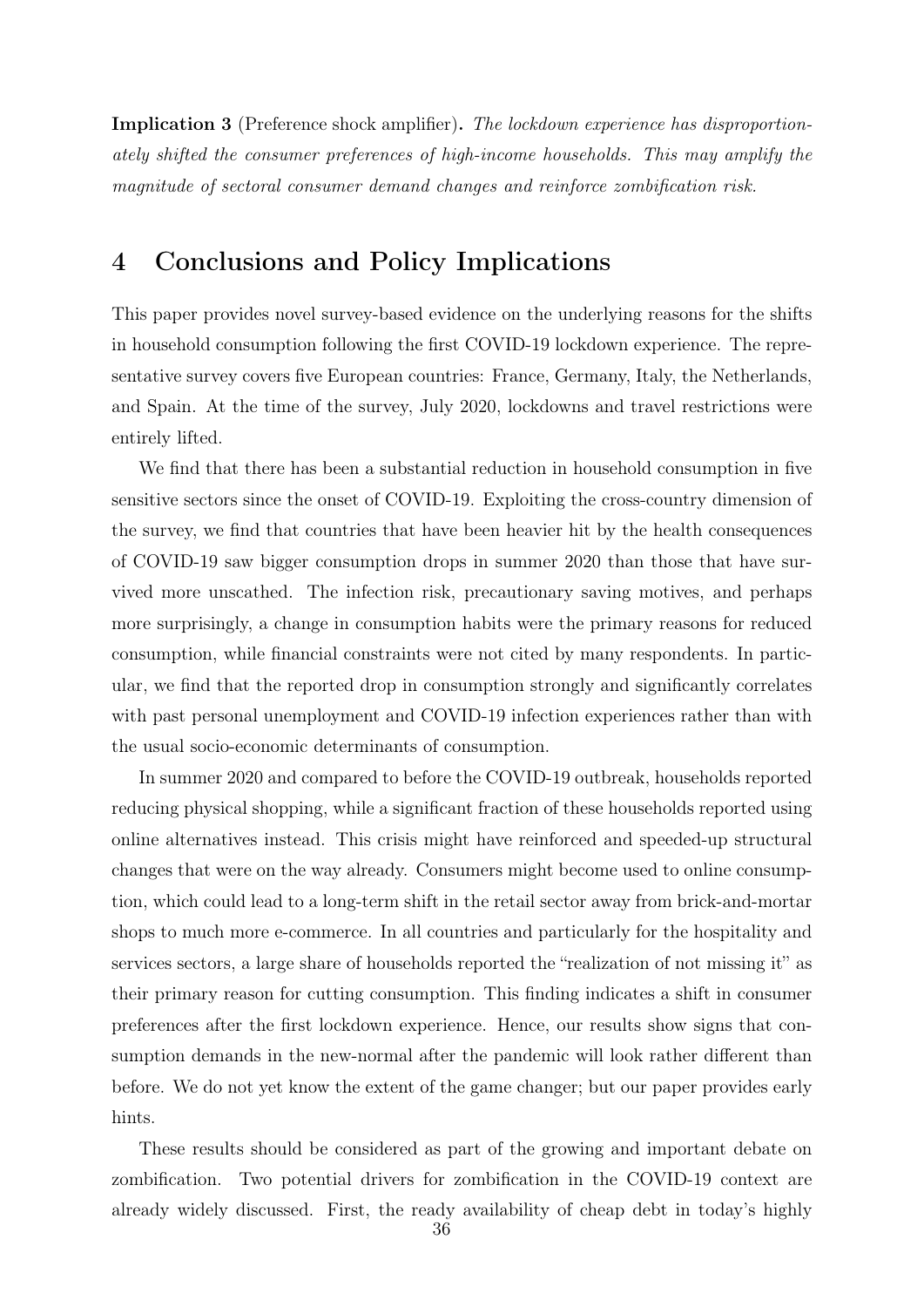Implication 3 (Preference shock amplifier). The lockdown experience has disproportionately shifted the consumer preferences of high-income households. This may amplify the magnitude of sectoral consumer demand changes and reinforce zombification risk.

### 4 Conclusions and Policy Implications

This paper provides novel survey-based evidence on the underlying reasons for the shifts in household consumption following the first COVID-19 lockdown experience. The representative survey covers five European countries: France, Germany, Italy, the Netherlands, and Spain. At the time of the survey, July 2020, lockdowns and travel restrictions were entirely lifted.

We find that there has been a substantial reduction in household consumption in five sensitive sectors since the onset of COVID-19. Exploiting the cross-country dimension of the survey, we find that countries that have been heavier hit by the health consequences of COVID-19 saw bigger consumption drops in summer 2020 than those that have survived more unscathed. The infection risk, precautionary saving motives, and perhaps more surprisingly, a change in consumption habits were the primary reasons for reduced consumption, while financial constraints were not cited by many respondents. In particular, we find that the reported drop in consumption strongly and significantly correlates with past personal unemployment and COVID-19 infection experiences rather than with the usual socio-economic determinants of consumption.

In summer 2020 and compared to before the COVID-19 outbreak, households reported reducing physical shopping, while a significant fraction of these households reported using online alternatives instead. This crisis might have reinforced and speeded-up structural changes that were on the way already. Consumers might become used to online consumption, which could lead to a long-term shift in the retail sector away from brick-and-mortar shops to much more e-commerce. In all countries and particularly for the hospitality and services sectors, a large share of households reported the "realization of not missing it" as their primary reason for cutting consumption. This finding indicates a shift in consumer preferences after the first lockdown experience. Hence, our results show signs that consumption demands in the new-normal after the pandemic will look rather different than before. We do not yet know the extent of the game changer; but our paper provides early hints.

These results should be considered as part of the growing and important debate on zombification. Two potential drivers for zombification in the COVID-19 context are already widely discussed. First, the ready availability of cheap debt in today's highly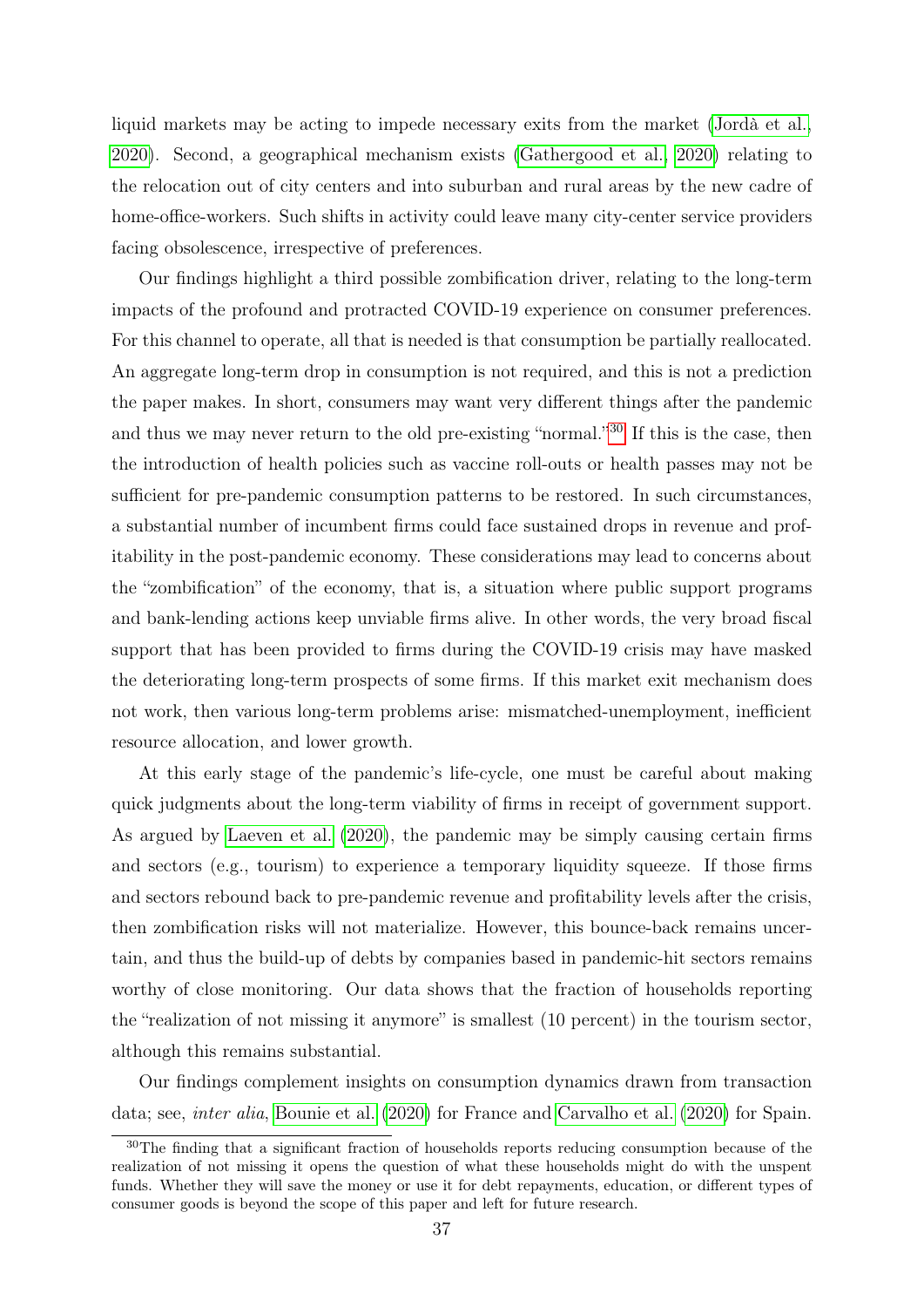liquid markets may be acting to impede necessary exits from the market [\(Jordà et al.,](#page-43-7) [2020\)](#page-43-7). Second, a geographical mechanism exists [\(Gathergood et al., 2020\)](#page-43-8) relating to the relocation out of city centers and into suburban and rural areas by the new cadre of home-office-workers. Such shifts in activity could leave many city-center service providers facing obsolescence, irrespective of preferences.

Our findings highlight a third possible zombification driver, relating to the long-term impacts of the profound and protracted COVID-19 experience on consumer preferences. For this channel to operate, all that is needed is that consumption be partially reallocated. An aggregate long-term drop in consumption is not required, and this is not a prediction the paper makes. In short, consumers may want very different things after the pandemic and thus we may never return to the old pre-existing "normal."<sup>[30](#page-39-0)</sup> If this is the case, then the introduction of health policies such as vaccine roll-outs or health passes may not be sufficient for pre-pandemic consumption patterns to be restored. In such circumstances, a substantial number of incumbent firms could face sustained drops in revenue and profitability in the post-pandemic economy. These considerations may lead to concerns about the "zombification" of the economy, that is, a situation where public support programs and bank-lending actions keep unviable firms alive. In other words, the very broad fiscal support that has been provided to firms during the COVID-19 crisis may have masked the deteriorating long-term prospects of some firms. If this market exit mechanism does not work, then various long-term problems arise: mismatched-unemployment, inefficient resource allocation, and lower growth.

At this early stage of the pandemic's life-cycle, one must be careful about making quick judgments about the long-term viability of firms in receipt of government support. As argued by [Laeven et al.](#page-43-9) [\(2020\)](#page-43-9), the pandemic may be simply causing certain firms and sectors (e.g., tourism) to experience a temporary liquidity squeeze. If those firms and sectors rebound back to pre-pandemic revenue and profitability levels after the crisis, then zombification risks will not materialize. However, this bounce-back remains uncertain, and thus the build-up of debts by companies based in pandemic-hit sectors remains worthy of close monitoring. Our data shows that the fraction of households reporting the "realization of not missing it anymore" is smallest (10 percent) in the tourism sector, although this remains substantial.

Our findings complement insights on consumption dynamics drawn from transaction data; see, inter alia, [Bounie et al.](#page-42-3) [\(2020\)](#page-42-3) for France and [Carvalho et al.](#page-42-4) [\(2020\)](#page-42-4) for Spain.

<span id="page-39-0"></span><sup>&</sup>lt;sup>30</sup>The finding that a significant fraction of households reports reducing consumption because of the realization of not missing it opens the question of what these households might do with the unspent funds. Whether they will save the money or use it for debt repayments, education, or different types of consumer goods is beyond the scope of this paper and left for future research.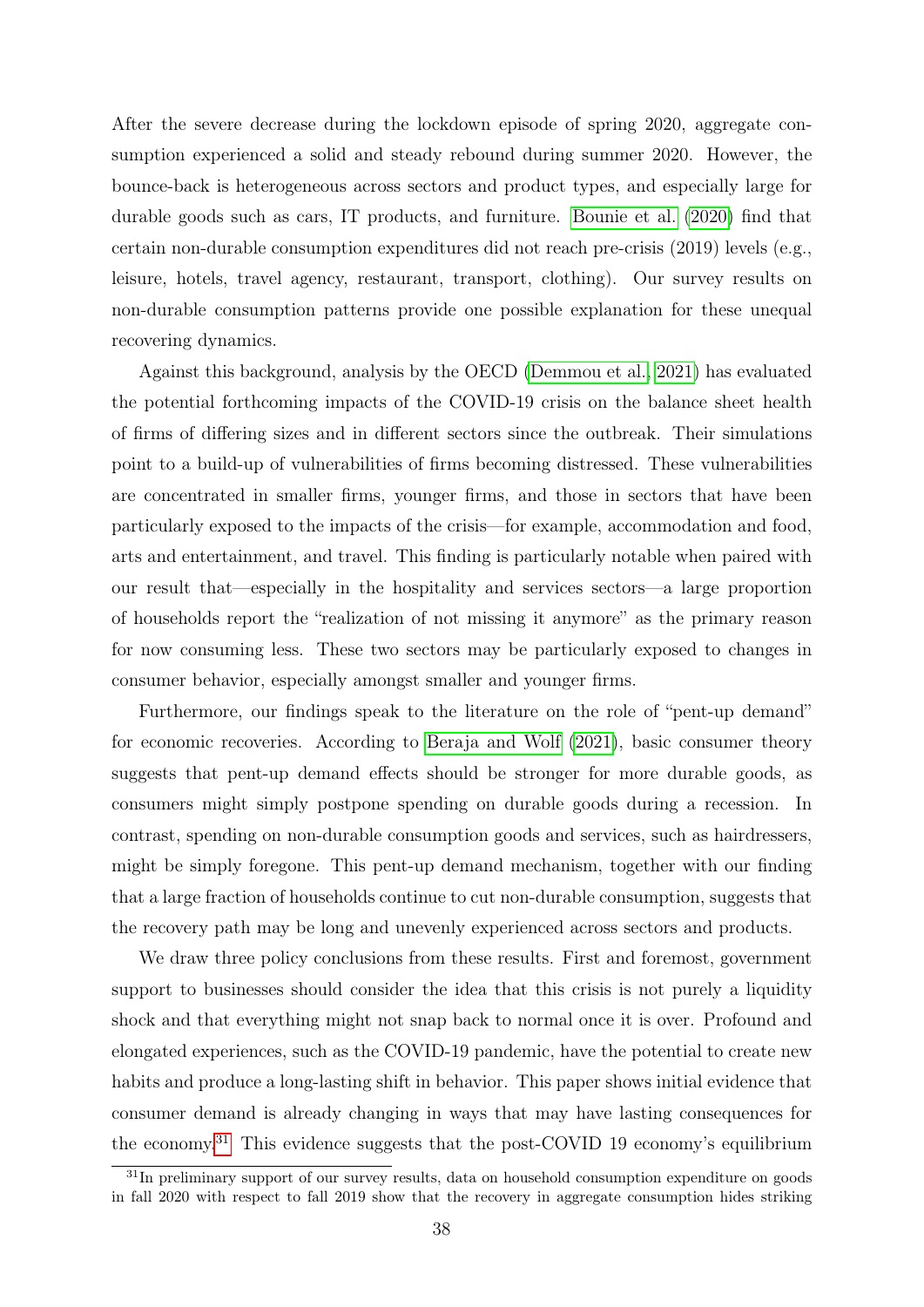After the severe decrease during the lockdown episode of spring 2020, aggregate consumption experienced a solid and steady rebound during summer 2020. However, the bounce-back is heterogeneous across sectors and product types, and especially large for durable goods such as cars, IT products, and furniture. [Bounie et al.](#page-42-3) [\(2020\)](#page-42-3) find that certain non-durable consumption expenditures did not reach pre-crisis (2019) levels (e.g., leisure, hotels, travel agency, restaurant, transport, clothing). Our survey results on non-durable consumption patterns provide one possible explanation for these unequal recovering dynamics.

Against this background, analysis by the OECD [\(Demmou et al., 2021\)](#page-43-10) has evaluated the potential forthcoming impacts of the COVID-19 crisis on the balance sheet health of firms of differing sizes and in different sectors since the outbreak. Their simulations point to a build-up of vulnerabilities of firms becoming distressed. These vulnerabilities are concentrated in smaller firms, younger firms, and those in sectors that have been particularly exposed to the impacts of the crisis—for example, accommodation and food, arts and entertainment, and travel. This finding is particularly notable when paired with our result that—especially in the hospitality and services sectors—a large proportion of households report the "realization of not missing it anymore" as the primary reason for now consuming less. These two sectors may be particularly exposed to changes in consumer behavior, especially amongst smaller and younger firms.

Furthermore, our findings speak to the literature on the role of "pent-up demand" for economic recoveries. According to [Beraja and Wolf](#page-42-9) [\(2021\)](#page-42-9), basic consumer theory suggests that pent-up demand effects should be stronger for more durable goods, as consumers might simply postpone spending on durable goods during a recession. In contrast, spending on non-durable consumption goods and services, such as hairdressers, might be simply foregone. This pent-up demand mechanism, together with our finding that a large fraction of households continue to cut non-durable consumption, suggests that the recovery path may be long and unevenly experienced across sectors and products.

We draw three policy conclusions from these results. First and foremost, government support to businesses should consider the idea that this crisis is not purely a liquidity shock and that everything might not snap back to normal once it is over. Profound and elongated experiences, such as the COVID-19 pandemic, have the potential to create new habits and produce a long-lasting shift in behavior. This paper shows initial evidence that consumer demand is already changing in ways that may have lasting consequences for the economy.[31](#page-40-0) This evidence suggests that the post-COVID 19 economy's equilibrium

<span id="page-40-0"></span><sup>&</sup>lt;sup>31</sup>In preliminary support of our survey results, data on household consumption expenditure on goods in fall 2020 with respect to fall 2019 show that the recovery in aggregate consumption hides striking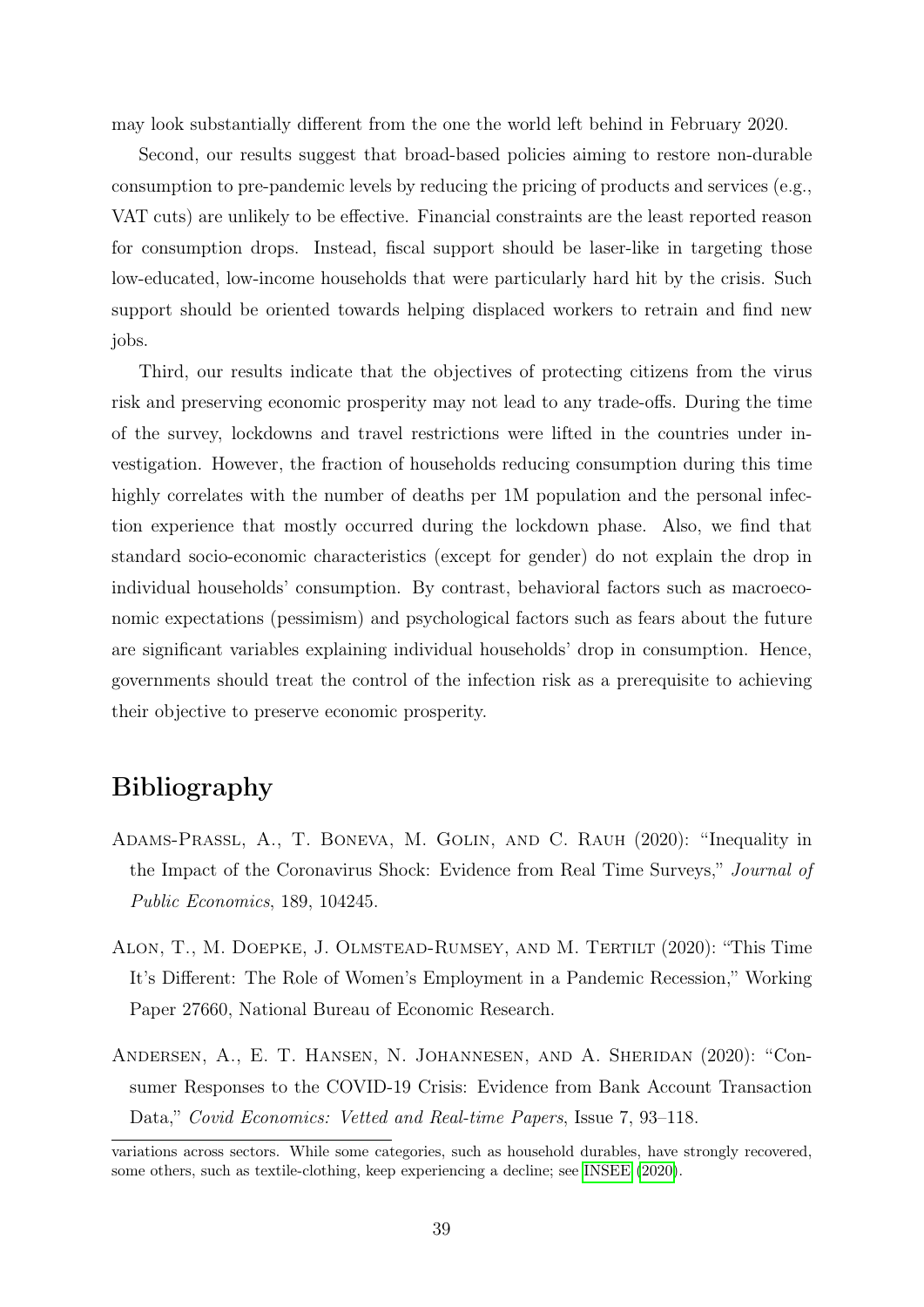may look substantially different from the one the world left behind in February 2020.

Second, our results suggest that broad-based policies aiming to restore non-durable consumption to pre-pandemic levels by reducing the pricing of products and services (e.g., VAT cuts) are unlikely to be effective. Financial constraints are the least reported reason for consumption drops. Instead, fiscal support should be laser-like in targeting those low-educated, low-income households that were particularly hard hit by the crisis. Such support should be oriented towards helping displaced workers to retrain and find new jobs.

Third, our results indicate that the objectives of protecting citizens from the virus risk and preserving economic prosperity may not lead to any trade-offs. During the time of the survey, lockdowns and travel restrictions were lifted in the countries under investigation. However, the fraction of households reducing consumption during this time highly correlates with the number of deaths per 1M population and the personal infection experience that mostly occurred during the lockdown phase. Also, we find that standard socio-economic characteristics (except for gender) do not explain the drop in individual households' consumption. By contrast, behavioral factors such as macroeconomic expectations (pessimism) and psychological factors such as fears about the future are significant variables explaining individual households' drop in consumption. Hence, governments should treat the control of the infection risk as a prerequisite to achieving their objective to preserve economic prosperity.

### Bibliography

- <span id="page-41-1"></span>Adams-Prassl, A., T. Boneva, M. Golin, and C. Rauh (2020): "Inequality in the Impact of the Coronavirus Shock: Evidence from Real Time Surveys," Journal of Public Economics, 189, 104245.
- <span id="page-41-2"></span>Alon, T., M. Doepke, J. Olmstead-Rumsey, and M. Tertilt (2020): "This Time It's Different: The Role of Women's Employment in a Pandemic Recession," Working Paper 27660, National Bureau of Economic Research.
- <span id="page-41-0"></span>Andersen, A., E. T. Hansen, N. Johannesen, and A. Sheridan (2020): "Consumer Responses to the COVID-19 Crisis: Evidence from Bank Account Transaction Data," Covid Economics: Vetted and Real-time Papers, Issue 7, 93–118.

variations across sectors. While some categories, such as household durables, have strongly recovered, some others, such as textile-clothing, keep experiencing a decline; see [INSEE](#page-43-11) [\(2020\)](#page-43-11).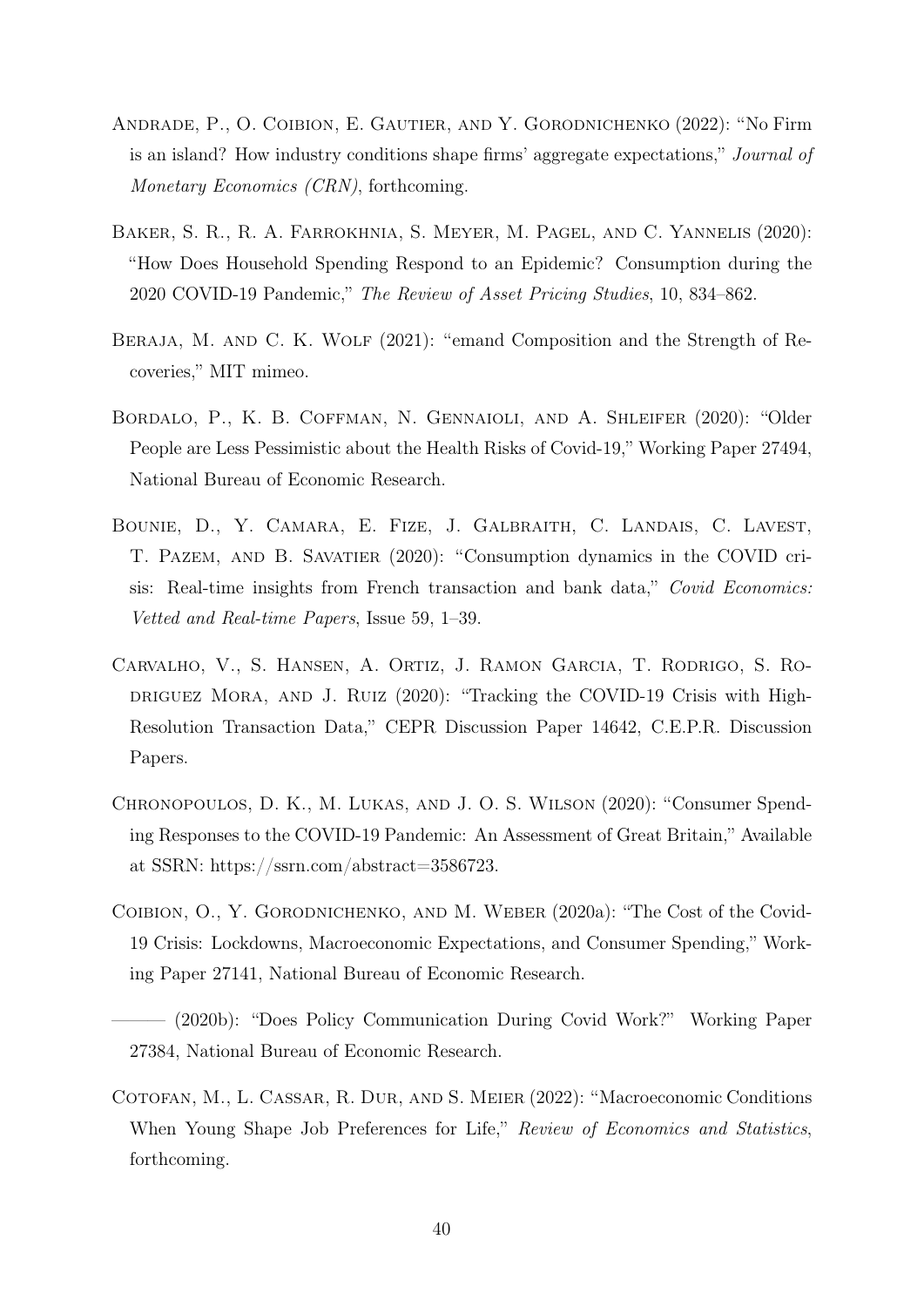- <span id="page-42-0"></span>Andrade, P., O. Coibion, E. Gautier, and Y. Gorodnichenko (2022): "No Firm is an island? How industry conditions shape firms' aggregate expectations," Journal of Monetary Economics (CRN), forthcoming.
- <span id="page-42-2"></span>Baker, S. R., R. A. Farrokhnia, S. Meyer, M. Pagel, and C. Yannelis (2020): "How Does Household Spending Respond to an Epidemic? Consumption during the 2020 COVID-19 Pandemic," The Review of Asset Pricing Studies, 10, 834–862.
- <span id="page-42-9"></span>BERAJA, M. AND C. K. WOLF (2021): "emand Composition and the Strength of Recoveries," MIT mimeo.
- <span id="page-42-8"></span>Bordalo, P., K. B. Coffman, N. Gennaioli, and A. Shleifer (2020): "Older People are Less Pessimistic about the Health Risks of Covid-19," Working Paper 27494, National Bureau of Economic Research.
- <span id="page-42-3"></span>Bounie, D., Y. Camara, E. Fize, J. Galbraith, C. Landais, C. Lavest, T. Pazem, and B. Savatier (2020): "Consumption dynamics in the COVID crisis: Real-time insights from French transaction and bank data," Covid Economics: Vetted and Real-time Papers, Issue 59, 1–39.
- <span id="page-42-4"></span>Carvalho, V., S. Hansen, A. Ortiz, J. Ramon Garcia, T. Rodrigo, S. Ro-DRIGUEZ MORA, AND J. RUIZ (2020): "Tracking the COVID-19 Crisis with High-Resolution Transaction Data," CEPR Discussion Paper 14642, C.E.P.R. Discussion Papers.
- <span id="page-42-5"></span>Chronopoulos, D. K., M. Lukas, and J. O. S. Wilson (2020): "Consumer Spending Responses to the COVID-19 Pandemic: An Assessment of Great Britain," Available at SSRN: https://ssrn.com/abstract=3586723.
- <span id="page-42-6"></span>Coibion, O., Y. Gorodnichenko, and M. Weber (2020a): "The Cost of the Covid-19 Crisis: Lockdowns, Macroeconomic Expectations, and Consumer Spending," Working Paper 27141, National Bureau of Economic Research.
- <span id="page-42-7"></span>——— (2020b): "Does Policy Communication During Covid Work?" Working Paper 27384, National Bureau of Economic Research.
- <span id="page-42-1"></span>Cotofan, M., L. Cassar, R. Dur, and S. Meier (2022): "Macroeconomic Conditions When Young Shape Job Preferences for Life," Review of Economics and Statistics, forthcoming.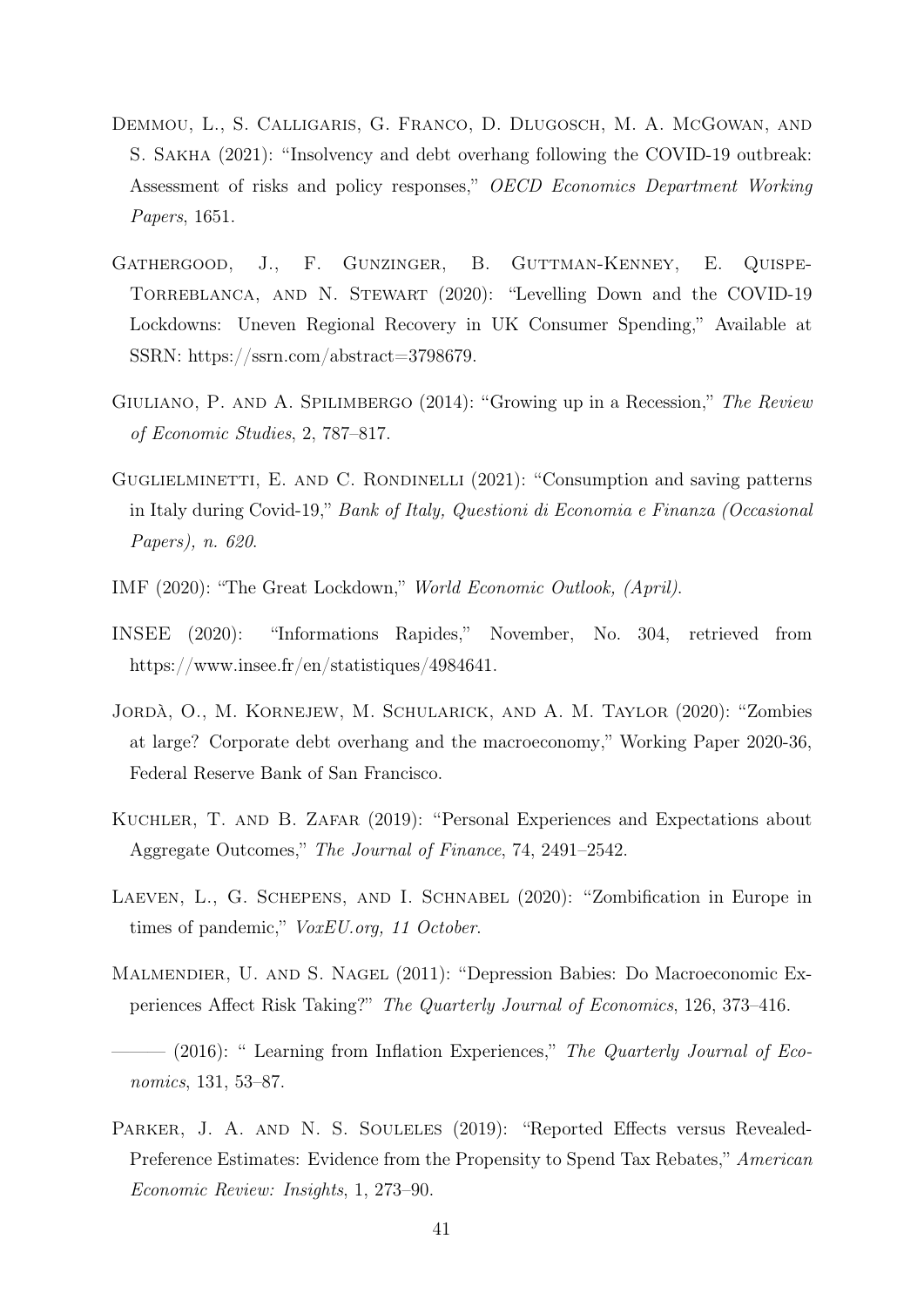- <span id="page-43-10"></span>Demmou, L., S. Calligaris, G. Franco, D. Dlugosch, M. A. McGowan, and S. Sakha (2021): "Insolvency and debt overhang following the COVID-19 outbreak: Assessment of risks and policy responses," OECD Economics Department Working Papers, 1651.
- <span id="page-43-8"></span>GATHERGOOD, J., F. GUNZINGER, B. GUTTMAN-KENNEY, E. QUISPE-Torreblanca, and N. Stewart (2020): "Levelling Down and the COVID-19 Lockdowns: Uneven Regional Recovery in UK Consumer Spending," Available at SSRN: https://ssrn.com/abstract=3798679.
- <span id="page-43-4"></span>GIULIANO, P. AND A. SPILIMBERGO (2014): "Growing up in a Recession," The Review of Economic Studies, 2, 787–817.
- <span id="page-43-6"></span>GUGLIELMINETTI, E. AND C. RONDINELLI (2021): "Consumption and saving patterns in Italy during Covid-19," Bank of Italy, Questioni di Economia e Finanza (Occasional Papers), n. 620.
- <span id="page-43-0"></span>IMF (2020): "The Great Lockdown," World Economic Outlook, (April).
- <span id="page-43-11"></span>INSEE (2020): "Informations Rapides," November, No. 304, retrieved from https://www.insee.fr/en/statistiques/4984641.
- <span id="page-43-7"></span>Jordà, O., M. Kornejew, M. Schularick, and A. M. Taylor (2020): "Zombies at large? Corporate debt overhang and the macroeconomy," Working Paper 2020-36, Federal Reserve Bank of San Francisco.
- <span id="page-43-3"></span>Kuchler, T. and B. Zafar (2019): "Personal Experiences and Expectations about Aggregate Outcomes," The Journal of Finance, 74, 2491–2542.
- <span id="page-43-9"></span>Laeven, L., G. Schepens, and I. Schnabel (2020): "Zombification in Europe in times of pandemic," VoxEU.org, 11 October.
- <span id="page-43-1"></span>Malmendier, U. and S. Nagel (2011): "Depression Babies: Do Macroeconomic Experiences Affect Risk Taking?" The Quarterly Journal of Economics, 126, 373–416.
- <span id="page-43-2"></span> $-$  (2016): " Learning from Inflation Experiences," The Quarterly Journal of Economics, 131, 53–87.
- <span id="page-43-5"></span>PARKER, J. A. AND N. S. SOULELES (2019): "Reported Effects versus Revealed-Preference Estimates: Evidence from the Propensity to Spend Tax Rebates," American Economic Review: Insights, 1, 273–90.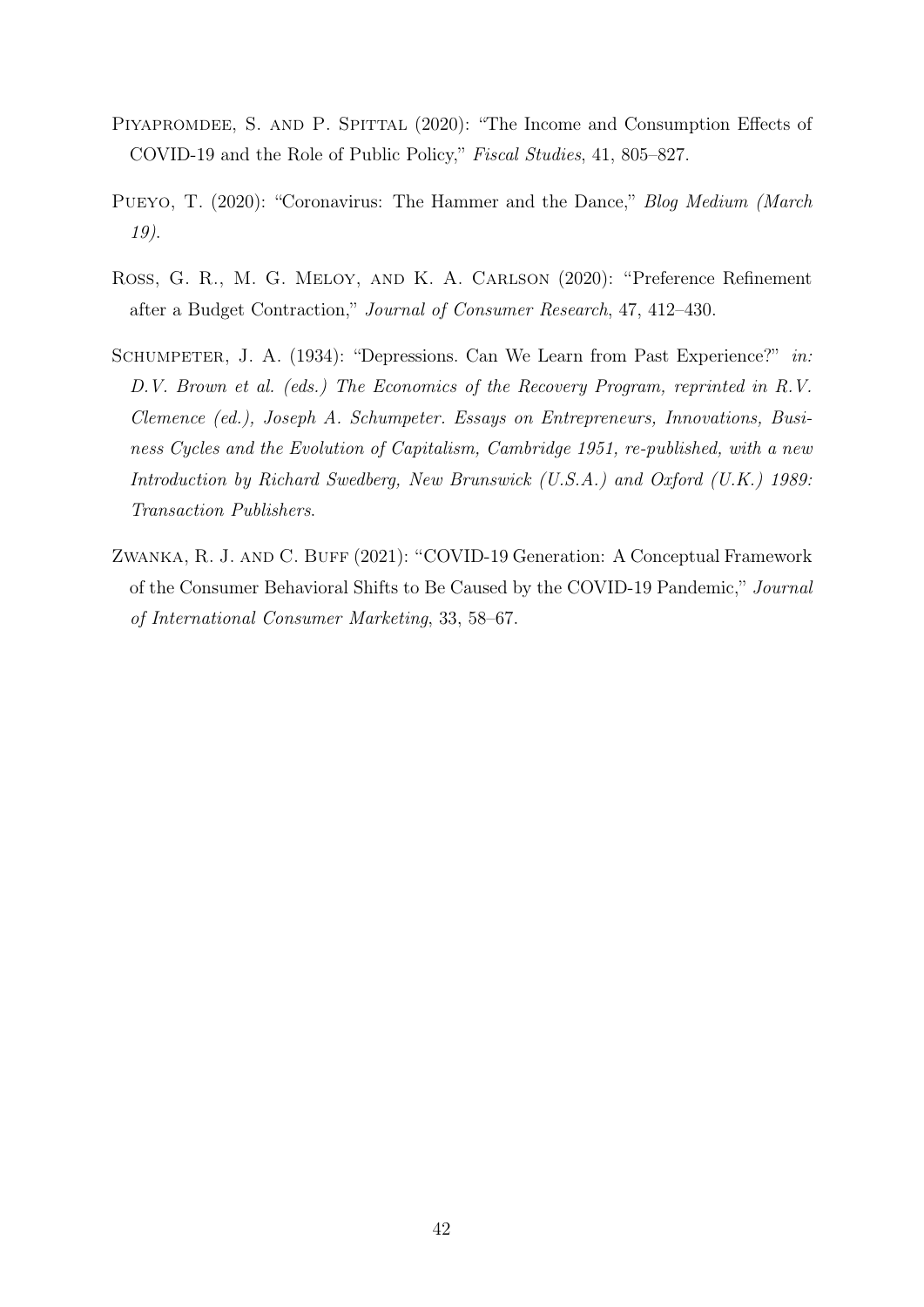- <span id="page-44-2"></span>PIYAPROMDEE, S. AND P. SPITTAL (2020): "The Income and Consumption Effects of COVID-19 and the Role of Public Policy," Fiscal Studies, 41, 805–827.
- <span id="page-44-3"></span>PUEYO, T. (2020): "Coronavirus: The Hammer and the Dance," Blog Medium (March 19).
- <span id="page-44-4"></span>Ross, G. R., M. G. Meloy, and K. A. Carlson (2020): "Preference Refinement after a Budget Contraction," Journal of Consumer Research, 47, 412–430.
- <span id="page-44-0"></span>SCHUMPETER, J. A. (1934): "Depressions. Can We Learn from Past Experience?" in: D.V. Brown et al. (eds.) The Economics of the Recovery Program, reprinted in R.V. Clemence (ed.), Joseph A. Schumpeter. Essays on Entrepreneurs, Innovations, Business Cycles and the Evolution of Capitalism, Cambridge 1951, re-published, with a new Introduction by Richard Swedberg, New Brunswick (U.S.A.) and Oxford (U.K.) 1989: Transaction Publishers.
- <span id="page-44-1"></span>ZWANKA, R. J. AND C. BUFF (2021): "COVID-19 Generation: A Conceptual Framework of the Consumer Behavioral Shifts to Be Caused by the COVID-19 Pandemic," Journal of International Consumer Marketing, 33, 58–67.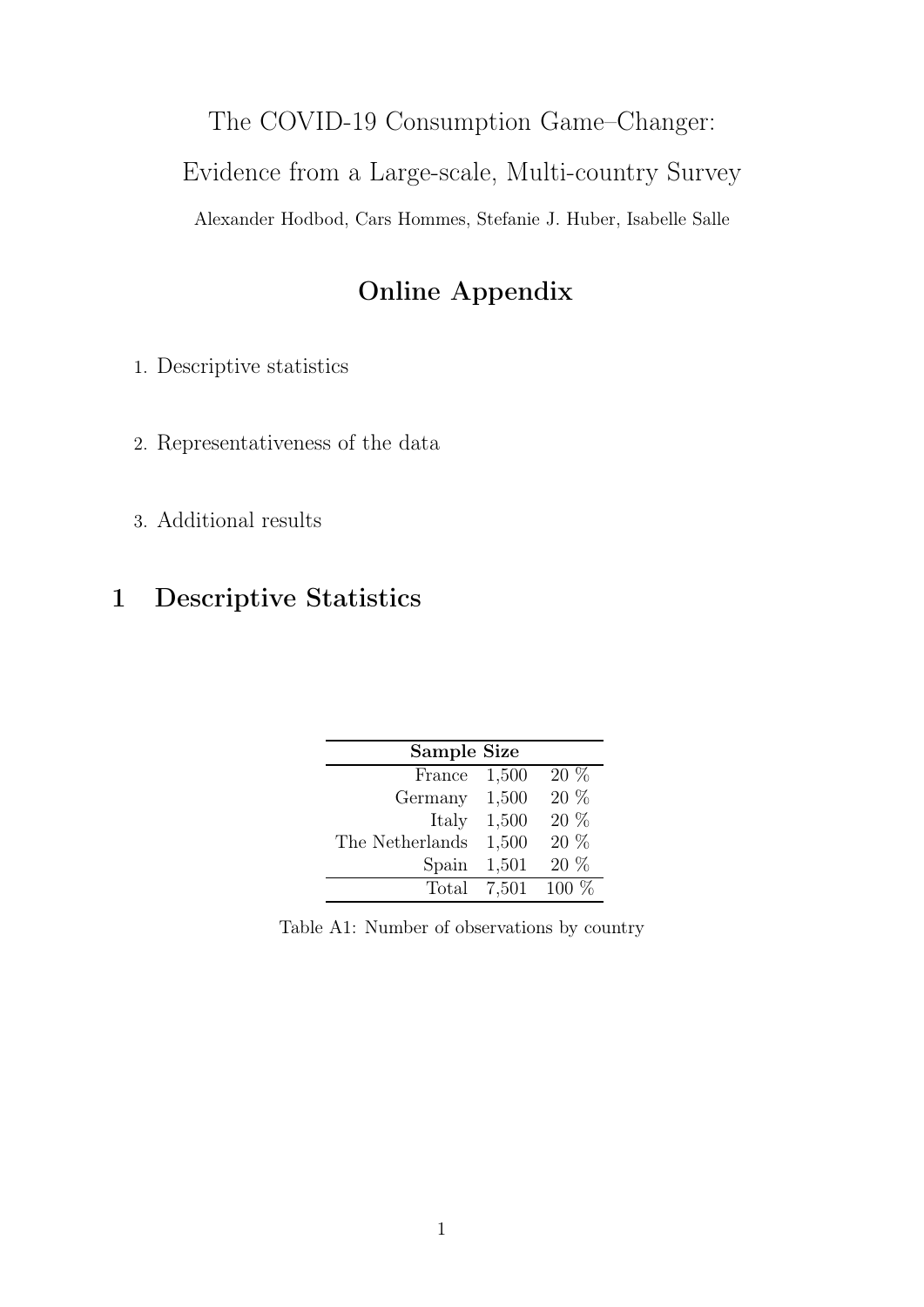## The COVID-19 Consumption Game–Changer:

Evidence from a Large-scale, Multi-country Survey

Alexander Hodbod, Cars Hommes, Stefanie J. Huber, Isabelle Salle

## Online Appendix

1. Descriptive statistics

- 2. Representativeness of the data
- 3. Additional results

## <span id="page-45-0"></span>1 Descriptive Statistics

| Sample Size     |       |         |  |  |  |  |  |  |
|-----------------|-------|---------|--|--|--|--|--|--|
|                 |       |         |  |  |  |  |  |  |
| France          | 1,500 | $20\%$  |  |  |  |  |  |  |
| Germany         | 1,500 | 20 %    |  |  |  |  |  |  |
| Italy           | 1,500 | 20 %    |  |  |  |  |  |  |
|                 |       |         |  |  |  |  |  |  |
| The Netherlands | 1,500 | $20\%$  |  |  |  |  |  |  |
| Spain           | 1,501 | $20\%$  |  |  |  |  |  |  |
| Total           | 7,501 | $100\%$ |  |  |  |  |  |  |

Table A1: Number of observations by country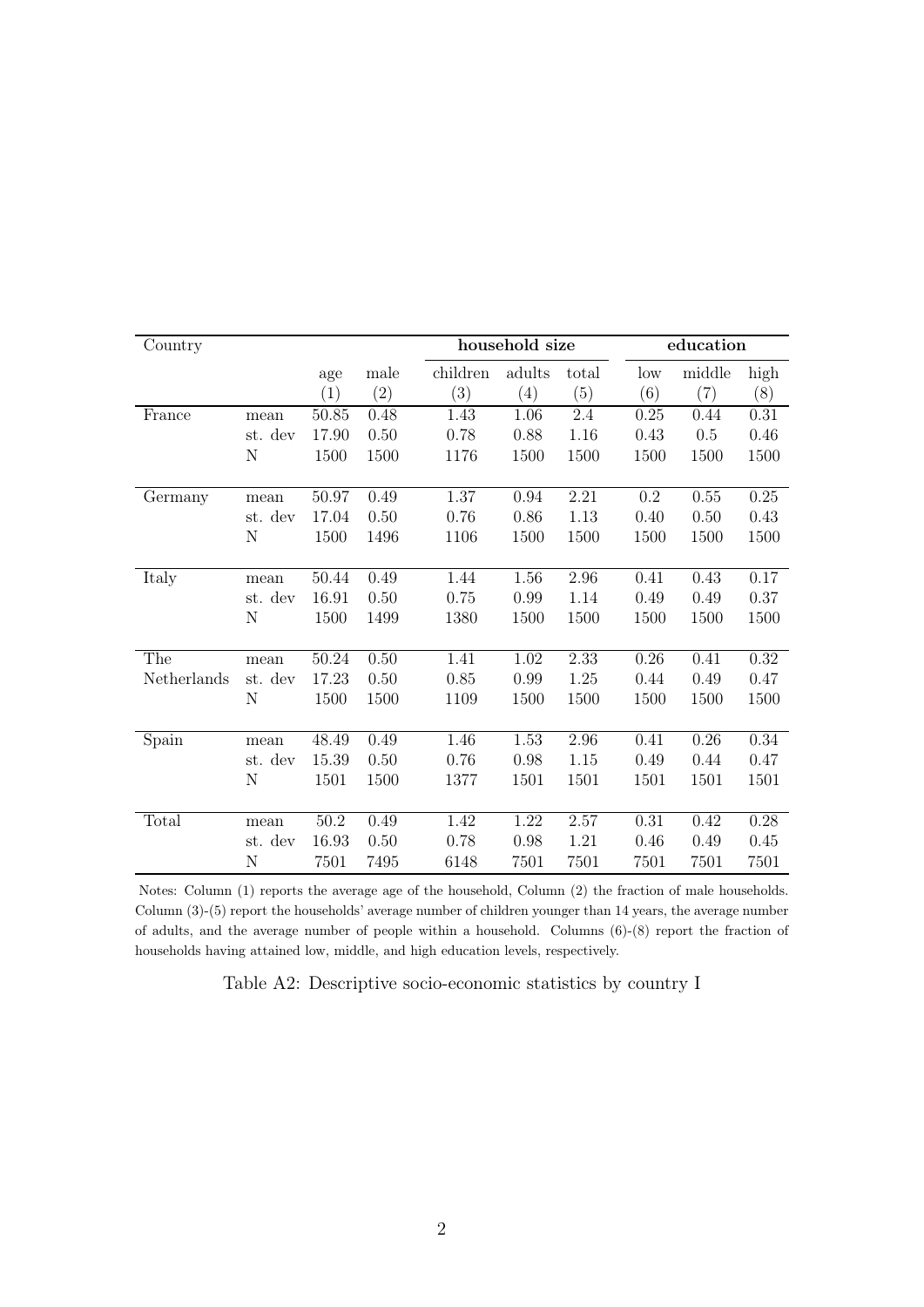<span id="page-46-0"></span>

| Country     |         |       |      |          | household size |       |           | education |      |
|-------------|---------|-------|------|----------|----------------|-------|-----------|-----------|------|
|             |         | age   | male | children | adults         | total | low       | middle    | high |
|             |         | (1)   | (2)  | (3)      | (4)            | (5)   | (6)       | (7)       | (8)  |
| France      | mean    | 50.85 | 0.48 | 1.43     | 1.06           | 2.4   | 0.25      | 0.44      | 0.31 |
|             | st. dev | 17.90 | 0.50 | 0.78     | 0.88           | 1.16  | 0.43      | $0.5\,$   | 0.46 |
|             | Ν       | 1500  | 1500 | 1176     | 1500           | 1500  | 1500      | 1500      | 1500 |
| Germany     | mean    | 50.97 | 0.49 | 1.37     | 0.94           | 2.21  | $\rm 0.2$ | 0.55      | 0.25 |
|             | st. dev | 17.04 | 0.50 | 0.76     | 0.86           | 1.13  | 0.40      | 0.50      | 0.43 |
|             | N       | 1500  | 1496 | 1106     | 1500           | 1500  | 1500      | 1500      | 1500 |
| Italy       | mean    | 50.44 | 0.49 | 1.44     | 1.56           | 2.96  | 0.41      | 0.43      | 0.17 |
|             | st. dev | 16.91 | 0.50 | 0.75     | 0.99           | 1.14  | 0.49      | 0.49      | 0.37 |
|             | Ν       | 1500  | 1499 | 1380     | 1500           | 1500  | 1500      | 1500      | 1500 |
| The         | mean    | 50.24 | 0.50 | 1.41     | 1.02           | 2.33  | 0.26      | 0.41      | 0.32 |
| Netherlands | st. dev | 17.23 | 0.50 | 0.85     | 0.99           | 1.25  | 0.44      | 0.49      | 0.47 |
|             | N       | 1500  | 1500 | 1109     | 1500           | 1500  | 1500      | 1500      | 1500 |
|             |         |       |      |          |                |       |           |           |      |
| Spain       | mean    | 48.49 | 0.49 | 1.46     | 1.53           | 2.96  | 0.41      | 0.26      | 0.34 |
|             | st. dev | 15.39 | 0.50 | 0.76     | 0.98           | 1.15  | 0.49      | 0.44      | 0.47 |
|             | N       | 1501  | 1500 | 1377     | 1501           | 1501  | 1501      | 1501      | 1501 |
| Total       | mean    | 50.2  | 0.49 | 1.42     | 1.22           | 2.57  | 0.31      | 0.42      | 0.28 |
|             | st. dev | 16.93 | 0.50 | 0.78     | 0.98           | 1.21  | 0.46      | 0.49      | 0.45 |
|             | Ν       | 7501  | 7495 | 6148     | 7501           | 7501  | 7501      | 7501      | 7501 |

Notes: Column (1) reports the average age of the household, Column (2) the fraction of male households. Column (3)-(5) report the households' average number of children younger than 14 years, the average number of adults, and the average number of people within a household. Columns (6)-(8) report the fraction of households having attained low, middle, and high education levels, respectively.

Table A2: Descriptive socio-economic statistics by country I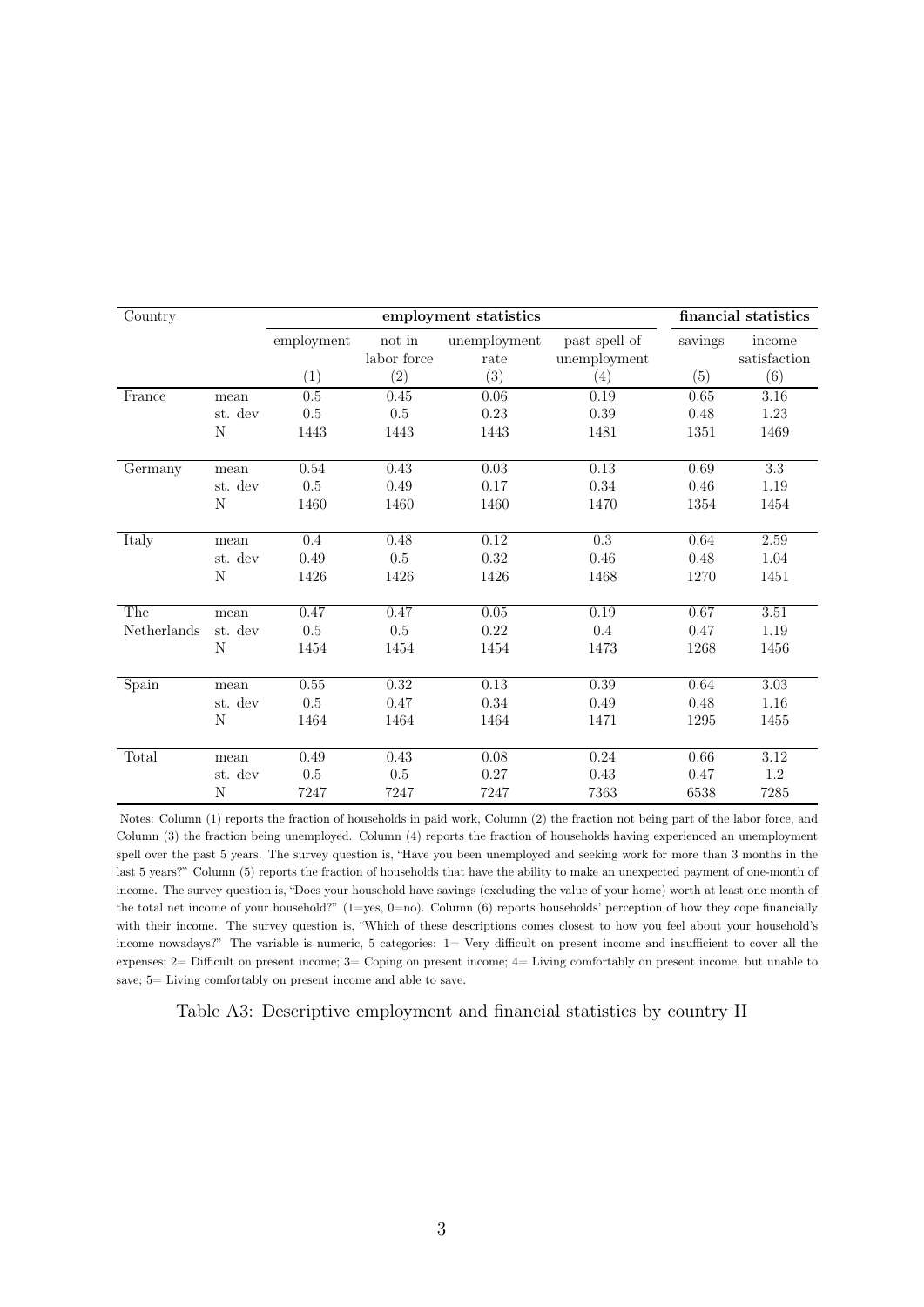<span id="page-47-0"></span>

| Country                   |         |            |                       | employment statistics |                               |         | financial statistics   |
|---------------------------|---------|------------|-----------------------|-----------------------|-------------------------------|---------|------------------------|
|                           |         | employment | not in<br>labor force | unemployment<br>rate  | past spell of<br>unemployment | savings | income<br>satisfaction |
|                           |         | (1)        | (2)                   | (3)                   | (4)                           | (5)     | (6)                    |
| France                    | mean    | 0.5        | 0.45                  | 0.06                  | 0.19                          | 0.65    | 3.16                   |
|                           | st. dev | $0.5\,$    | 0.5                   | 0.23                  | 0.39                          | 0.48    | $1.23\,$               |
|                           | N       | 1443       | 1443                  | 1443                  | 1481                          | 1351    | 1469                   |
|                           |         |            |                       |                       |                               |         |                        |
| Germany                   | mean    | 0.54       | 0.43                  | 0.03                  | 0.13                          | 0.69    | $\overline{3.3}$       |
|                           | st. dev | $0.5\,$    | 0.49                  | 0.17                  | 0.34                          | 0.46    | 1.19                   |
|                           | N       | 1460       | 1460                  | 1460                  | 1470                          | 1354    | 1454                   |
| Italy                     | mean    | 0.4        | 0.48                  | 0.12                  | $\overline{0.3}$              | 0.64    | 2.59                   |
|                           | st. dev | 0.49       | 0.5                   | 0.32                  | 0.46                          | 0.48    | 1.04                   |
|                           | N       | 1426       | 1426                  | 1426                  | 1468                          | 1270    | 1451                   |
| The                       | mean    | 0.47       | 0.47                  | 0.05                  | 0.19                          | 0.67    | 3.51                   |
| Netherlands               | st. dev | $0.5\,$    | 0.5                   | 0.22                  | 0.4                           | 0.47    | 1.19                   |
|                           | N       | 1454       | 1454                  | 1454                  | 1473                          | 1268    | 1456                   |
| $\overline{\text{Spain}}$ | mean    | $0.55\,$   | 0.32                  | 0.13                  | 0.39                          | 0.64    | $\overline{3.03}$      |
|                           | st. dev | 0.5        | 0.47                  | 0.34                  | 0.49                          | 0.48    | 1.16                   |
|                           | N       | 1464       | 1464                  | 1464                  | 1471                          | 1295    | 1455                   |
|                           |         |            |                       |                       |                               |         |                        |
| Total                     | mean    | 0.49       | 0.43                  | 0.08                  | 0.24                          | 0.66    | $\overline{3.12}$      |
|                           | st. dev | 0.5        | 0.5                   | 0.27                  | 0.43                          | 0.47    | 1.2                    |
|                           | N       | 7247       | 7247                  | 7247                  | 7363                          | 6538    | 7285                   |

Notes: Column (1) reports the fraction of households in paid work, Column (2) the fraction not being part of the labor force, and Column (3) the fraction being unemployed. Column (4) reports the fraction of households having experienced an unemployment spell over the past 5 years. The survey question is, "Have you been unemployed and seeking work for more than 3 months in the last 5 years?" Column (5) reports the fraction of households that have the ability to make an unexpected payment of one-month of income. The survey question is, "Does your household have savings (excluding the value of your home) worth at least one month of the total net income of your household?"  $(1=yes, 0=no)$ . Column  $(6)$  reports households' perception of how they cope financially with their income. The survey question is, "Which of these descriptions comes closest to how you feel about your household's income nowadays?" The variable is numeric, 5 categories: 1= Very difficult on present income and insufficient to cover all the expenses; 2= Difficult on present income; 3= Coping on present income; 4= Living comfortably on present income, but unable to save; 5= Living comfortably on present income and able to save.

Table A3: Descriptive employment and financial statistics by country II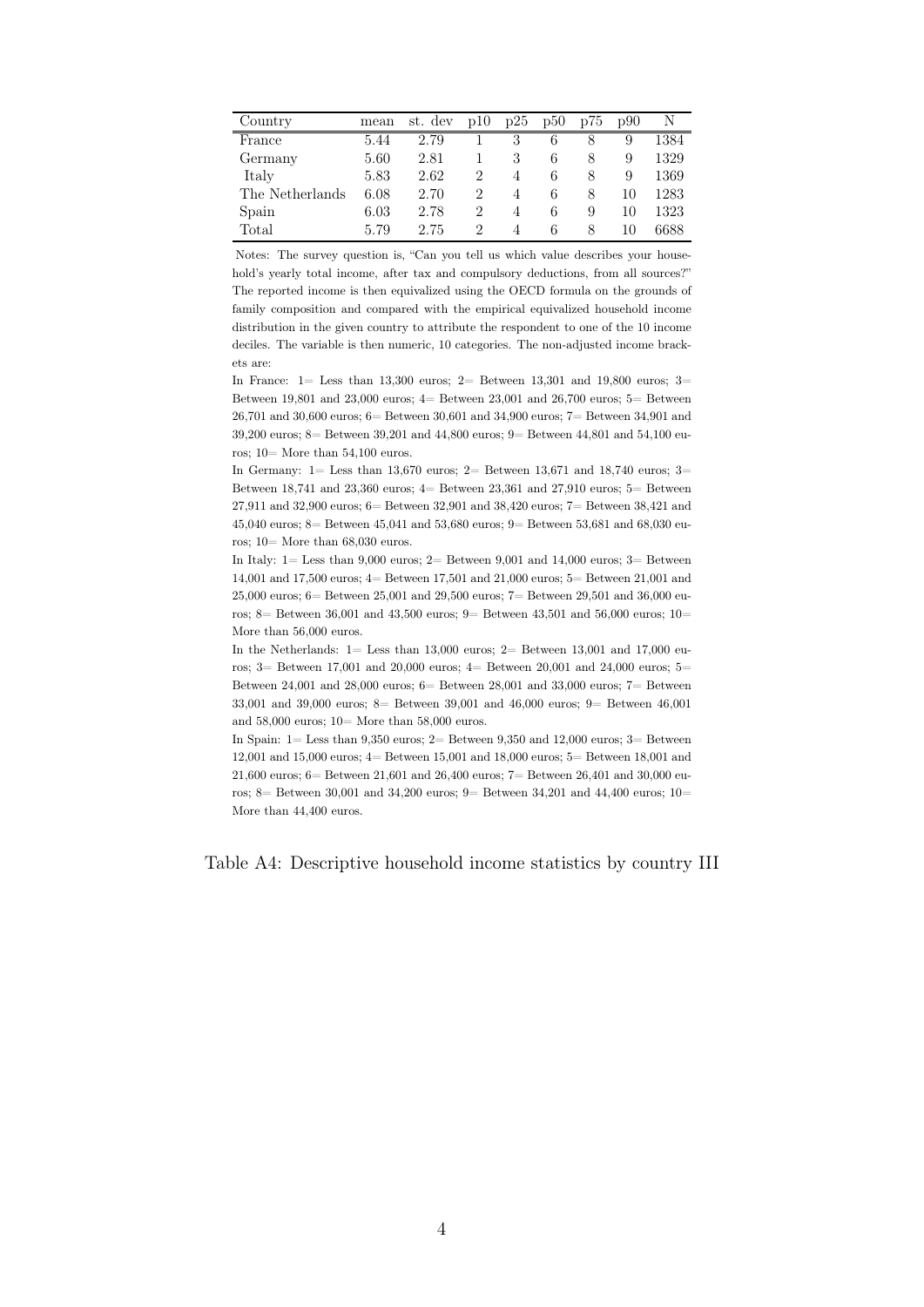<span id="page-48-0"></span>

| Country         | mean | st. dev | p10 | p25            | p50 | p75 | p90 |      |
|-----------------|------|---------|-----|----------------|-----|-----|-----|------|
| France          | 5.44 | 2.79    |     | 3              | 6   |     | 9   | 1384 |
| Germany         | 5.60 | 2.81    |     | 3              | 6   | 8   | 9   | 1329 |
| Italy           | 5.83 | 2.62    | 2   | $\overline{4}$ | 6   | 8   | 9   | 1369 |
| The Netherlands | 6.08 | 2.70    | 2   | 4              | 6   | 8   | 10  | 1283 |
| Spain           | 6.03 | 2.78    | 2   | $\overline{4}$ | 6   | 9   | 10  | 1323 |
| Total           | 5.79 | 2.75    | 2   | 4              | 6   | 8   | 10  | 6688 |

Notes: The survey question is, "Can you tell us which value describes your household's yearly total income, after tax and compulsory deductions, from all sources?" The reported income is then equivalized using the OECD formula on the grounds of family composition and compared with the empirical equivalized household income distribution in the given country to attribute the respondent to one of the 10 income deciles. The variable is then numeric, 10 categories. The non-adjusted income brackets are:

In France: 1= Less than 13,300 euros; 2= Between 13,301 and 19,800 euros; 3= Between 19,801 and 23,000 euros; 4= Between 23,001 and 26,700 euros; 5= Between 26,701 and 30,600 euros; 6= Between 30,601 and 34,900 euros; 7= Between 34,901 and 39,200 euros; 8= Between 39,201 and 44,800 euros; 9= Between 44,801 and 54,100 euros; 10= More than 54,100 euros.

In Germany: 1= Less than 13,670 euros; 2= Between 13,671 and 18,740 euros; 3= Between 18,741 and 23,360 euros;  $4=$  Between 23,361 and 27,910 euros;  $5=$  Between 27,911 and 32,900 euros; 6= Between 32,901 and 38,420 euros; 7= Between 38,421 and 45,040 euros; 8= Between 45,041 and 53,680 euros; 9= Between 53,681 and 68,030 euros; 10= More than 68,030 euros.

In Italy: 1= Less than 9,000 euros; 2= Between 9,001 and 14,000 euros; 3= Between 14,001 and 17,500 euros; 4= Between 17,501 and 21,000 euros; 5= Between 21,001 and 25,000 euros; 6= Between 25,001 and 29,500 euros; 7= Between 29,501 and 36,000 euros; 8 = Between 36,001 and 43,500 euros; 9 = Between 43,501 and 56,000 euros; 10 = More than 56,000 euros.

In the Netherlands:  $1 =$  Less than 13,000 euros;  $2 =$  Between 13,001 and 17,000 euros; 3= Between 17,001 and 20,000 euros; 4= Between 20,001 and 24,000 euros; 5= Between 24,001 and 28,000 euros; 6= Between 28,001 and 33,000 euros; 7= Between 33,001 and 39,000 euros; 8= Between 39,001 and 46,000 euros; 9= Between 46,001 and 58,000 euros; 10= More than 58,000 euros.

In Spain: 1= Less than 9,350 euros; 2= Between 9,350 and 12,000 euros; 3= Between 12,001 and 15,000 euros; 4= Between 15,001 and 18,000 euros; 5= Between 18,001 and 21,600 euros; 6= Between 21,601 and 26,400 euros; 7= Between 26,401 and 30,000 euros; 8= Between 30,001 and 34,200 euros; 9= Between 34,201 and 44,400 euros; 10= More than 44,400 euros.

Table A4: Descriptive household income statistics by country III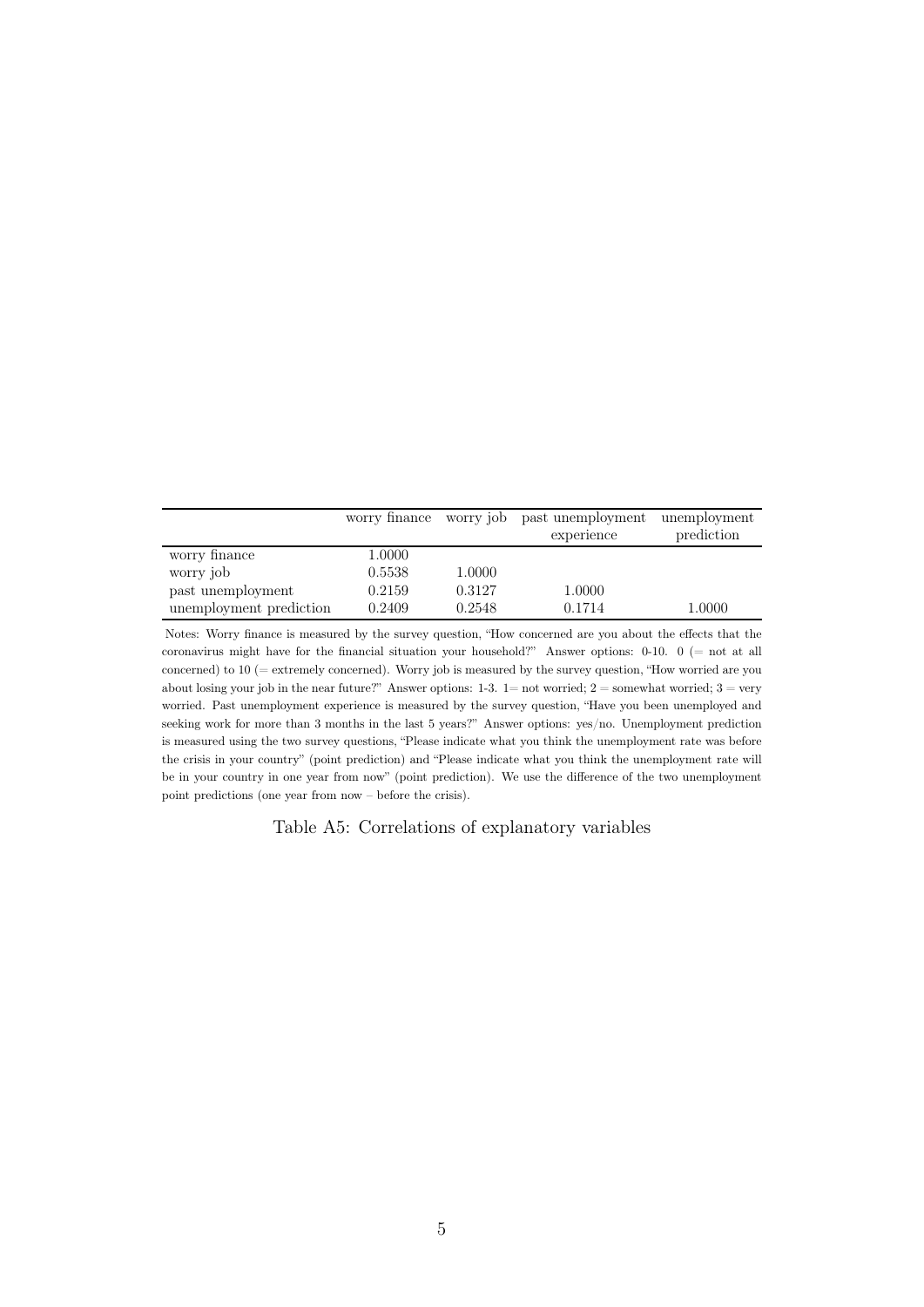<span id="page-49-0"></span>

|                         | worry finance |        | worry job past unemployment | unemployment |
|-------------------------|---------------|--------|-----------------------------|--------------|
|                         |               |        | experience                  | prediction   |
| worry finance           | 1.0000        |        |                             |              |
| worry job               | 0.5538        | 1.0000 |                             |              |
| past unemployment       | 0.2159        | 0.3127 | 1.0000                      |              |
| unemployment prediction | 0.2409        | 0.2548 | 0.1714                      | $1.0000\,$   |

Notes: Worry finance is measured by the survey question, "How concerned are you about the effects that the coronavirus might have for the financial situation your household?" Answer options: 0-10. 0 (= not at all concerned) to 10 (= extremely concerned). Worry job is measured by the survey question, "How worried are you about losing your job in the near future?" Answer options:  $1-3$ .  $1=$  not worried;  $2=$  somewhat worried;  $3=$  very worried. Past unemployment experience is measured by the survey question, "Have you been unemployed and seeking work for more than 3 months in the last 5 years?" Answer options: yes/no. Unemployment prediction is measured using the two survey questions, "Please indicate what you think the unemployment rate was before the crisis in your country" (point prediction) and "Please indicate what you think the unemployment rate will be in your country in one year from now" (point prediction). We use the difference of the two unemployment point predictions (one year from now – before the crisis).

Table A5: Correlations of explanatory variables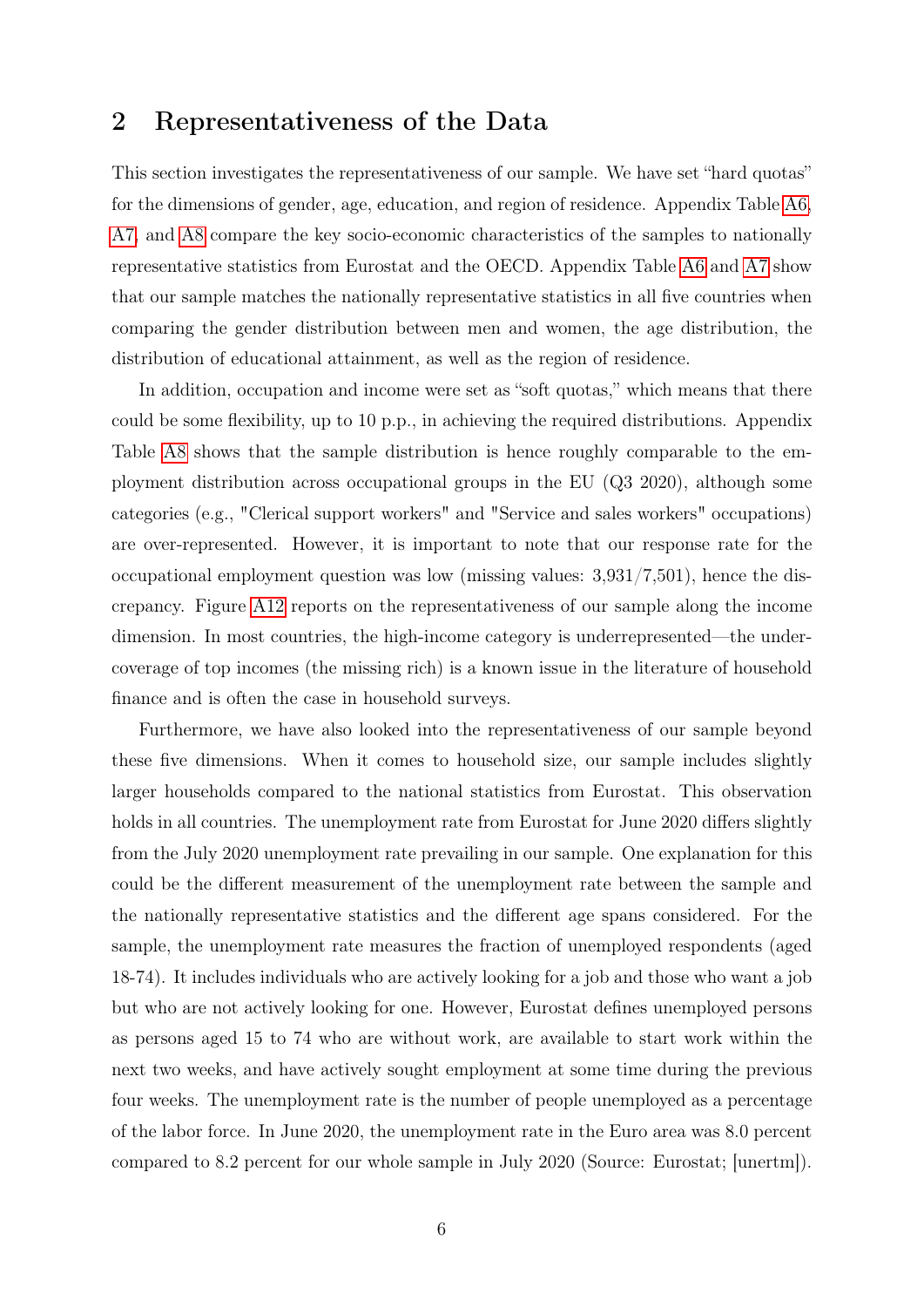### 2 Representativeness of the Data

This section investigates the representativeness of our sample. We have set "hard quotas" for the dimensions of gender, age, education, and region of residence. Appendix Table [A6,](#page-51-0) [A7,](#page-52-0) and [A8](#page-53-0) compare the key socio-economic characteristics of the samples to nationally representative statistics from Eurostat and the OECD. Appendix Table [A6](#page-51-0) and [A7](#page-52-0) show that our sample matches the nationally representative statistics in all five countries when comparing the gender distribution between men and women, the age distribution, the distribution of educational attainment, as well as the region of residence.

In addition, occupation and income were set as "soft quotas," which means that there could be some flexibility, up to 10 p.p., in achieving the required distributions. Appendix Table [A8](#page-53-0) shows that the sample distribution is hence roughly comparable to the employment distribution across occupational groups in the EU (Q3 2020), although some categories (e.g., "Clerical support workers" and "Service and sales workers" occupations) are over-represented. However, it is important to note that our response rate for the occupational employment question was low (missing values: 3,931/7,501), hence the discrepancy. Figure [A12](#page-54-0) reports on the representativeness of our sample along the income dimension. In most countries, the high-income category is underrepresented—the undercoverage of top incomes (the missing rich) is a known issue in the literature of household finance and is often the case in household surveys.

Furthermore, we have also looked into the representativeness of our sample beyond these five dimensions. When it comes to household size, our sample includes slightly larger households compared to the national statistics from Eurostat. This observation holds in all countries. The unemployment rate from Eurostat for June 2020 differs slightly from the July 2020 unemployment rate prevailing in our sample. One explanation for this could be the different measurement of the unemployment rate between the sample and the nationally representative statistics and the different age spans considered. For the sample, the unemployment rate measures the fraction of unemployed respondents (aged 18-74). It includes individuals who are actively looking for a job and those who want a job but who are not actively looking for one. However, Eurostat defines unemployed persons as persons aged 15 to 74 who are without work, are available to start work within the next two weeks, and have actively sought employment at some time during the previous four weeks. The unemployment rate is the number of people unemployed as a percentage of the labor force. In June 2020, the unemployment rate in the Euro area was 8.0 percent compared to 8.2 percent for our whole sample in July 2020 (Source: Eurostat; [unertm]).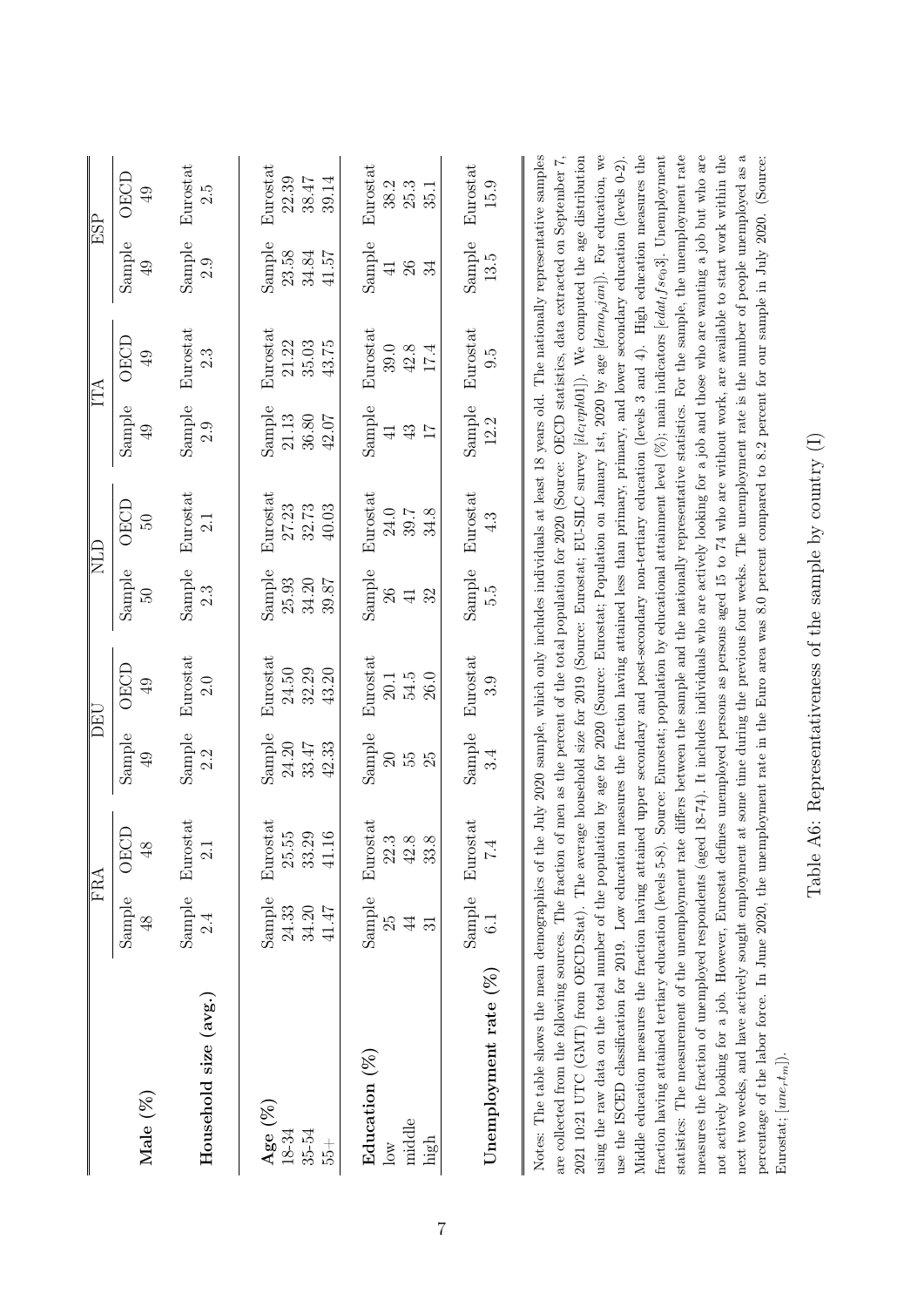|                                                                                                                                                                                                                                                                                                                                                                                                                                                                                                                                                                                                                                                                                                                                                                                                                                                                                                                                                                                                                                                                                                                                                                                                                                                                                                                                                                                                                                                                                                                                                                                                                               |                | <b>FRA</b>                          |                          | DEU             |                            | <b>NLD</b>                                                                                                                                |                 | ITA             |                | ESP                 |
|-------------------------------------------------------------------------------------------------------------------------------------------------------------------------------------------------------------------------------------------------------------------------------------------------------------------------------------------------------------------------------------------------------------------------------------------------------------------------------------------------------------------------------------------------------------------------------------------------------------------------------------------------------------------------------------------------------------------------------------------------------------------------------------------------------------------------------------------------------------------------------------------------------------------------------------------------------------------------------------------------------------------------------------------------------------------------------------------------------------------------------------------------------------------------------------------------------------------------------------------------------------------------------------------------------------------------------------------------------------------------------------------------------------------------------------------------------------------------------------------------------------------------------------------------------------------------------------------------------------------------------|----------------|-------------------------------------|--------------------------|-----------------|----------------------------|-------------------------------------------------------------------------------------------------------------------------------------------|-----------------|-----------------|----------------|---------------------|
| Male (%)                                                                                                                                                                                                                                                                                                                                                                                                                                                                                                                                                                                                                                                                                                                                                                                                                                                                                                                                                                                                                                                                                                                                                                                                                                                                                                                                                                                                                                                                                                                                                                                                                      | Sample         | <b>OECD</b>                         | Sample                   | OECD            | Sample                     | <b>OECD</b>                                                                                                                               | Sample          | <b>OECD</b>     | Sample         | OECD                |
|                                                                                                                                                                                                                                                                                                                                                                                                                                                                                                                                                                                                                                                                                                                                                                                                                                                                                                                                                                                                                                                                                                                                                                                                                                                                                                                                                                                                                                                                                                                                                                                                                               | $\frac{8}{3}$  | $\frac{8}{3}$                       | $\overline{6}$           | $\overline{6}$  | $\overline{50}$            | $\overline{50}$                                                                                                                           | ФÞ              | $\overline{6}$  | $\overline{6}$ | $\overline{6}$      |
| Household size (avg.)                                                                                                                                                                                                                                                                                                                                                                                                                                                                                                                                                                                                                                                                                                                                                                                                                                                                                                                                                                                                                                                                                                                                                                                                                                                                                                                                                                                                                                                                                                                                                                                                         |                | Sample Eurostat<br>$\overline{2.1}$ | Sample<br>2.2            | Eurostat<br>2.0 | Sample<br>$2.\overline{3}$ | Eurostat<br>2.1                                                                                                                           | Sample          | Eurostat<br>2.3 | Sample         | Eurostat<br>ς.<br>Σ |
| Age $(\%)$                                                                                                                                                                                                                                                                                                                                                                                                                                                                                                                                                                                                                                                                                                                                                                                                                                                                                                                                                                                                                                                                                                                                                                                                                                                                                                                                                                                                                                                                                                                                                                                                                    | Sample         | Eurostat                            | $S$ amp $\rm{le}$        | Eurostat        | $S$ ample                  | Eurostat                                                                                                                                  | Sample          | Eurostat        | Sample         | Eurostat            |
| 18-34                                                                                                                                                                                                                                                                                                                                                                                                                                                                                                                                                                                                                                                                                                                                                                                                                                                                                                                                                                                                                                                                                                                                                                                                                                                                                                                                                                                                                                                                                                                                                                                                                         | 24.33          | 25.55                               | 24.20                    | 24.50           | 25.93                      | 27.23                                                                                                                                     | 21.13           | 21.22           | 23.58          | 22.39               |
| 35-54                                                                                                                                                                                                                                                                                                                                                                                                                                                                                                                                                                                                                                                                                                                                                                                                                                                                                                                                                                                                                                                                                                                                                                                                                                                                                                                                                                                                                                                                                                                                                                                                                         | 41.47          | 33.29                               | 33.47                    | 32.29           | 34.20                      | 32.73                                                                                                                                     | 36.80           | 35.03           | 41.57          | 39.14               |
| $+54$                                                                                                                                                                                                                                                                                                                                                                                                                                                                                                                                                                                                                                                                                                                                                                                                                                                                                                                                                                                                                                                                                                                                                                                                                                                                                                                                                                                                                                                                                                                                                                                                                         | 34.20          | $41.16\,$                           | 42.33                    | 43.20           | 39.87                      | 40.03                                                                                                                                     | 42.07           | 43.75           | 34.84          | 38.47               |
| Education $(\%)$                                                                                                                                                                                                                                                                                                                                                                                                                                                                                                                                                                                                                                                                                                                                                                                                                                                                                                                                                                                                                                                                                                                                                                                                                                                                                                                                                                                                                                                                                                                                                                                                              | Sample         | Eurostat                            | Sample                   | Eurostat        | Sample                     | Eurostat                                                                                                                                  | Sample          | Eurostat        | Sample         | Eurostat            |
| $\overline{\text{low}}$                                                                                                                                                                                                                                                                                                                                                                                                                                                                                                                                                                                                                                                                                                                                                                                                                                                                                                                                                                                                                                                                                                                                                                                                                                                                                                                                                                                                                                                                                                                                                                                                       | 25             |                                     | $\overline{\mathcal{S}}$ | 20.1            | 26                         | 24.0                                                                                                                                      | $\overline{4}$  | 39.0            | $\overline{4}$ | 38.2                |
| middle                                                                                                                                                                                                                                                                                                                                                                                                                                                                                                                                                                                                                                                                                                                                                                                                                                                                                                                                                                                                                                                                                                                                                                                                                                                                                                                                                                                                                                                                                                                                                                                                                        | $\overline{4}$ | $22.3$<br>$42.8$                    | 25                       | 54.5            | 32                         | 34.8                                                                                                                                      | $43\,$          | $42.8\,$        | $26\,$         | $25.3$              |
| high                                                                                                                                                                                                                                                                                                                                                                                                                                                                                                                                                                                                                                                                                                                                                                                                                                                                                                                                                                                                                                                                                                                                                                                                                                                                                                                                                                                                                                                                                                                                                                                                                          | ವ              | 33.8                                | 55                       | 26.0            | $\overline{41}$            | 39.7                                                                                                                                      | $\overline{17}$ | 17.4            | 34             | 35.1                |
| Unemployment rate $(\%)$                                                                                                                                                                                                                                                                                                                                                                                                                                                                                                                                                                                                                                                                                                                                                                                                                                                                                                                                                                                                                                                                                                                                                                                                                                                                                                                                                                                                                                                                                                                                                                                                      | Sample         | Eurostat                            | Sample                   | Eurostat        | Sample                     | Eurostat                                                                                                                                  | Sample          | Eurostat        | Sample         | Eurostat            |
|                                                                                                                                                                                                                                                                                                                                                                                                                                                                                                                                                                                                                                                                                                                                                                                                                                                                                                                                                                                                                                                                                                                                                                                                                                                                                                                                                                                                                                                                                                                                                                                                                               | $\frac{1}{6}$  | 7.4                                 | 34                       | .<br>೧          | c.<br>S                    | 4.3                                                                                                                                       | 12.2            | 9.5             | 13.5           | 15.9                |
| using the raw data on the total number of the population by age for 2020 (Source: Eurostat; Population on January 1st, 2020 by age [demo <sub>p</sub> jan]). For education, we<br>use the ISCED classification for 2019. Low education measures the fraction having attained less than primary, primary, and lower secondary education (levels 0-2).<br>not actively looking for a job. However, Eurostat defines unemployed persons as persons aged 15 to 74 who are without work, are available to start work within the<br>Notes: The table shows the mean demographics of the July 2020 sample, which only includes individuals at least 18 years old. The nationally representative samples<br>2021 UTC (GMT) from OECD.Stat). The average household size for 2019 (Source: Eurostat; EU-SILC survey [ilc <sub>r</sub> oph01]). We computed the age distribution<br>Middle education measures the fraction having attained upper secondary and post-secondary non-tertiary education (levels 3 and 4). High education measures the<br>statistics: The measurement of the unemployment rate differs between the sample and the nationally representative statistics. For the sample, the unemployment rate<br>measures the fraction of unemployed respondents (aged 18-74). It includes individuals who are actively looking for a job and those who are wanting a job but who are<br>are collected from the following sources. The fraction of men as the percent of the total population for 2020 (Source: OECD statistics, data extracted on September 7,<br>fraction having attained tertiary education (levels 5-8). |                |                                     |                          |                 |                            | Source: Eurostat; population by educational attainment level $(\%);$ main indicators [edat <sub>1</sub> fse <sub>0</sub> 3]. Unemployment |                 |                 |                |                     |

Table A6: Representativeness of the sample by country  $(\mathrm{I})$ Table A6: Representativeness of the sample by country (I)

Eurostat;  $[une_r t_m]$ ).

<span id="page-51-0"></span>Eurostat;  $[une_rt_m]$ ).

next two weeks, and have actively sought employment at some time during the previous four weeks. The unemployment rate is the number of people unemployed as a percentage of the labor force. In June 2020, the unemployment rate in the Euro area was 8.0 percent compared to 8.2 percent for our sample in July 2020. (Source:

percentage of the labor force. In June 2020, the unemployment rate in the Euro area was 8.0 percent compared to 8.2 percent for our sample in July 2020. (Source:

next two weeks, and have actively sought employment at some time during the previous four weeks. The unemployment rate is the number of people unemployed as a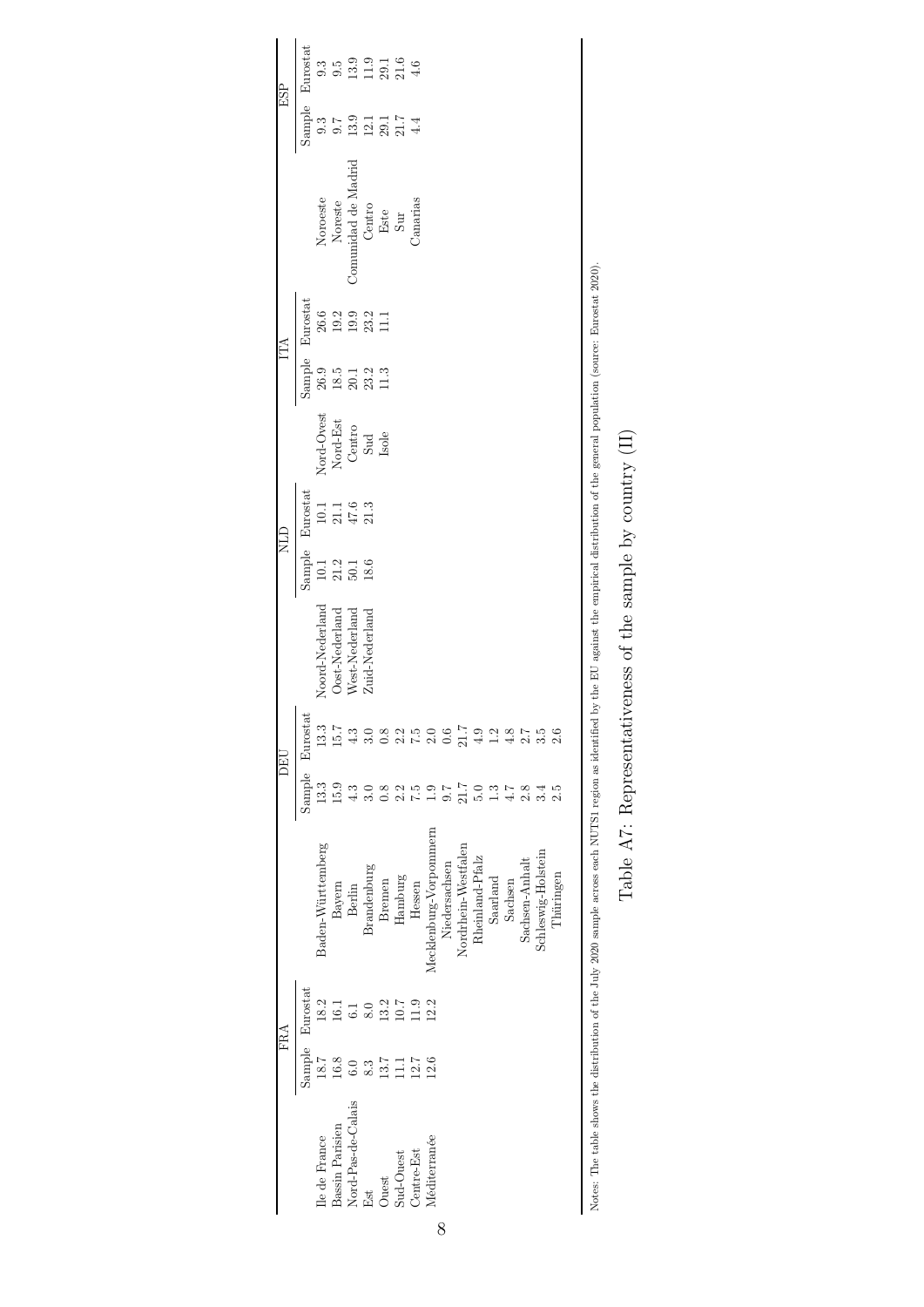<span id="page-52-0"></span>

| Eurostat<br>$3.9916$<br>$1.3074$<br>9.3<br>$9.\overline{5}$<br>Sample<br>$9.\overline{3}$<br>9.7<br>Commidad de Madrid<br>Centro<br>Este<br>Sur<br>Noroeste<br>Noreste<br>Canarias<br>Eurostat<br>26.6<br>Sample<br>$\frac{26.9}{18.5}$<br>$23.2$<br>11.3<br>$20.1\,$<br>Nord-Ovest<br>Nord-Est<br>Centro<br>Sud<br>Isole<br>Sample Eurostat<br>$\begin{array}{c} 10.1 \\ 21.1 \\ 47.6 \\ 21.3 \end{array}$<br>$\begin{array}{l} 21.2 \\ 50.1 \\ 18.6 \end{array}$<br>10.1<br>Noord-Nederland<br>Oost-Nederland<br>West-Nederland<br>Zuid-Nederland<br>Eurostat<br>13.3<br>15.7<br>$\frac{3}{4}$<br>3.0<br>$0.\overline{8}$<br>2.2<br>5.7<br>2.0<br>$_{0.6}$<br>21.7<br>4.9<br>1.2<br>4.8<br>2.7<br>2.6<br>Sample<br>13.3<br>15.9<br>21.7<br>$4.7\,$<br>2.8<br>1.3<br>2.5<br>$\frac{3}{4}$<br>7.6<br>5.0<br>$\frac{8}{2}$<br>7.5<br>3.4<br>$\frac{1}{1}$<br>Mecklenburg-Vorpommern<br>Baden-Württemberg<br>Nordrhein-Westfalen<br>Schleswig-Holstein<br>Rheinland-Pfalz<br>Sachsen-Anhalt<br>Niedersachsen<br>Brandenburg<br>Thüringen<br>Hamburg<br>Saarland<br>Bremen<br>Sachsen<br>Hessen<br>Bayern<br>Berlin<br>Eurostat<br>18.2<br>12.2<br>13.2<br>10.7<br>1.9<br>16.1<br>6.1<br>8.0<br>Sample<br>18.7<br>16.8<br>13.7<br>12.7<br>12.6<br>$\Xi$<br>8.3<br>6.0<br>Nord-Pas-de-Calais<br>Bassin Parisien<br>Ile de France<br>Méditerranée<br>Sud-Ouest<br>Centre-Est<br>Ouest<br>Est<br>8 |  | FRA |                                                                                                                                                                                                        | DEU |  | <b>QTIN</b> |  | ÉÁ |  | ESP |
|----------------------------------------------------------------------------------------------------------------------------------------------------------------------------------------------------------------------------------------------------------------------------------------------------------------------------------------------------------------------------------------------------------------------------------------------------------------------------------------------------------------------------------------------------------------------------------------------------------------------------------------------------------------------------------------------------------------------------------------------------------------------------------------------------------------------------------------------------------------------------------------------------------------------------------------------------------------------------------------------------------------------------------------------------------------------------------------------------------------------------------------------------------------------------------------------------------------------------------------------------------------------------------------------------------------------------------------------------------------------------------------------|--|-----|--------------------------------------------------------------------------------------------------------------------------------------------------------------------------------------------------------|-----|--|-------------|--|----|--|-----|
|                                                                                                                                                                                                                                                                                                                                                                                                                                                                                                                                                                                                                                                                                                                                                                                                                                                                                                                                                                                                                                                                                                                                                                                                                                                                                                                                                                                              |  |     |                                                                                                                                                                                                        |     |  |             |  |    |  |     |
|                                                                                                                                                                                                                                                                                                                                                                                                                                                                                                                                                                                                                                                                                                                                                                                                                                                                                                                                                                                                                                                                                                                                                                                                                                                                                                                                                                                              |  |     |                                                                                                                                                                                                        |     |  |             |  |    |  |     |
|                                                                                                                                                                                                                                                                                                                                                                                                                                                                                                                                                                                                                                                                                                                                                                                                                                                                                                                                                                                                                                                                                                                                                                                                                                                                                                                                                                                              |  |     |                                                                                                                                                                                                        |     |  |             |  |    |  |     |
|                                                                                                                                                                                                                                                                                                                                                                                                                                                                                                                                                                                                                                                                                                                                                                                                                                                                                                                                                                                                                                                                                                                                                                                                                                                                                                                                                                                              |  |     |                                                                                                                                                                                                        |     |  |             |  |    |  |     |
|                                                                                                                                                                                                                                                                                                                                                                                                                                                                                                                                                                                                                                                                                                                                                                                                                                                                                                                                                                                                                                                                                                                                                                                                                                                                                                                                                                                              |  |     |                                                                                                                                                                                                        |     |  |             |  |    |  |     |
|                                                                                                                                                                                                                                                                                                                                                                                                                                                                                                                                                                                                                                                                                                                                                                                                                                                                                                                                                                                                                                                                                                                                                                                                                                                                                                                                                                                              |  |     |                                                                                                                                                                                                        |     |  |             |  |    |  |     |
|                                                                                                                                                                                                                                                                                                                                                                                                                                                                                                                                                                                                                                                                                                                                                                                                                                                                                                                                                                                                                                                                                                                                                                                                                                                                                                                                                                                              |  |     |                                                                                                                                                                                                        |     |  |             |  |    |  |     |
|                                                                                                                                                                                                                                                                                                                                                                                                                                                                                                                                                                                                                                                                                                                                                                                                                                                                                                                                                                                                                                                                                                                                                                                                                                                                                                                                                                                              |  |     |                                                                                                                                                                                                        |     |  |             |  |    |  |     |
|                                                                                                                                                                                                                                                                                                                                                                                                                                                                                                                                                                                                                                                                                                                                                                                                                                                                                                                                                                                                                                                                                                                                                                                                                                                                                                                                                                                              |  |     |                                                                                                                                                                                                        |     |  |             |  |    |  |     |
|                                                                                                                                                                                                                                                                                                                                                                                                                                                                                                                                                                                                                                                                                                                                                                                                                                                                                                                                                                                                                                                                                                                                                                                                                                                                                                                                                                                              |  |     |                                                                                                                                                                                                        |     |  |             |  |    |  |     |
|                                                                                                                                                                                                                                                                                                                                                                                                                                                                                                                                                                                                                                                                                                                                                                                                                                                                                                                                                                                                                                                                                                                                                                                                                                                                                                                                                                                              |  |     |                                                                                                                                                                                                        |     |  |             |  |    |  |     |
|                                                                                                                                                                                                                                                                                                                                                                                                                                                                                                                                                                                                                                                                                                                                                                                                                                                                                                                                                                                                                                                                                                                                                                                                                                                                                                                                                                                              |  |     |                                                                                                                                                                                                        |     |  |             |  |    |  |     |
|                                                                                                                                                                                                                                                                                                                                                                                                                                                                                                                                                                                                                                                                                                                                                                                                                                                                                                                                                                                                                                                                                                                                                                                                                                                                                                                                                                                              |  |     |                                                                                                                                                                                                        |     |  |             |  |    |  |     |
|                                                                                                                                                                                                                                                                                                                                                                                                                                                                                                                                                                                                                                                                                                                                                                                                                                                                                                                                                                                                                                                                                                                                                                                                                                                                                                                                                                                              |  |     |                                                                                                                                                                                                        |     |  |             |  |    |  |     |
|                                                                                                                                                                                                                                                                                                                                                                                                                                                                                                                                                                                                                                                                                                                                                                                                                                                                                                                                                                                                                                                                                                                                                                                                                                                                                                                                                                                              |  |     |                                                                                                                                                                                                        |     |  |             |  |    |  |     |
|                                                                                                                                                                                                                                                                                                                                                                                                                                                                                                                                                                                                                                                                                                                                                                                                                                                                                                                                                                                                                                                                                                                                                                                                                                                                                                                                                                                              |  |     |                                                                                                                                                                                                        |     |  |             |  |    |  |     |
|                                                                                                                                                                                                                                                                                                                                                                                                                                                                                                                                                                                                                                                                                                                                                                                                                                                                                                                                                                                                                                                                                                                                                                                                                                                                                                                                                                                              |  |     |                                                                                                                                                                                                        |     |  |             |  |    |  |     |
|                                                                                                                                                                                                                                                                                                                                                                                                                                                                                                                                                                                                                                                                                                                                                                                                                                                                                                                                                                                                                                                                                                                                                                                                                                                                                                                                                                                              |  |     | Notes: The table shows the distribution of the July 2020 sample across each NUTS1 region as identified by the EU against the empirical distribution of the general population (source: Eurostat 2020). |     |  |             |  |    |  |     |

Notes: The table shows the distribution of the July 2020 sample across each NUTS1 region as identified by the EU against the empirical distribution of the general population (source: Eurostat 2020).

Table A7: Representativeness of the sample by country  $(\mathrm{II})$ Table A7: Representativeness of the sample by country (II)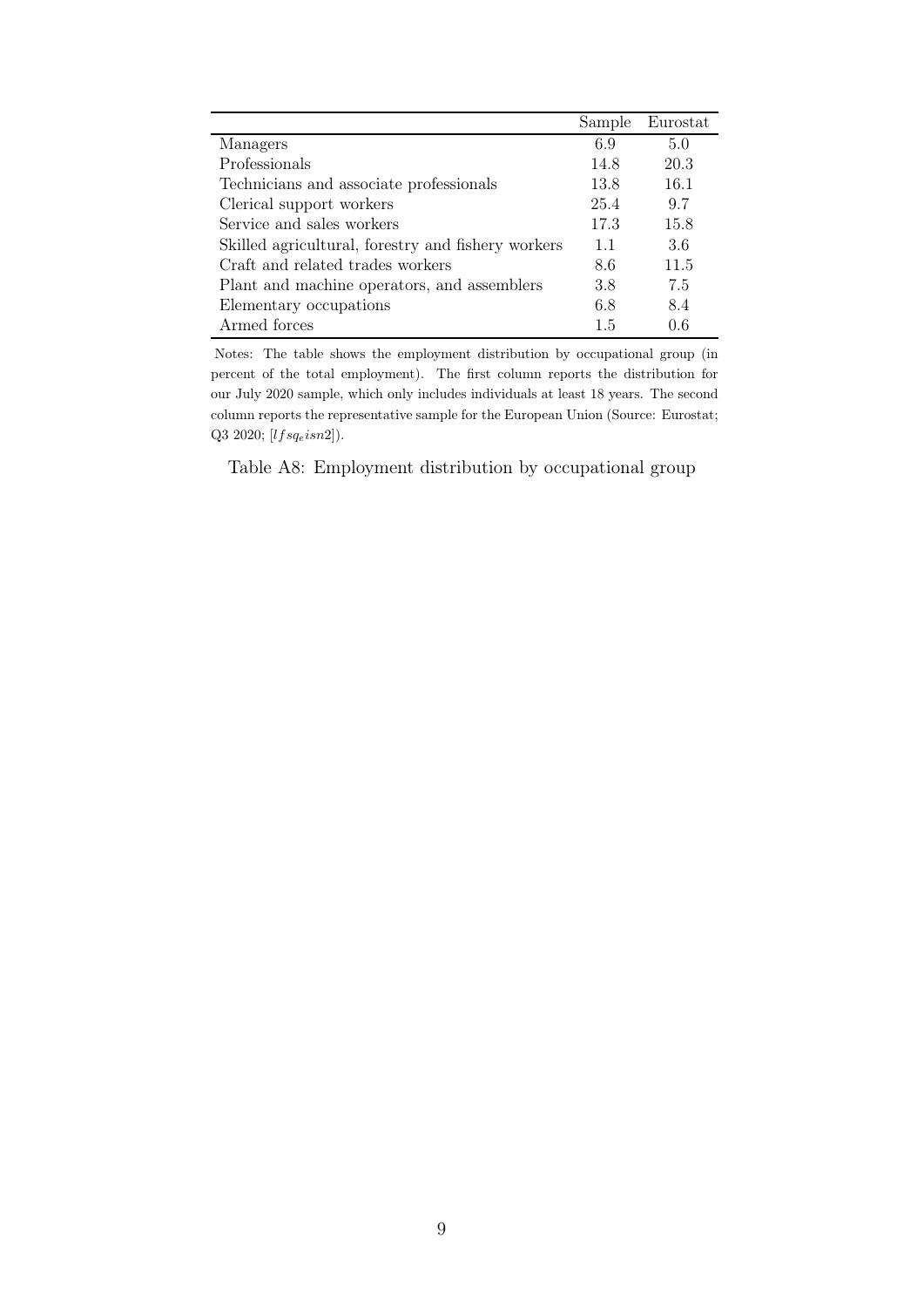<span id="page-53-0"></span>

|                                                    | Sample | Eurostat |
|----------------------------------------------------|--------|----------|
| Managers                                           | 6.9    | 5.0      |
| Professionals                                      | 14.8   | 20.3     |
| Technicians and associate professionals            | 13.8   | 16.1     |
| Clerical support workers                           | 25.4   | 9.7      |
| Service and sales workers                          | 17.3   | 15.8     |
| Skilled agricultural, forestry and fishery workers | 1.1    | 3.6      |
| Craft and related trades workers                   | 8.6    | 11.5     |
| Plant and machine operators, and assemblers        | 3.8    | 7.5      |
| Elementary occupations                             | 6.8    | 8.4      |
| Armed forces                                       | 1.5    | 0.6      |

Notes: The table shows the employment distribution by occupational group (in percent of the total employment). The first column reports the distribution for our July 2020 sample, which only includes individuals at least 18 years. The second column reports the representative sample for the European Union (Source: Eurostat; Q3 2020;  $[lfsq_eisn2]$ ).

Table A8: Employment distribution by occupational group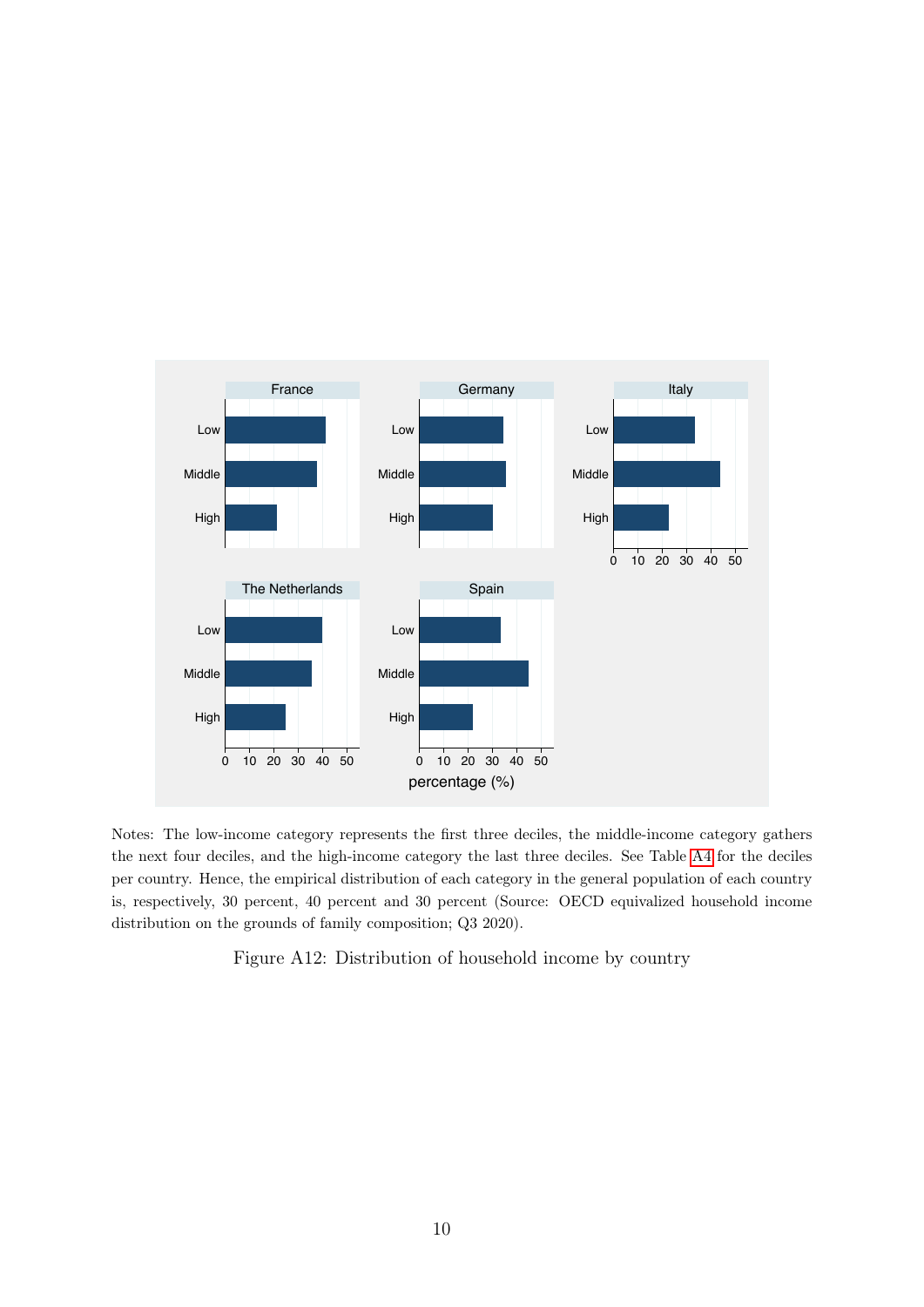<span id="page-54-0"></span>

Notes: The low-income category represents the first three deciles, the middle-income category gathers the next four deciles, and the high-income category the last three deciles. See Table [A4](#page-48-0) for the deciles per country. Hence, the empirical distribution of each category in the general population of each country is, respectively, 30 percent, 40 percent and 30 percent (Source: OECD equivalized household income distribution on the grounds of family composition; Q3 2020).

Figure A12: Distribution of household income by country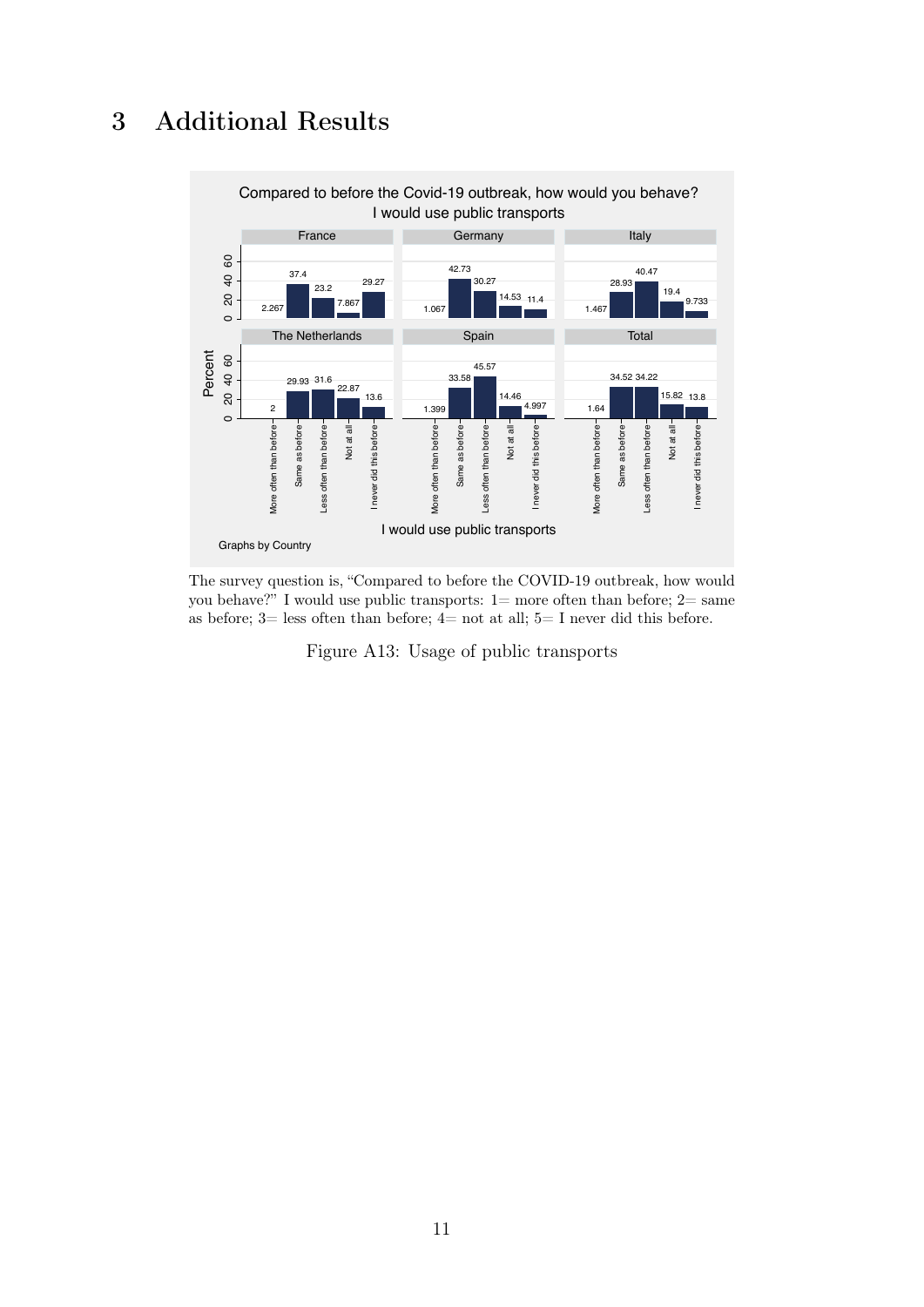## <span id="page-55-0"></span>3 Additional Results



The survey question is, "Compared to before the COVID-19 outbreak, how would you behave?" I would use public transports:  $1=$  more often than before;  $2=$  same as before;  $3=$  less often than before;  $4=$  not at all;  $5=$  I never did this before.

Figure A13: Usage of public transports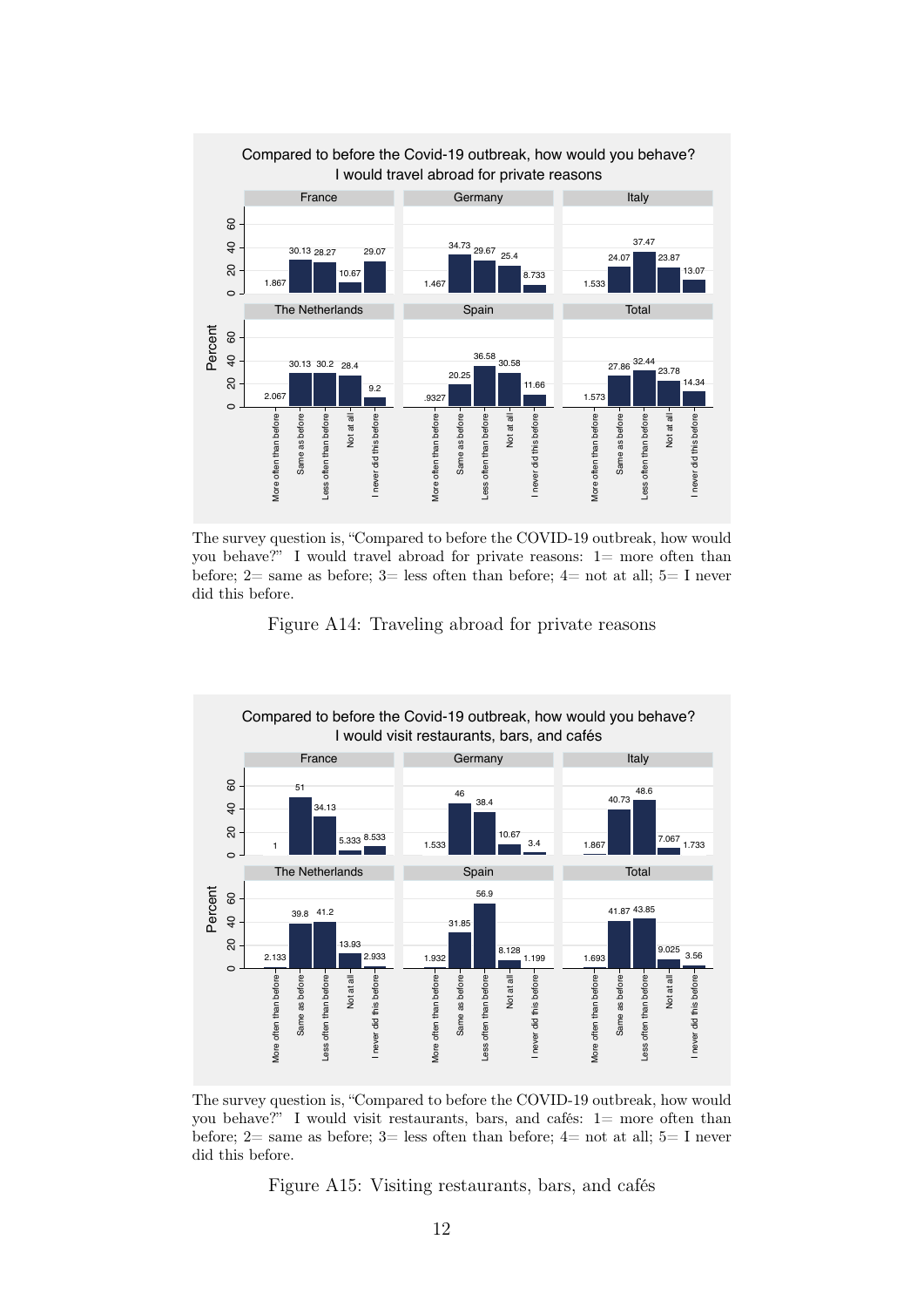

The survey question is, "Compared to before the COVID-19 outbreak, how would you behave?" I would travel abroad for private reasons:  $1=$  more often than before;  $2=$  same as before;  $3=$  less often than before;  $4=$  not at all;  $5=$  I never did this before.

Figure A14: Traveling abroad for private reasons



The survey question is, "Compared to before the COVID-19 outbreak, how would you behave?" I would visit restaurants, bars, and cafés: 1= more often than before;  $2=$  same as before;  $3=$  less often than before;  $4=$  not at all;  $5=$  I never did this before.

Figure A15: Visiting restaurants, bars, and cafés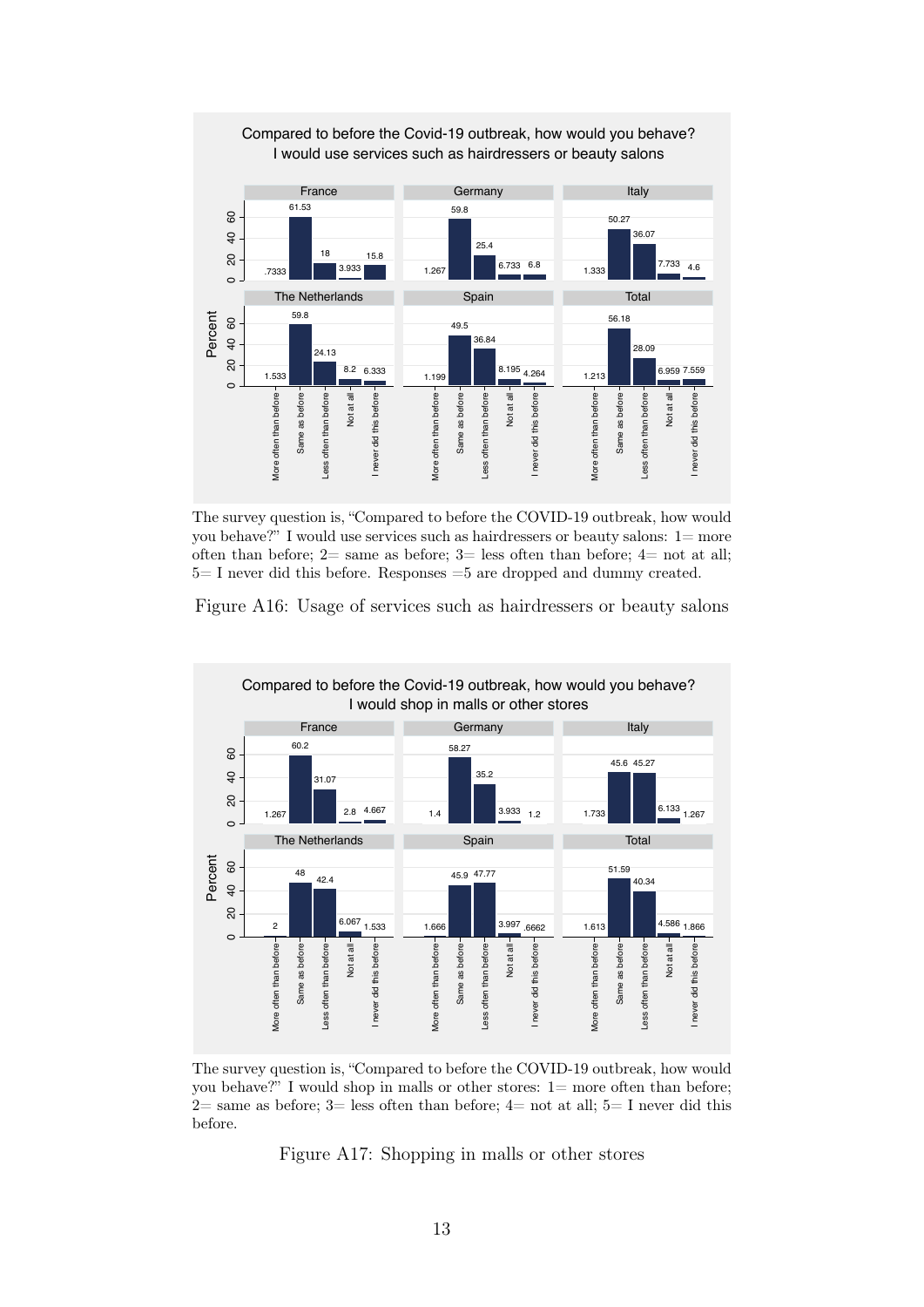

The survey question is, "Compared to before the COVID-19 outbreak, how would you behave?" I would use services such as hairdressers or beauty salons: 1= more often than before;  $2=$  same as before;  $3=$  less often than before;  $4=$  not at all; 5= I never did this before. Responses =5 are dropped and dummy created.



<span id="page-57-0"></span>

The survey question is, "Compared to before the COVID-19 outbreak, how would you behave?" I would shop in malls or other stores: 1= more often than before; 2= same as before; 3= less often than before; 4= not at all; 5= I never did this before.

Figure A17: Shopping in malls or other stores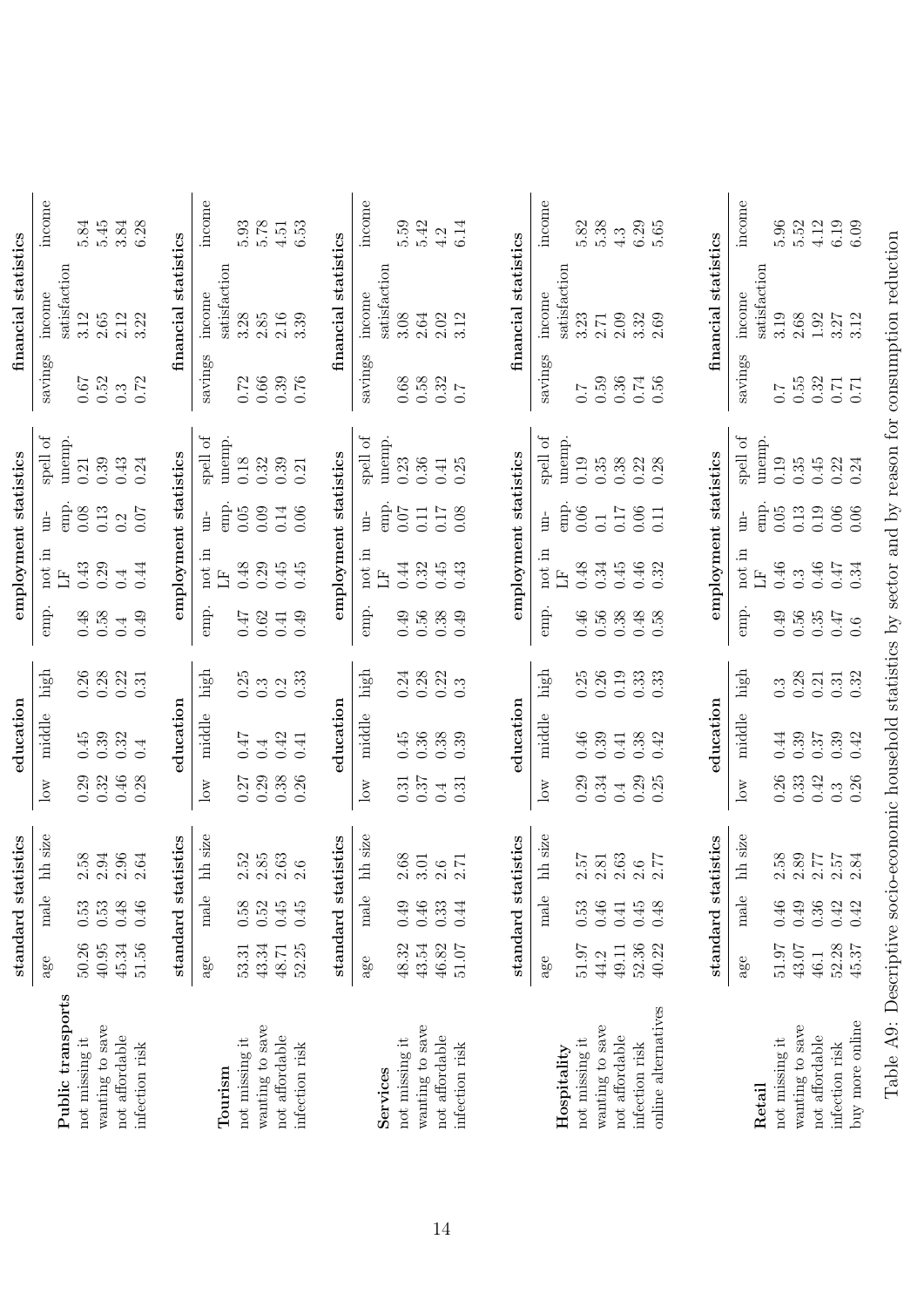<span id="page-58-0"></span>

|                     |           |               | standard statistics |                  | education   |                  |          | employment statistics  |                        |                                     |                            | financial statistics   |                                            |
|---------------------|-----------|---------------|---------------------|------------------|-------------|------------------|----------|------------------------|------------------------|-------------------------------------|----------------------------|------------------------|--------------------------------------------|
|                     | age       | male          | hh size             | $\log$           | middle      | $_{\rm high}$    | emp.     | not in                 | $\lim$                 | spell of                            | savings                    | income                 | income                                     |
| Public transports   |           |               |                     |                  |             |                  |          | H                      | emp.                   | unemp.                              |                            | satisfaction           |                                            |
| not missing it      | 50.26     | 0.53          | 2.58                | 0.29             | $0.45$      |                  | 0.48     | 0.43                   | 0.08                   | 0.21                                | 0.67                       | 3.12                   | 5.84                                       |
| wanting to save     | $40.95\,$ | $0.53\,$      | $\!2.94\!$          | 0.32             | 0.39        | $0.26$<br>$0.28$ | 0.58     | 0.29                   | 0.13                   | 0.39                                | 0.52                       | $2.65\,$               | $5.45$                                     |
| not affordable      | 45.34     | 0.48          | 2.96                | 0.46             | 0.32        | 0.22             | 0.4      | 0.4                    | 0.2                    | 0.43                                | $0.\overline{3}$           | 2.12                   |                                            |
| infection risk      | 51.56     | $0.46\,$      | 2.64                | 0.28             | 0.4         | 0.31             | 0.49     | 0.44                   | $0.07\,$               | 0.24                                | 0.72                       | 3.22                   | $3.84$<br>6.28                             |
|                     |           |               |                     |                  |             |                  |          |                        |                        |                                     |                            |                        |                                            |
|                     |           | standard st   | atistics            |                  | education   |                  |          | employment statistics  |                        |                                     |                            | financial statistics   |                                            |
|                     | age       | $_{\rm male}$ | hh size             | $_{\rm low}$     | middle      | high             | emp.     | not in                 | $\mathop{\mathrm{nn}}$ | đ<br>$_{\rm spell}$                 | savings                    | income                 | mcome                                      |
| Tourism             |           |               |                     |                  |             |                  |          | $\mathbb{H}$           | emp.                   | unemp.                              |                            | satisfaction           |                                            |
| not missing it      | 53.31     | 0.58          | 2.52                | 0.27             | <b>LF'0</b> | 0.25             | 747      | 0.48                   | 0.05                   | 0.18                                | 0.72                       | 3.28                   | $5.93\,$                                   |
| wanting to save     | 43.34     | 0.52          | $2.85\,$            | 0.29             | 0.4         | $0.\overline{3}$ | $\,0.62$ | 0.29                   | 0.09                   | 0.32                                | $0.66\,$                   | $2.85\,$               | $5.78\,$                                   |
| not affordable      | 48.71     | 0.45          | $2.63\,$            | 0.38             | 0.42        | 0.2              | 0.41     | 0.45                   | 0.14                   | 0.39                                | 0.39                       | 2.16                   | $4.51\,$                                   |
| infection risk      | 52.25     | 0.45          | 2.6                 | 0.26             | 0.41        | 0.33             | 0.49     | 0.45                   | 0.06                   | 0.21                                | 0.76                       | 3.39                   | 6.53                                       |
|                     |           | standard st   | atistics            |                  | education   |                  |          | employment statistics  |                        |                                     |                            | financial statistics   |                                            |
|                     | age       | $_{\rm male}$ | hh size             | $_{\rm low}$     | middle      | high             | emp.     | not in                 | $\frac{1}{2}$          | spell of                            | savings                    | income                 | income                                     |
| Services            |           |               |                     |                  |             |                  |          | $\mathbb{H}$           | emp.                   | unemp.                              |                            | satisfaction           |                                            |
| not missing it      | 48.32     | 0.49          | $2.68$              | 0.31             | 0.45        | 0.24             | 0.49     | 0.44                   | 0.07                   | 0.23                                | 0.68                       | 3.08                   | 5.59                                       |
| wanting to save     | 43.54     | 0.46          | 3.01                | 0.37             | 0.36        |                  | 0.56     | 0.32                   | $0.11\,$               | 0.36                                | 0.58                       | $2.64\,$               |                                            |
| not affordable      | 46.82     | 0.33          | $2.6\,$             | 0.4              | $0.38\,$    | $0.28$<br>$0.22$ | $0.38\,$ | 0.45                   | 0.17                   | 0.41                                | $0.32$<br>$0.7$            | $2.02\,$               | $\begin{array}{c} 5.42 \\ 4.2 \end{array}$ |
| infection risk      | $51.07\,$ | 0.44          | 2.71                | 0.31             | 0.39        | $0.\overline{3}$ | 0.49     | 0.43                   | 0.08                   | 0.25                                |                            | 3.12                   | 6.14                                       |
|                     |           |               |                     |                  |             |                  |          |                        |                        |                                     |                            |                        |                                            |
|                     |           | standard st   | atistics            |                  | education   |                  |          | employment statistics  |                        |                                     |                            | financial statistics   |                                            |
|                     | age       | male          | hh size             | $_{\rm low}$     | middle      | $_{\rm high}$    | emp.     | not in                 | $\rm{m}$               | spell of                            | savings                    | income                 | income                                     |
| Hospitality         |           |               |                     |                  |             |                  |          | H                      | emp.                   | unemp.                              |                            | satisfaction           |                                            |
| not missing it      | 51.97     | 0.53          | 2.57                | 0.29             | 0.46        | 0.25             | 0.46     | 0.48                   | 0.06                   | 0.19                                | $\overline{0.7}$           | 3.23                   | 5.82                                       |
| wanting to save     | 44.2      | 0.46          | $2.81\,$            | 0.34             | 0.39        | 0.26             | 0.56     | $\rm 0.34$             | $\overline{0.1}$       | 0.35                                | 0.59                       | 2.71                   | 5.38                                       |
| not affordable      | 49.11     | $0.41\,$      | $2.63$              | 0.4              | $0.41\,$    | 0.19             | 0.38     | 0.45                   | 0.17                   | 0.38                                | 0.36                       | 2.09                   | 4.3                                        |
| infection risk      | 52.36     | 0.45          | 2.6                 | 0.29             | 0.38        | 0.33             | 0.48     | $0.46\,$               | $0.06\,$               | $0.22\,$                            | $0.74\,$                   | 3.32                   | $6.29\,$                                   |
| online alternatives | 40.22     | 0.48          | 2.77                | 0.25             | 0.42        | 0.33             | 0.58     | 0.32                   | 0.11                   | 0.28                                | 0.56                       | 2.69                   | 5.65                                       |
|                     |           | standard st   | atistics            |                  | education   |                  |          | employment statistics  |                        |                                     |                            | financial statistics   |                                            |
|                     |           |               |                     |                  |             |                  |          |                        |                        |                                     |                            |                        |                                            |
| Retail              | age       | male          | hh size             | $_{\rm low}$     | middle      | $_{\rm high}$    | emp.     | not in<br>$\mathbb{E}$ | emp.<br>$un-$          | $\operatorname{spell}$ of<br>unemp. | savings                    | satisfaction<br>income | income                                     |
| not missing it      | 51.97     | $0.46\,$      | 2.58                | 0.26             | 0.44        | $0.\overline{3}$ | 0.49     | 0.46                   | $0.05\,$               | 0.19                                | 7.0                        | 3.19                   | 5.96                                       |
| wanting to save     | 43.07     | 0.49          | $2.89\,$            | 0.33             | 0.39        | 0.28             | 0.56     | $0.\overline{3}$       | $\!0.13$               | 0.35                                | 0.55                       | 2.68                   | 5.52                                       |
| not affordable      | 46.1      | $0.36\,$      | 2.77                | 0.42             | $0.37\,$    | 0.21             | $0.35\,$ | $0.46\,$               | 0.19                   | 0.45                                |                            | $1.92\,$               | $4.12\,$                                   |
| infection risk      | 52.28     | 0.42          | $2.57$<br>$2.84$    | $0.\overline{3}$ | 0.39        | $0.31$<br>$0.32$ | 0.47     | $0.47$<br>$0.34$       | 0.06                   | 0.22                                | $0.32$<br>$0.71$<br>$0.71$ | $3.27$<br>$3.12$       | 6.19<br>6.09                               |
| buy more online     | 45.37     | 0.42          |                     | 0.26             | 0.42        |                  | 0.6      |                        | 0.06                   | 0.24                                |                            |                        |                                            |

Table A9: Descriptive socio-economic household statistics by sector and by reason for consumption reduction Table A9: Descriptive socio-economic household statistics by sector and by reason for consumption reduction